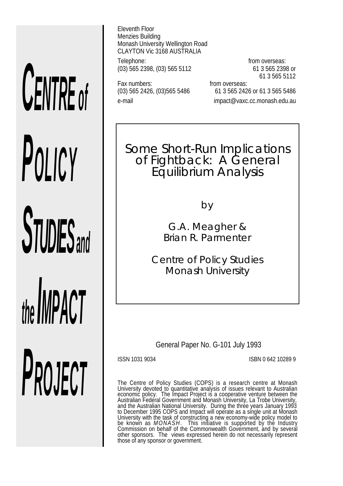# *CENTRE of POLICY STUDIES and the IMPACT PROJECT*

Eleventh Floor Menzies Building Monash University Wellington Road CLAYTON Vic 3168 AUSTRALIA

Telephone: from overseas:<br>(03) 565 2398, (03) 565 5112 61 3 565 2398 or (03) 565 2398, (03) 565 5112

Fax numbers: Fax numbers: From overseas:

61 3 565 5112

(03) 565 2426, (03)565 5486 61 3 565 2426 or 61 3 565 5486 e-mail impact@vaxc.cc.monash.edu.au

Some Short-Run Implications of Fightback: A General Equilibrium Analysis

by

G.A. Meagher & Brian R. Parmenter

*Centre of Policy Studies Monash University*

General Paper No. G-101 July 1993

ISSN 1031 9034 ISBN 0 642 10289 9

The Centre of Policy Studies (COPS) is a research centre at Monash University devoted to quantitative analysis of issues relevant to Australian economic policy. The Impact Project is a cooperative venture between the Australian Federal Government and Monash University, La Trobe University, and the Australian National University. During the three years January 1993 to December 1995 COPS and Impact will operate as a single unit at Monash University with the task of constructing a new economy-wide policy model to be known as *MONASH*. This initiative is supported by the Industry Commission on behalf of the Commonwealth Government, and by several other sponsors. The views expressed herein do not necessarily represent those of any sponsor or government.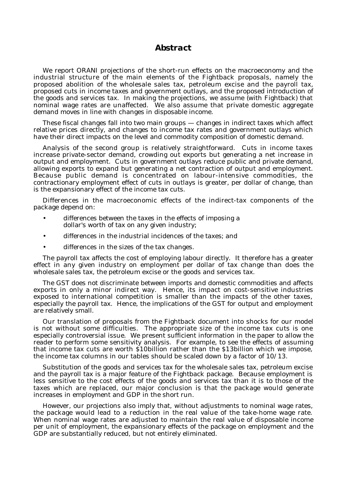## *Abstract*

We report ORANI projections of the short-run effects on the macroeconomy and the industrial structure of the main elements of the Fightback proposals, namely the proposed abolition of the wholesale sales tax, petroleum excise and the payroll tax, proposed cuts in income taxes and government outlays, and the proposed introduction of the goods and services tax. In making the projections, we assume (with Fightback) that nominal wage rates are unaffected. We also assume that private domestic aggregate demand moves in line with changes in disposable income.

These fiscal changes fall into two main groups — changes in indirect taxes which affect relative prices directly, and changes to income tax rates and government outlays which have their direct impacts on the level and commodity composition of domestic demand.

Analysis of the second group is relatively straightforward. Cuts in income taxes increase private-sector demand, crowding out exports but generating a net increase in output and employment. Cuts in government outlays reduce public and private demand, allowing exports to expand but generating a net contraction of output and employment. Because public demand is concentrated on labour-intensive commodities, the contractionary employment effect of cuts in outlays is greater, per dollar of change, than is the expansionary effect of the income tax cuts.

Differences in the macroeconomic effects of the indirect-tax components of the package depend on:

- differences between the taxes in the effects of imposing a dollar's worth of tax on any given industry;
- differences in the industrial incidences of the taxes; and
- differences in the sizes of the tax changes.

The payroll tax affects the cost of employing labour directly. It therefore has a greater effect in any given industry on employment per dollar of tax change than does the wholesale sales tax, the petroleum excise or the goods and services tax.

The GST does not discriminate between imports and domestic commodities and affects exports in only a minor indirect way. Hence, its impact on cost-sensitive industries exposed to international competition is smaller than the impacts of the other taxes, especially the payroll tax. Hence, the implications of the GST for output and employment are relatively small.

Our translation of proposals from the Fightback document into shocks for our model is not without some difficulties. The appropriate size of the income tax cuts is one especially controversial issue. We present sufficient information in the paper to allow the reader to perform some sensitivity analysis. For example, to see the effects of assuming that income tax cuts are worth \$10billion rather than the \$13billion which we impose, the income tax columns in our tables should be scaled down by a factor of 10/13.

Substitution of the goods and services tax for the wholesale sales tax, petroleum excise and the payroll tax is a major feature of the Fightback package. Because employment is less sensitive to the cost effects of the goods and services tax than it is to those of the taxes which are replaced, our major conclusion is that the package would generate increases in employment and GDP in the short run.

However, our projections also imply that, without adjustments to nominal wage rates, the package would lead to a reduction in the real value of the take-home wage rate. When nominal wage rates are adjusted to maintain the real value of disposable income per unit of employment, the expansionary effects of the package on employment and the GDP are substantially reduced, but not entirely eliminated.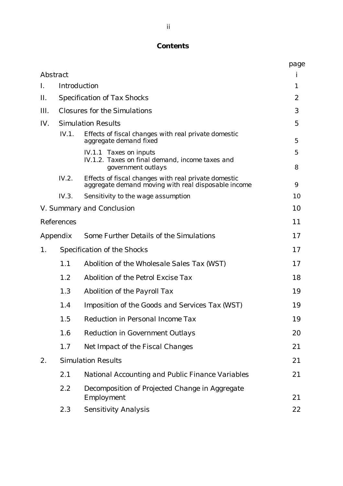# *Contents*

|                 |                   |                                                                                                             | page                |
|-----------------|-------------------|-------------------------------------------------------------------------------------------------------------|---------------------|
| <b>Abstract</b> |                   |                                                                                                             | i                   |
| I.              |                   | <b>Introduction</b>                                                                                         | 1                   |
| Ш.              |                   | <b>Specification of Tax Shocks</b>                                                                          | $\mathbf{2}$        |
| Ш.              |                   | <b>Closures for the Simulations</b>                                                                         | 3                   |
| IV.             |                   | <b>Simulation Results</b>                                                                                   | $\mathfrak{H}$      |
|                 | IV.1.             | Effects of fiscal changes with real private domestic<br>aggregate demand fixed                              | $\overline{5}$      |
|                 |                   | <b>IV.1.1 Taxes on inputs</b><br>IV.1.2. Taxes on final demand, income taxes and<br>government outlays      | $\mathfrak{H}$<br>8 |
|                 | IV.2.             | Effects of fiscal changes with real private domestic<br>aggregate demand moving with real disposable income | 9                   |
|                 | IV.3.             | Sensitivity to the wage assumption                                                                          | 10                  |
|                 |                   | V. Summary and Conclusion                                                                                   | 10                  |
|                 | <b>References</b> |                                                                                                             | 11                  |
| Appendix        |                   | <b>Some Further Details of the Simulations</b>                                                              | 17                  |
| 1.              |                   | <b>Specification of the Shocks</b>                                                                          | 17                  |
|                 | 1.1               | Abolition of the Wholesale Sales Tax (WST)                                                                  | 17                  |
|                 | 1.2               | <b>Abolition of the Petrol Excise Tax</b>                                                                   | 18                  |
|                 | 1.3               | <b>Abolition of the Payroll Tax</b>                                                                         | 19                  |
|                 | 1.4               | <b>Imposition of the Goods and Services Tax (WST)</b>                                                       | 19                  |
|                 | 1.5               | <b>Reduction in Personal Income Tax</b>                                                                     | 19                  |
|                 | 1.6               | <b>Reduction in Government Outlays</b>                                                                      | 20                  |
|                 | 1.7               | <b>Net Impact of the Fiscal Changes</b>                                                                     | 21                  |
| 2.              |                   | <b>Simulation Results</b>                                                                                   | 21                  |
|                 | 2.1               | <b>National Accounting and Public Finance Variables</b>                                                     | 21                  |
|                 | 2.2               | Decomposition of Projected Change in Aggregate<br>Employment                                                | 21                  |
|                 | 2.3               | <b>Sensitivity Analysis</b>                                                                                 | 22                  |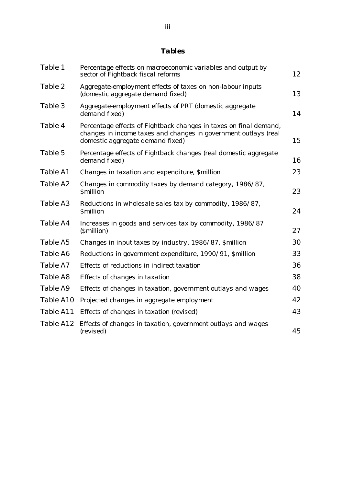# *Tables*

| Table 1   | Percentage effects on macroeconomic variables and output by<br>sector of Fightback fiscal reforms                                                                        | 12 |
|-----------|--------------------------------------------------------------------------------------------------------------------------------------------------------------------------|----|
| Table 2   | Aggregate-employment effects of taxes on non-labour inputs<br>(domestic aggregate demand fixed)                                                                          | 13 |
| Table 3   | Aggregate-employment effects of PRT (domestic aggregate<br>demand fixed)                                                                                                 | 14 |
| Table 4   | Percentage effects of Fightback changes in taxes on final demand,<br>changes in income taxes and changes in government outlays (real<br>domestic aggregate demand fixed) | 15 |
| Table 5   | Percentage effects of Fightback changes (real domestic aggregate<br>demand fixed)                                                                                        | 16 |
| Table A1  | Changes in taxation and expenditure, Smillion                                                                                                                            | 23 |
| Table A2  | Changes in commodity taxes by demand category, 1986/87,<br><b>Smillion</b>                                                                                               | 23 |
| Table A3  | Reductions in wholesale sales tax by commodity, 1986/87,<br><b>Smillion</b>                                                                                              | 24 |
| Table A4  | Increases in goods and services tax by commodity, 1986/87<br>( <i><b>Smillion</b></i> )                                                                                  | 27 |
| Table A5  | Changes in input taxes by industry, 1986/87, \$million                                                                                                                   | 30 |
| Table A6  | Reductions in government expenditure, 1990/91, Smillion                                                                                                                  | 33 |
| Table A7  | Effects of reductions in indirect taxation                                                                                                                               | 36 |
| Table A8  | Effects of changes in taxation                                                                                                                                           | 38 |
| Table A9  | Effects of changes in taxation, government outlays and wages                                                                                                             | 40 |
| Table A10 | Projected changes in aggregate employment                                                                                                                                | 42 |
| Table A11 | Effects of changes in taxation (revised)                                                                                                                                 | 43 |
| Table A12 | Effects of changes in taxation, government outlays and wages<br>(revised)                                                                                                | 45 |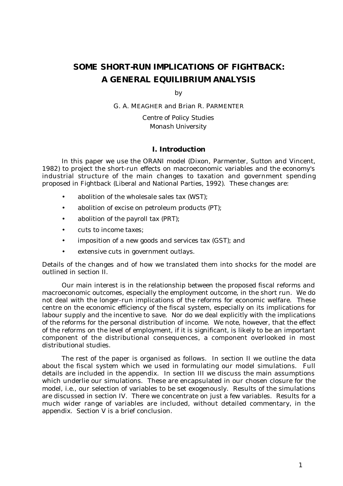# *SOME SHORT-RUN IMPLICATIONS OF FIGHTBACK: A GENERAL EQUILIBRIUM ANALYSIS*

by

G. A. MEAGHER and Brian R. PARMENTER

*Centre of Policy Studies Monash University*

## *I. Introduction*

In this paper we use the ORANI model (Dixon, Parmenter, Sutton and Vincent, 1982) to project the short-run effects on macroeconomic variables and the economy's industrial structure of the main changes to taxation and government spending proposed in Fightback (Liberal and National Parties, 1992). These changes are:

- abolition of the wholesale sales tax (WST);
- abolition of excise on petroleum products (PT);
- abolition of the payroll tax (PRT);
- cuts to income taxes;
- imposition of a new goods and services tax (GST); and
- extensive cuts in government outlays.

Details of the changes and of how we translated them into shocks for the model are outlined in section II.

Our main interest is in the relationship between the proposed fiscal reforms and macroeconomic outcomes, especially the employment outcome, in the short run. We do not deal with the longer-run implications of the reforms for economic welfare. These centre on the economic efficiency of the fiscal system, especially on its implications for labour supply and the incentive to save. Nor do we deal explicitly with the implications of the reforms for the personal distribution of income. We note, however, that the effect of the reforms on the level of employment, if it is significant, is likely to be an important component of the distributional consequences, a component overlooked in most distributional studies.

The rest of the paper is organised as follows. In section II we outline the data about the fiscal system which we used in formulating our model simulations. Full details are included in the appendix. In section III we discuss the main assumptions which underlie our simulations. These are encapsulated in our chosen closure for the model, i.e., our selection of variables to be set exogenously. Results of the simulations are discussed in section IV. There we concentrate on just a few variables. Results for a much wider range of variables are included, without detailed commentary, in the appendix. Section V is a brief conclusion.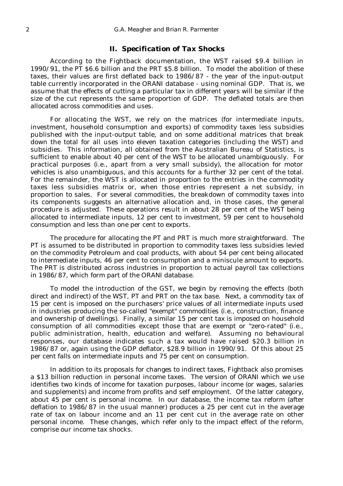## *II. Specification of Tax Shocks*

According to the Fightback documentation, the WST raised \$9.4 billion in 1990/91, the PT \$6.6 billion and the PRT \$5.8 billion. To model the abolition of these taxes, their values are first deflated back to 1986/87 - the year of the input-output table currently incorporated in the ORANI database - using nominal GDP. That is, we assume that the effects of cutting a particular tax in different years will be similar if the size of the cut represents the same proportion of GDP. The deflated totals are then allocated across commodities and uses.

For allocating the WST, we rely on the matrices (for intermediate inputs, investment, household consumption and exports) of commodity taxes less subsidies published with the input-output table, and on some additional matrices that break down the total for all uses into eleven taxation categories (including the WST) and subsidies. This information, all obtained from the Australian Bureau of Statistics, is sufficient to enable about 40 per cent of the WST to be allocated unambiguously. For practical purposes (i.e., apart from a very small subsidy), the allocation for motor vehicles is also unambiguous, and this accounts for a further 32 per cent of the total. For the remainder, the WST is allocated in proportion to the entries in the commodity taxes less subsidies matrix or, when those entries represent a net subsidy, in proportion to sales. For several commodities, the breakdown of commodity taxes into its components suggests an alternative allocation and, in those cases, the general procedure is adjusted. These operations result in about 28 per cent of the WST being allocated to intermediate inputs, 12 per cent to investment, 59 per cent to household consumption and less than one per cent to exports.

The procedure for allocating the PT and PRT is much more straightforward. The PT is assumed to be distributed in proportion to commodity taxes less subsidies levied on the commodity Petroleum and coal products, with about 54 per cent being allocated to intermediate inputs, 46 per cent to consumption and a miniscule amount to exports. The PRT is distributed across industries in proportion to actual payroll tax collections in 1986/87, which form part of the ORANI database.

To model the introduction of the GST, we begin by removing the effects (both direct and indirect) of the WST, PT and PRT on the tax base. Next, a commodity tax of 15 per cent is imposed on the purchasers' price values of all intermediate inputs used in industries producing the so-called "exempt" commodities (i.e., construction, finance and ownership of dwellings). Finally, a similar 15 per cent tax is imposed on household consumption of all commodities except those that are exempt or "zero-rated" (i.e., public administration, health, education and welfare). Assuming no behavioural responses, our database indicates such a tax would have raised \$20.3 billion in 1986/87 or, again using the GDP deflator, \$28.9 billion in 1990/91. Of this about 25 per cent falls on intermediate inputs and 75 per cent on consumption.

In addition to its proposals for changes to indirect taxes, Fightback also promises a \$13 billion reduction in personal income taxes. The version of ORANI which we use identifies two kinds of income for taxation purposes, labour income (or wages, salaries and supplements) and income from profits and self employment. Of the latter category, about 45 per cent is personal income. In our database, the income tax reform (after deflation to 1986/87 in the usual manner) produces a 25 per cent cut in the average rate of tax on labour income and an 11 per cent cut in the average rate on other personal income. These changes, which refer only to the impact effect of the reform, comprise our income tax shocks.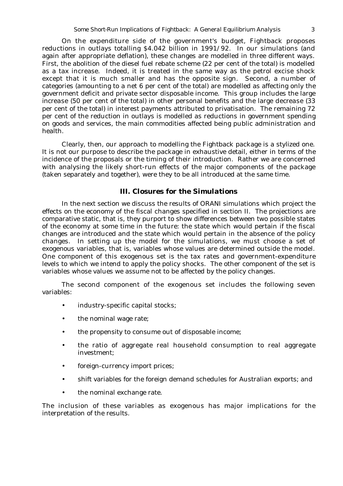On the expenditure side of the government's budget, Fightback proposes reductions in outlays totalling \$4.042 billion in 1991/92. In our simulations (and again after appropriate deflation), these changes are modelled in three different ways. First, the abolition of the diesel fuel rebate scheme (22 per cent of the total) is modelled as a tax increase. Indeed, it is treated in the same way as the petrol excise shock except that it is much smaller and has the opposite sign. Second, a number of categories (amounting to a net 6 per cent of the total) are modelled as affecting only the government deficit and private sector disposable income. This group includes the large *increase* (50 per cent of the total) in other personal benefits and the large *decrease* (33 per cent of the total) in interest payments attributed to privatisation. The remaining 72 per cent of the reduction in outlays is modelled as reductions in government spending on goods and services, the main commodities affected being public administration and health.

Clearly, then, our approach to modelling the Fightback package is a stylized one. It is not our purpose to describe the package in exhaustive detail, either in terms of the incidence of the proposals or the timing of their introduction. Rather we are concerned with analysing the likely short-run effects of the major components of the package (taken separately and together), were they to be all introduced at the same time.

#### *III. Closures for the Simulations*

In the next section we discuss the results of ORANI simulations which project the effects on the economy of the fiscal changes specified in section II. The projections are comparative static, that is, they purport to show differences between two possible states of the economy at some time in the future: the state which would pertain if the fiscal changes are introduced and the state which would pertain in the absence of the policy changes. In setting up the model for the simulations, we must choose a set of *exogenous* variables, that is, variables whose values are determined outside the model. One component of this exogenous set is the tax rates and government-expenditure levels to which we intend to apply the policy shocks. The other component of the set is variables whose values we assume not to be affected by the policy changes.

The second component of the exogenous set includes the following seven variables:

- industry-specific capital stocks;
- the nominal wage rate;
- the propensity to consume out of disposable income;
- the ratio of aggregate real household consumption to real aggregate investment;
- foreign-currency import prices;
- shift variables for the foreign demand schedules for Australian exports; and
- the nominal exchange rate.

The inclusion of these variables as exogenous has major implications for the interpretation of the results.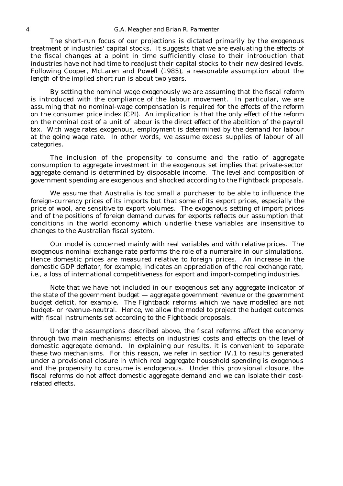#### 4 *G.A. Meagher and Brian R. Parmenter*

The short-run focus of our projections is dictated primarily by the exogenous treatment of industries' capital stocks. It suggests that we are evaluating the effects of the fiscal changes at a point in time sufficiently close to their introduction that industries have not had time to readjust their capital stocks to their new desired levels. Following Cooper, McLaren and Powell (1985), a reasonable assumption about the length of the implied short run is about two years.

By setting the nominal wage exogenously we are assuming that the fiscal reform is introduced with the compliance of the labour movement. In particular, we are assuming that no nominal-wage compensation is required for the effects of the reform on the consumer price index (CPI). An implication is that the only effect of the reform on the nominal cost of a unit of labour is the direct effect of the abolition of the payroll tax. With wage rates exogenous, employment is determined by the demand for labour at the going wage rate. In other words, we assume excess supplies of labour of all categories.

The inclusion of the propensity to consume and the ratio of aggregate consumption to aggregate investment in the exogenous set implies that private-sector aggregate demand is determined by disposable income. The level and composition of government spending are exogenous and shocked according to the Fightback proposals.

We assume that Australia is too small a purchaser to be able to influence the foreign-currency prices of its imports but that some of its export prices, especially the price of wool, are sensitive to export volumes. The exogenous setting of import prices and of the positions of foreign demand curves for exports reflects our assumption that conditions in the world economy which underlie these variables are insensitive to changes to the Australian fiscal system.

Our model is concerned mainly with real variables and with relative prices. The exogenous nominal exchange rate performs the role of a *numeraire* in our simulations. Hence domestic prices are measured relative to foreign prices. An increase in the domestic GDP deflator, for example, indicates an appreciation of the real exchange rate, i.e., a loss of international competitiveness for export and import-competing industries.

Note that we have not included in our exogenous set any aggregate indicator of the state of the government budget — aggregate government revenue or the government budget deficit, for example. The Fightback reforms which we have modelled are not budget- or revenue-neutral. Hence, we allow the model to project the budget outcomes with fiscal instruments set according to the Fightback proposals.

Under the assumptions described above, the fiscal reforms affect the economy through two main mechanisms: effects on industries' costs and effects on the level of domestic aggregate demand. In explaining our results, it is convenient to separate these two mechanisms. For this reason, we refer in section IV.1 to results generated under a provisional closure in which real aggregate household spending is exogenous and the propensity to consume is endogenous. Under this provisional closure, the fiscal reforms do not affect domestic aggregate demand and we can isolate their costrelated effects.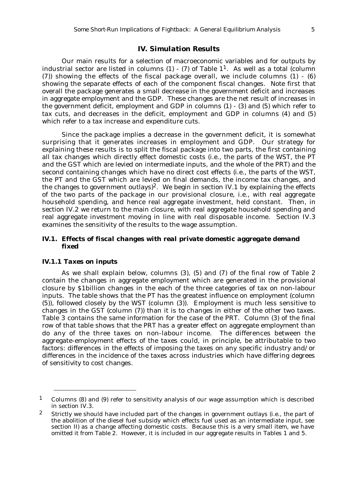## *IV. Simulation Results*

Our main results for a selection of macroeconomic variables and for outputs by industrial sector are listed in columns  $(1)$  -  $(7)$  of Table  $1<sup>1</sup>$ . As well as a total (column (7)) showing the effects of the fiscal package overall, we include columns (1) - (6) showing the separate effects of each of the component fiscal changes. Note first that overall the package generates a small decrease in the government deficit and increases in aggregate employment and the GDP. These changes are the net result of increases in the government deficit, employment and GDP in columns (1) - (3) and (5) which refer to tax cuts, and decreases in the deficit, employment and GDP in columns (4) and (5) which refer to a tax increase and expenditure cuts.

Since the package implies a decrease in the government deficit, it is somewhat surprising that it generates increases in employment and GDP. Our strategy for explaining these results is to split the fiscal package into two parts, the first containing all tax changes which directly effect domestic costs (i.e., the parts of the WST, the PT and the GST which are levied on intermediate inputs, and the whole of the PRT) and the second containing changes which have no direct cost effects (i.e., the parts of the WST, the PT and the GST which are levied on final demands, the income tax changes, and the changes to government outlays)<sup>2</sup>. We begin in section IV.1 by explaining the effects of the two parts of the package in our provisional closure, i.e., with real aggregate household spending, and hence real aggregate investment, held constant. Then, in section IV.2 we return to the main closure, with real aggregate household spending and real aggregate investment moving in line with real disposable income. Section IV.3 examines the sensitivity of the results to the wage assumption.

### *IV.1. Effects of fiscal changes with real private domestic aggregate demand fixed*

#### *IV.1.1 Taxes on inputs*

As we shall explain below, columns (3), (5) and (7) of the final row of Table 2 contain the changes in aggregate employment which are generated in the provisional closure by \$1billion changes in the each of the three categories of tax on non-labour inputs. The table shows that the PT has the greatest influence on employment (column (5)), followed closely by the WST (column (3)). Employment is much less sensitive to changes in the GST (column (7)) than it is to changes in either of the other two taxes. Table 3 contains the same information for the case of the PRT. Column (3) of the final row of that table shows that the PRT has a greater effect on aggregate employment than do any of the three taxes on non-labour income. The differences between the aggregate-employment effects of the taxes could, in principle, be attributable to two factors: differences in the effects of imposing the taxes on any specific industry and/or differences in the incidence of the taxes across industries which have differing degrees of sensitivity to cost changes.

<sup>1</sup> Columns (8) and (9) refer to sensitivity analysis of our wage assumption which is described in section IV.3.

<sup>2</sup> Strictly we should have included part of the changes in government outlays (i.e., the part of the abolition of the diesel fuel subsidy which effects fuel used as an intermediate input, see section II) as a change affecting domestic costs. Because this is a very small item, we have omitted it from Table 2. However, it is included in our aggregate results in Tables 1 and 5.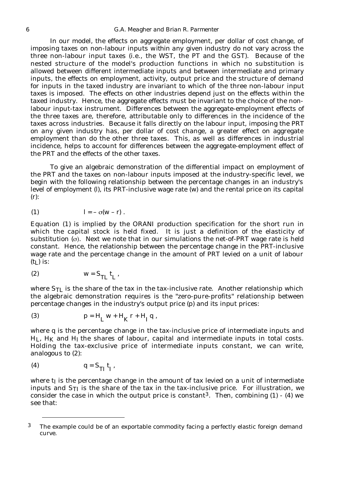In our model, the effects on aggregate employment, per dollar of cost change, of imposing taxes on non-labour inputs *within any given industry* do not vary across the three non-labour input taxes (i.e., the WST, the PT and the GST). Because of the nested structure of the model's production functions in which no substitution is allowed between different intermediate inputs and between intermediate and primary inputs, the effects on employment, activity, output price and the structure of demand for inputs in the taxed industry are invariant to which of the three non-labour input taxes is imposed. The effects on other industries depend just on the effects within the taxed industry. Hence, the aggregate effects must be invariant to the choice of the nonlabour input-tax instrument. Differences between the aggregate-employment effects of the three taxes are, therefore, attributable only to differences in the incidence of the taxes across industries. Because it falls directly on the labour input, imposing the PRT *on any given industry* has, per dollar of cost change, a greater effect on aggregate employment than do the other three taxes. This, as well as differences in industrial incidence, helps to account for differences between the aggregate-employment effect of the PRT and the effects of the other taxes.

To give an algebraic demonstration of the differential impact on employment of the PRT and the taxes on non-labour inputs imposed at the industry-specific level, we begin with the following relationship between the percentage changes in an industry's level of employment (l), its PRT-inclusive wage rate (w) and the rental price on its capital (r):

$$
l = - \sigma(w - r) .
$$

Equation (1) is implied by the ORANI production specification for the short run in which the capital stock is held fixed. It is just a definition of the elasticity of substitution  $(\sigma)$ . Next we note that in our simulations the net-of-PRT wage rate is held constant. Hence, the relationship between the percentage change in the PRT-inclusive wage rate and the percentage change in the amount of PRT levied on a unit of labour  $(t_L)$  is:

$$
(2) \t\t\t w = S_{TL} t_L,
$$

where  $S_{TL}$  is the share of the tax in the tax-inclusive rate. Another relationship which the algebraic demonstration requires is the "zero-pure-profits" relationship between percentage changes in the industry's output price (p) and its input prices:

(3) 
$$
p = H_L w + H_K r + H_I q
$$
,

where q is the percentage change in the tax-inclusive price of intermediate inputs and  $H_L$ ,  $H_K$  and  $H_I$  the shares of labour, capital and intermediate inputs in total costs. Holding the tax-exclusive price of intermediate inputs constant, we can write, analogous to (2):

$$
(4) \tq = S_{TI} t_I,
$$

where  $t<sub>I</sub>$  is the percentage change in the amount of tax levied on a unit of intermediate inputs and  $S_{TI}$  is the share of the tax in the tax-inclusive price. For illustration, we consider the case in which the output price is constant<sup>3</sup>. Then, combining  $(1) - (4)$  we see that:

<sup>3</sup> The example could be of an exportable commodity facing a perfectly elastic foreign demand curve.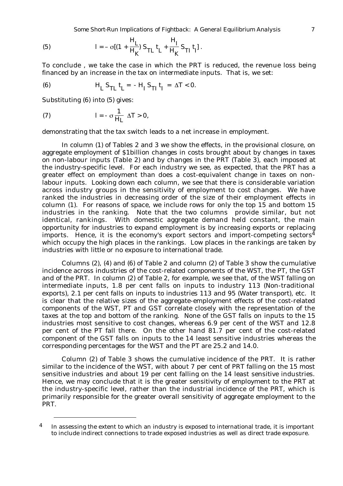*Some Short-Run Implications of Fightback: A General Equilibrium Analysis* 7

(5) 
$$
l = - \sigma [(1 + \frac{H_{L}}{H_{K}}) S_{TL} t_{L} + \frac{H_{I}}{H_{K}} S_{TI} t_{I}].
$$

To conclude , we take the case in which the PRT is reduced, the revenue loss being financed by an increase in the tax on intermediate inputs. That is, we set:

(6) 
$$
H_L S_{TL} t_L = -H_I S_{TI} t_I = \Delta T < 0.
$$

Substituting (6) into (5) gives:

(7) 
$$
l = -\sigma \frac{1}{H_L} \Delta T > 0,
$$

demonstrating that the tax switch leads to a net increase in employment.

In column (1) of Tables 2 and 3 we show the effects, in the provisional closure, on aggregate employment of \$1billion changes in costs brought about by changes in taxes on non-labour inputs (Table 2) and by changes in the PRT (Table 3), each imposed at the *industry-specific* level. For each industry we see, as expected, that the PRT has a greater effect on employment than does a cost-equivalent change in taxes on nonlabour inputs. Looking down each column, we see that there is considerable variation across industry groups in the sensitivity of employment to cost changes. We have ranked the industries in decreasing order of the size of their employment effects in column (1). For reasons of space, we include rows for only the top 15 and bottom 15 industries in the ranking. Note that the two columns provide similar, but not identical, rankings. With domestic aggregate demand held constant, the main opportunity for industries to expand employment is by increasing exports or replacing imports. Hence, it is the economy's export sectors and import-competing sectors<sup>4</sup> which occupy the high places in the rankings. Low places in the rankings are taken by industries with little or no exposure to international trade.

Columns (2), (4) and (6) of Table 2 and column (2) of Table 3 show the cumulative incidence across industries of the cost-related components of the WST, the PT, the GST and of the PRT. In column (2) of Table 2, for example, we see that, of the WST falling on intermediate inputs, 1.8 per cent falls on inputs to industry 113 (Non-traditional exports), 2.1 per cent falls on inputs to industries 113 and 95 (Water transport), etc. It is clear that the relative sizes of the aggregate-employment effects of the cost-related components of the WST, PT and GST correlate closely with the representation of the taxes at the top and bottom of the ranking. None of the GST falls on inputs to the 15 industries most sensitive to cost changes, whereas 6.9 per cent of the WST and 12.8 per cent of the PT fall there. On the other hand 81.7 per cent of the cost-related component of the GST falls on inputs to the 14 least sensitive industries whereas the corresponding percentages for the WST and the PT are 25.2 and 14.0.

Column (2) of Table 3 shows the cumulative incidence of the PRT. It is rather similar to the incidence of the WST, with about 7 per cent of PRT falling on the 15 most sensitive industries and about 19 per cent falling on the 14 least sensitive industries. Hence, we may conclude that it is the greater sensitivity of employment to the PRT at the industry-specific level, rather than the industrial incidence of the PRT, which is primarily responsible for the greater overall sensitivity of aggregate employment to the PRT.

<sup>&</sup>lt;sup>4</sup> In assessing the extent to which an industry is exposed to international trade, it is important to include indirect connections to trade exposed industries as well as direct trade exposure.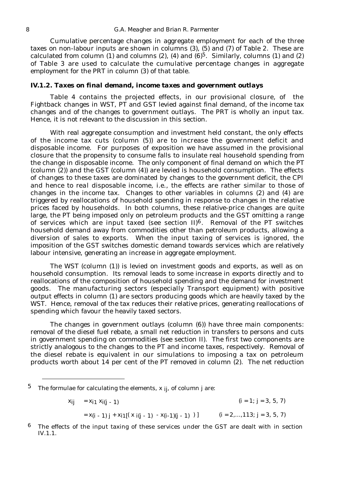Cumulative percentage changes in aggregate employment for each of the three taxes on non-labour inputs are shown in columns (3), (5) and (7) of Table 2. These are calculated from column (1) and columns (2), (4) and  $(6)^5$ . Similarly, columns (1) and (2) of Table 3 are used to calculate the cumulative percentage changes in aggregate employment for the PRT in column (3) of that table.

#### *IV.1.2. Taxes on final demand, income taxes and government outlays*

Table 4 contains the projected effects, in our provisional closure, of the Fightback changes in WST, PT and GST levied against final demand, of the income tax changes and of the changes to government outlays. The PRT is wholly an input tax. Hence, it is not relevant to the discussion in this section.

With real aggregate consumption and investment held constant, the only effects of the income tax cuts (column (5)) are to increase the government deficit and disposable income. For purposes of exposition we have assumed in the provisional closure that the propensity to consume falls to insulate real household spending from the change in disposable income. The only component of final demand on which the PT (column (2)) and the GST (column (4)) are levied is household consumption. The effects of changes to these taxes are dominated by changes to the government deficit, the CPI and hence to *real* disposable income, i.e., the effects are rather similar to those of changes in the income tax. Changes to other variables in columns (2) and (4) are triggered by reallocations of household spending in response to changes in the relative prices faced by households. In both columns, these relative-price changes are quite large, the PT being imposed only on petroleum products and the GST omitting a range of services which are input taxed (see section  $II$ )<sup>6</sup>. Removal of the PT switches household demand away from commodities other than petroleum products, allowing a diversion of sales to exports. When the input taxing of services is ignored, the imposition of the GST switches domestic demand towards services which are relatively labour intensive, generating an increase in aggregate employment.

The WST (column (1)) is levied on investment goods and exports, as well as on household consumption. Its removal leads to some increase in exports directly and to reallocations of the composition of household spending and the demand for investment goods. The manufacturing sectors (especially Transport equipment) with positive output effects in column (1) are sectors producing goods which are heavily taxed by the WST. Hence, removal of the tax reduces their relative prices, generating reallocations of spending which favour the heavily taxed sectors.

The changes in government outlays (column (6)) have three main components: removal of the diesel fuel rebate, a small net reduction in transfers to persons and cuts in government spending on commodities (see section II). The first two components are strictly analogous to the changes to the PT and income taxes, respectively. Removal of the diesel rebate is equivalent in our simulations to imposing a tax on petroleum products worth about 14 per cent of the PT removed in column (2). The net reduction

$$
x_{ij} = x_{i1} x_{i(j-1)}
$$
 (i = 1; j = 3, 5, 7)

 $= x(i - 1) i + xi1[(x i(i - 1) - x(i-1)(i - 1) )]$   $(i = 2,...,113; j = 3, 5, 7)$ 

<sup>5</sup> The formulae for calculating the elements,  $x_{ij}$ , of column j are:

 $6$  The effects of the input taxing of these services under the GST are dealt with in section IV.1.1.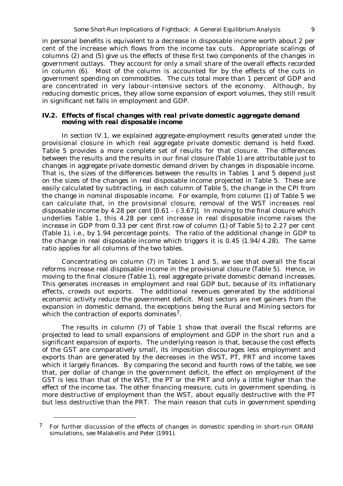in personal benefits is equivalent to a decrease in disposable income worth about 2 per cent of the increase which flows from the income tax cuts. Appropriate scalings of columns (2) and (5) give us the effects of these first two components of the changes in government outlays. They account for only a small share of the overall effects recorded in column (6). Most of the column is accounted for by the effects of the cuts in government spending on commodities. The cuts total more than 1 percent of GDP and are concentrated in very labour-intensive sectors of the economy. Although, by reducing domestic prices, they allow some expansion of export volumes, they still result in significant net falls in employment and GDP.

#### *IV.2. Effects of fiscal changes with real private domestic aggregate demand moving with real disposable income*

In section IV.1, we explained aggregate-employment results generated under the provisional closure in which real aggregate private domestic demand is held fixed. Table 5 provides a more complete set of results for that closure. The differences between the results and the results in our final closure (Table 1) are attributable just to changes in aggregate private domestic demand driven by changes in disposable income. That is, the sizes of the differences between the results in Tables 1 and 5 depend just on the sizes of the changes in real disposable income projected in Table 5. These are easily calculated by subtracting, in each column of Table 5, the change in the CPI from the change in nominal disposable income. For example, from column (1) of Table 5 we can calculate that, in the provisional closure, removal of the WST increases real disposable income by 4.28 per cent [0.61 - (-3.67)]. In moving to the final closure which underlies Table 1, this 4.28 per cent increase in real disposable income raises the increase in GDP from 0.33 per cent (first row of column (1) of Table 5) to 2.27 per cent (Table 1), i.e., by 1.94 percentage points. The ratio of the additional change in GDP to the change in real disposable income which triggers it is  $0.45$  (1.94/4.28). The same ratio applies for all columns of the two tables.

Concentrating on column (7) in Tables 1 and 5, we see that overall the fiscal reforms increase real disposable income in the provisional closure (Table 5). Hence, in moving to the final closure (Table 1), real aggregate private domestic demand increases. This generates increases in employment and real GDP but, because of its inflationary effects, crowds out exports. The additional revenues generated by the additional economic activity reduce the government deficit. Most sectors are net gainers from the expansion in domestic demand, the exceptions being the Rural and Mining sectors for which the contraction of exports dominates<sup>7</sup>.

The results in column (7) of Table 1 show that overall the fiscal reforms are projected to lead to small expansions of employment and GDP in the short run and a significant expansion of exports. The underlying reason is that, because the cost effects of the GST are comparatively small, its imposition discourages less employment and exports than are generated by the decreases in the WST, PT, PRT and income taxes which it largely finances. By comparing the second and fourth rows of the table, we see that, per dollar of change in the government deficit, the effect on employment of the GST is less than that of the WST, the PT or the PRT and only a little higher than the effect of the income tax. The other financing measure, cuts in government spending, is more destructive of employment than the WST, about equally destructive with the PT but less destructive than the PRT. The main reason that cuts in government spending

<sup>7</sup> For further discussion of the effects of changes in domestic spending in short-run ORANI simulations, see Malakellis and Peter (1991).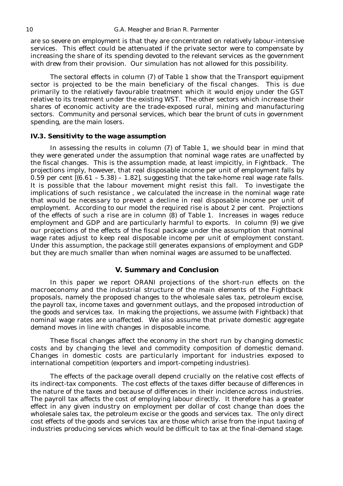are so severe on employment is that they are concentrated on relatively labour-intensive services. This effect could be attenuated if the private sector were to compensate by increasing the share of its spending devoted to the relevant services as the government with drew from their provision. Our simulation has not allowed for this possibility.

The sectoral effects in column (7) of Table 1 show that the Transport equipment sector is projected to be the main beneficiary of the fiscal changes. This is due primarily to the relatively favourable treatment which it would enjoy under the GST relative to its treatment under the existing WST. The other sectors which increase their shares of economic activity are the trade-exposed rural, mining and manufacturing sectors. Community and personal services, which bear the brunt of cuts in government spending, are the main losers.

#### *IV.3. Sensitivity to the wage assumption*

In assessing the results in column (7) of Table 1, we should bear in mind that they were generated under the assumption that nominal wage rates are unaffected by the fiscal changes. This is the assumption made, at least impicitly, in Fightback. The projections imply, however, that real disposable income per unit of employment falls by 0.59 per cent  $(6.61 - 5.38) - 1.82$ , suggesting that the take-home real wage rate falls. It is possible that the labour movement might resist this fall. To investigate the implications of such resistance , we calculated the increase in the nominal wage rate that would be necessary to prevent a decline in real disposable income per unit of employment. According to our model the required rise is about 2 per cent. Projections of the effects of such a rise are in column (8) of Table 1. Increases in wages reduce employment and GDP and are particularly harmful to exports. In column (9) we give our projections of the effects of the fiscal package under the assumption that nominal wage rates adjust to keep real disposable income per unit of employment constant. Under this assumption, the package still generates expansions of employment and GDP but they are much smaller than when nominal wages are assumed to be unaffected.

## *V. Summary and Conclusion*

In this paper we report ORANI projections of the short-run effects on the macroeconomy and the industrial structure of the main elements of the Fightback proposals, namely the proposed changes to the wholesale sales tax, petroleum excise, the payroll tax, income taxes and government outlays, and the proposed introduction of the goods and services tax. In making the projections, we assume (with Fightback) that nominal wage rates are unaffected. We also assume that private domestic aggregate demand moves in line with changes in disposable income.

These fiscal changes affect the economy in the short run by changing domestic costs and by changing the level and commodity composition of domestic demand. Changes in domestic costs are particularly important for industries exposed to international competition (exporters and import-competing industries).

The effects of the package overall depend crucially on the relative cost effects of its indirect-tax components. The cost effects of the taxes differ because of differences in the nature of the taxes and because of differences in their incidence across industries. The payroll tax affects the cost of employing labour directly. It therefore has a greater effect in any given industry on employment per dollar of cost change than does the wholesale sales tax, the petroleum excise or the goods and services tax. The only direct cost effects of the goods and services tax are those which arise from the input taxing of industries producing services which would be difficult to tax at the final-demand stage.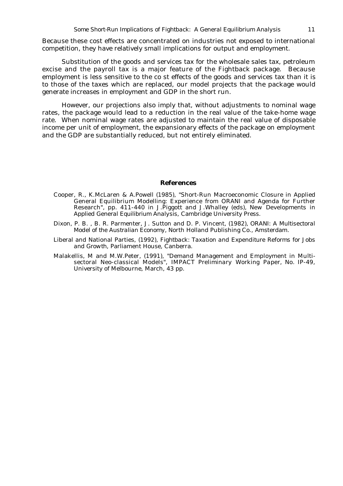Because these cost effects are concentrated on industries not exposed to international competition, they have relatively small implications for output and employment.

Substitution of the goods and services tax for the wholesale sales tax, petroleum excise and the payroll tax is a major feature of the Fightback package. Because employment is less sensitive to the co st effects of the goods and services tax than it is to those of the taxes which are replaced, our model projects that the package would generate increases in employment and GDP in the short run.

However, our projections also imply that, without adjustments to nominal wage rates, the package would lead to a reduction in the real value of the take-home wage rate. When nominal wage rates are adjusted to maintain the real value of disposable income per unit of employment, the expansionary effects of the package on employment and the GDP are substantially reduced, but not entirely eliminated.

#### *References*

- Cooper, R., K.McLaren & A.Powell (1985), "Short-Run Macroeconomic Closure in Applied General Equilibrium Modelling: Experience from ORANI and Agenda for Further Research", pp. 411-440 in J.Piggott and J.Whalley (eds), *New Developments in Applied General Equilibrium Analysis*, Cambridge University Press.
- Dixon, P. B. , B. R. Parmenter, J. Sutton and D. P. Vincent, (1982), *ORANI: A Multisectoral Model of the Australian Economy,* North Holland Publishing Co., Amsterdam.
- Liberal and National Parties, (1992), *Fightback: Taxation and Expenditure Reforms for Jobs and Growth*, Parliament House, Canberra.
- Malakellis, M and M.W.Peter, (1991), "Demand Management and Employment in Multisectoral Neo-classical Models", IMPACT *Preliminary Working Paper,* No. IP-49, University of Melbourne, March, 43 pp.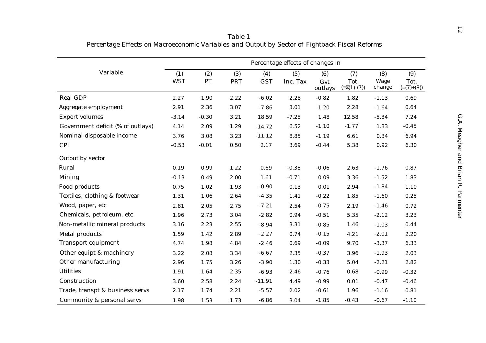|                                   |                   |           |                   |                   | Percentage effects of changes in |                       |                                   |                       |                             |
|-----------------------------------|-------------------|-----------|-------------------|-------------------|----------------------------------|-----------------------|-----------------------------------|-----------------------|-----------------------------|
| Variable                          | (1)<br><b>WST</b> | (2)<br>PT | (3)<br><b>PRT</b> | (4)<br><b>GST</b> | (5)<br>Inc. Tax                  | (6)<br>Gvt<br>outlays | (7)<br>Tot.<br>$(=\Sigma(1)-(7))$ | (8)<br>Wage<br>change | (9)<br>Tot.<br>$(=(7)+(8))$ |
| <b>Real GDP</b>                   | 2.27              | 1.90      | 2.22              | $-6.02$           | 2.28                             | $-0.82$               | 1.82                              | $-1.13$               | 0.69                        |
| Aggregate employment              | 2.91              | 2.36      | 3.07              | $-7.86$           | 3.01                             | $-1.20$               | 2.28                              | $-1.64$               | 0.64                        |
| <b>Export volumes</b>             | $-3.14$           | $-0.30$   | 3.21              | 18.59             | $-7.25$                          | 1.48                  | 12.58                             | $-5.34$               | 7.24                        |
| Government deficit (% of outlays) | 4.14              | 2.09      | 1.29              | $-14.72$          | 6.52                             | $-1.10$               | $-1.77$                           | 1.33                  | $-0.45$                     |
| Nominal disposable income         | 3.76              | 3.08      | 3.23              | $-11.12$          | 8.85                             | $-1.19$               | 6.61                              | 0.34                  | 6.94                        |
| <b>CPI</b>                        | $-0.53$           | $-0.01$   | 0.50              | 2.17              | 3.69                             | $-0.44$               | 5.38                              | 0.92                  | 6.30                        |
| <b>Output by sector</b>           |                   |           |                   |                   |                                  |                       |                                   |                       |                             |
| Rural                             | 0.19              | 0.99      | 1.22              | 0.69              | $-0.38$                          | $-0.06$               | 2.63                              | $-1.76$               | 0.87                        |
| <b>Mining</b>                     | $-0.13$           | 0.49      | 2.00              | 1.61              | $-0.71$                          | 0.09                  | 3.36                              | $-1.52$               | 1.83                        |
| Food products                     | 0.75              | 1.02      | 1.93              | $-0.90$           | 0.13                             | 0.01                  | 2.94                              | $-1.84$               | 1.10                        |
| Textiles, clothing & footwear     | 1.31              | 1.06      | 2.64              | $-4.35$           | 1.41                             | $-0.22$               | 1.85                              | $-1.60$               | 0.25                        |
| Wood, paper, etc                  | 2.81              | 2.05      | 2.75              | $-7.21$           | 2.54                             | $-0.75$               | 2.19                              | $-1.46$               | 0.72                        |
| Chemicals, petroleum, etc         | 1.96              | 2.73      | 3.04              | $-2.82$           | 0.94                             | $-0.51$               | 5.35                              | $-2.12$               | 3.23                        |
| Non-metallic mineral products     | 3.16              | 2.23      | 2.55              | $-8.94$           | 3.31                             | $-0.85$               | 1.46                              | $-1.03$               | 0.44                        |
| <b>Metal products</b>             | 1.59              | 1.42      | 2.89              | $-2.27$           | 0.74                             | $-0.15$               | 4.21                              | $-2.01$               | 2.20                        |
| <b>Transport equipment</b>        | 4.74              | 1.98      | 4.84              | $-2.46$           | 0.69                             | $-0.09$               | 9.70                              | $-3.37$               | 6.33                        |
| Other equipt & machinery          | 3.22              | 2.08      | 3.34              | $-6.67$           | 2.35                             | $-0.37$               | 3.96                              | $-1.93$               | 2.03                        |
| Other manufacturing               | 2.96              | 1.75      | 3.26              | $-3.90$           | 1.30                             | $-0.33$               | 5.04                              | $-2.21$               | 2.82                        |
| <b>Utilities</b>                  | 1.91              | 1.64      | 2.35              | $-6.93$           | 2.46                             | $-0.76$               | 0.68                              | $-0.99$               | $-0.32$                     |
| Construction                      | 3.60              | 2.58      | 2.24              | $-11.91$          | 4.49                             | $-0.99$               | 0.01                              | $-0.47$               | $-0.46$                     |
| Trade, transpt & business servs   | 2.17              | 1.74      | 2.21              | $-5.57$           | 2.02                             | $-0.61$               | 1.96                              | $-1.16$               | 0.81                        |
| Community & personal servs        | 1.98              | 1.53      | 1.73              | $-6.86$           | 3.04                             | $-1.85$               | $-0.43$                           | $-0.67$               | $-1.10$                     |

*Table 1 Percentage Effects on Macroeconomic Variables and Output by Sector of Fightback Fiscal Reforms*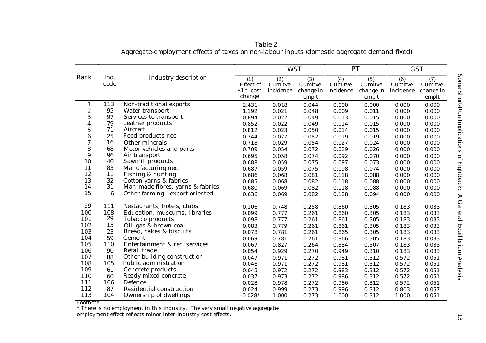|                       |                  |                                          |                      | <b>WST</b>     |                    |                | PT                 |                | <b>GST</b>         |  |
|-----------------------|------------------|------------------------------------------|----------------------|----------------|--------------------|----------------|--------------------|----------------|--------------------|--|
| <b>Rank</b>           | Ind.             | <b>Industry description</b>              | (1)                  | (2)            | (3)                | (4)            | (5)                | (6)            | (7)                |  |
|                       | code             |                                          | <b>Effect</b> of     | Cumltve        | Cumltve            | Cumltve        | Cumltve            | Cumltve        | Cumltve            |  |
|                       |                  |                                          | \$1b. cost<br>change | incidence      | change in<br>emplt | incidence      | change in<br>emplt | incidence      | change in<br>emplt |  |
|                       |                  |                                          |                      |                |                    |                |                    |                |                    |  |
| 1                     | 113<br>95        | Non-traditional exports                  | 2.431                | 0.018          | 0.044              | 0.000          | 0.000              | 0.000          | 0.000              |  |
| $\boldsymbol{2}$<br>3 | 97               | Water transport<br>Services to transport | 1.192                | 0.021          | 0.048              | 0.009          | 0.011              | 0.000          | 0.000              |  |
|                       | 79               | Leather products                         | 0.894                | 0.022          | 0.049              | 0.013          | 0.015              | 0.000          | 0.000              |  |
| 4<br>$\overline{5}$   | 71               | Aircraft                                 | 0.852                | 0.022          | 0.049              | 0.014          | 0.015              | 0.000          | 0.000              |  |
| $\boldsymbol{6}$      | 25               | Food products nec                        | 0.812                | 0.023          | 0.050              | 0.014          | 0.015              | 0.000          | 0.000              |  |
| 7                     | 16               | Other minerals                           | 0.744                | 0.027<br>0.029 | 0.052<br>0.054     | 0.019<br>0.027 | 0.019<br>0.024     | 0.000          | 0.000<br>0.000     |  |
| 8                     | 68               | Motor vehicles and parts                 | 0.718<br>0.709       | 0.054          | 0.072              | 0.029          | 0.026              | 0.000<br>0.000 | 0.000              |  |
| 9                     | 96               | Air transport                            |                      |                |                    |                |                    |                |                    |  |
| 10                    | 40               | Sawmill products                         | 0.695                | 0.058          | 0.074              | 0.092          | 0.070              | 0.000          | 0.000              |  |
| 11                    | 83               | Manufacturing nec                        | 0.688                | 0.059          | 0.075              | 0.097          | 0.073              | 0.000          | 0.000              |  |
| 12                    | 11               | Fishing & hunting                        | 0.687                | 0.059          | 0.075              | 0.098          | 0.074              | 0.000          | 0.000              |  |
| 13                    | 32               | Cotton yarns & fabrics                   | 0.686                | 0.068          | 0.081              | 0.118          | 0.088              | 0.000          | 0.000              |  |
| 14                    | 31               | Man-made fibres, yarns & fabrics         | 0.685                | 0.068          | 0.082              | 0.118          | 0.088              | 0.000          | 0.000              |  |
| 15                    | $\boldsymbol{6}$ |                                          | 0.680                | 0.069          | 0.082              | 0.118          | 0.088              | 0.000          | 0.000              |  |
|                       |                  | Other farming - export oriented          | 0.636                | 0.069          | 0.082              | 0.128          | 0.094              | 0.000          | 0.000              |  |
| 99                    | 111              | Restaurants, hotels, clubs               | 0.106                | 0.748          | 0.258              | 0.860          | 0.305              | 0.183          | 0.033              |  |
| 100                   | 108              | Education, museums, libraries            | 0.099                | 0.777          | 0.261              | 0.860          | 0.305              | 0.183          | 0.033              |  |
| 101                   | 29               | <b>Tobacco products</b>                  | 0.098                | 0.777          | 0.261              | 0.861          | 0.305              | 0.183          | 0.033              |  |
| 102                   | 15               | Oil, gas & brown coal                    | 0.083                | 0.779          | 0.261              | 0.861          | 0.305              | 0.183          | 0.033              |  |
| 103                   | 23               | Bread, cakes & biscuits                  | 0.078                | 0.781          | 0.261              | 0.865          | 0.305              | 0.183          | 0.033              |  |
| 104                   | 59               | Cement                                   | 0.069                | 0.781          | 0.261              | 0.866          | 0.305              | 0.183          | 0.033              |  |
| 105                   | 110              | Entertainment & rec. services            | 0.067                | 0.827          | 0.264              | 0.884          | 0.307              | 0.183          | 0.033              |  |
| 106                   | 90               | Retail trade                             | 0.054                | 0.929          | 0.270              | 0.949          | 0.310              | 0.183          | 0.033              |  |
| 107                   | 88               | Other building construction              | 0.047                | 0.971          | 0.272              | 0.981          | 0.312              | 0.572          | 0.051              |  |
| 108                   | 105              | <b>Public administration</b>             | 0.046                | 0.971          | 0.272              | 0.981          | 0.312              | 0.572          | 0.051              |  |
| 109                   | 61               | Concrete products                        | 0.045                | 0.972          | 0.272              | 0.983          | 0.312              | 0.572          | 0.051              |  |
| 110                   | 60               | Ready mixed concrete                     | 0.037                | 0.973          | 0.272              | 0.986          | 0.312              | 0.572          | 0.051              |  |
| 111                   | 106              | Defence                                  | 0.028                | 0.978          | 0.272              | 0.986          | 0.312              | 0.572          | 0.051              |  |
| 112                   | 87               | Residential construction                 | 0.024                | 0.999          | 0.273              | 0.996          | 0.312              | 0.803          | 0.057              |  |
| 113                   | 104              | Ownership of dwellings                   | $-0.028*$            | 1.000          | 0.273              | 1.000          | 0.312              | 1.000          | 0.051              |  |

*Table 2 Aggregate-employment effects of taxes on non-labour inputs (domestic aggregate demand fixed)*

Footnote \* There is no employment in this industry. The very small negative aggregate-

employment effect reflects minor inter-industry cost effects.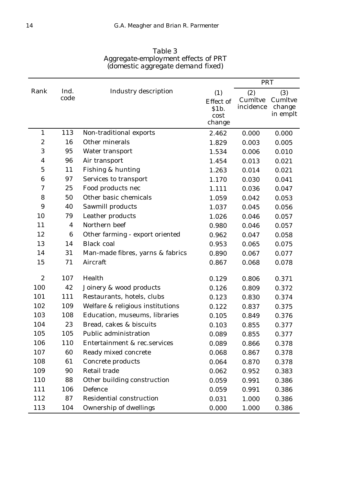|                  |                         |                                  |                                                    | <b>PRT</b>                  |                                      |
|------------------|-------------------------|----------------------------------|----------------------------------------------------|-----------------------------|--------------------------------------|
| Rank             | Ind.<br>code            | <b>Industry description</b>      | (1)<br><b>Effect</b> of<br>\$1b.<br>cost<br>change | (2)<br>Cumltve<br>incidence | (3)<br>Cumltve<br>change<br>in emplt |
| $\mathbf{1}$     | 113                     | Non-traditional exports          | 2.462                                              | 0.000                       | 0.000                                |
| $\boldsymbol{2}$ | 16                      | Other minerals                   | 1.829                                              | 0.003                       | 0.005                                |
| 3                | 95                      | Water transport                  | 1.534                                              | 0.006                       | 0.010                                |
| 4                | 96                      | Air transport                    | 1.454                                              | 0.013                       | 0.021                                |
| $\mathbf 5$      | 11                      | Fishing & hunting                | 1.263                                              | 0.014                       | 0.021                                |
| 6                | 97                      | Services to transport            | 1.170                                              | 0.030                       | 0.041                                |
| 7                | 25                      | Food products nec                | 1.111                                              | 0.036                       | 0.047                                |
| 8                | 50                      | Other basic chemicals            | 1.059                                              | 0.042                       | 0.053                                |
| 9                | 40                      | Sawmill products                 | 1.037                                              | 0.045                       | 0.056                                |
| 10               | 79                      | Leather products                 | 1.026                                              | 0.046                       | 0.057                                |
| 11               | $\overline{\mathbf{4}}$ | Northern beef                    | 0.980                                              | 0.046                       | 0.057                                |
| 12               | 6                       | Other farming - export oriented  | 0.962                                              | 0.047                       | 0.058                                |
| 13               | 14                      | <b>Black coal</b>                | 0.953                                              | 0.065                       | 0.075                                |
| 14               | 31                      | Man-made fibres, yarns & fabrics | 0.890                                              | 0.067                       | 0.077                                |
| 15               | 71                      | Aircraft                         | 0.867                                              | 0.068                       | 0.078                                |
| $\boldsymbol{2}$ | 107                     | Health                           | 0.129                                              | 0.806                       | 0.371                                |
| 100              | 42                      | Joinery & wood products          | 0.126                                              | 0.809                       | 0.372                                |
| 101              | 111                     | Restaurants, hotels, clubs       | 0.123                                              | 0.830                       | 0.374                                |
| 102              | 109                     | Welfare & religious institutions | 0.122                                              | 0.837                       | 0.375                                |
| 103              | 108                     | Education, museums, libraries    | 0.105                                              | 0.849                       | 0.376                                |
| 104              | 23                      | Bread, cakes & biscuits          | 0.103                                              | 0.855                       | 0.377                                |
| 105              | 105                     | <b>Public administration</b>     | 0.089                                              | 0.855                       | 0.377                                |
| 106              | 110                     | Entertainment & rec.services     | 0.089                                              | 0.866                       | 0.378                                |
| 107              | 60                      | Ready mixed concrete             | 0.068                                              | 0.867                       | 0.378                                |
| 108              | 61                      | Concrete products                | 0.064                                              | 0.870                       | 0.378                                |
| 109              | 90                      | Retail trade                     | 0.062                                              | 0.952                       | 0.383                                |
| 110              | 88                      | Other building construction      | 0.059                                              | 0.991                       | 0.386                                |
| 111              | 106                     | Defence                          | 0.059                                              | 0.991                       | 0.386                                |

112 87 Residential construction 0.031 1.000 0.386 113 104 Ownership of dwellings 0.000 1.000 0.386

*Table 3 Aggregate-employment effects of PRT*

Щ,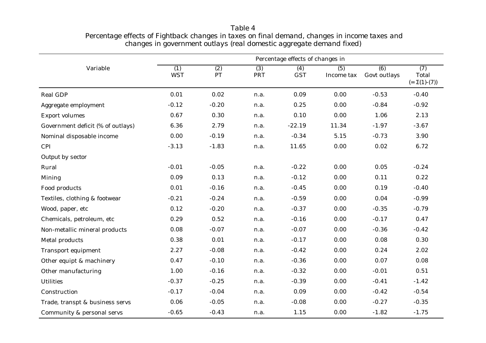|                                   | Percentage effects of changes in |                        |                   |                   |                   |                                  |                                                 |  |
|-----------------------------------|----------------------------------|------------------------|-------------------|-------------------|-------------------|----------------------------------|-------------------------------------------------|--|
| Variable                          | (1)<br><b>WST</b>                | $\overline{(2)}$<br>PT | (3)<br><b>PRT</b> | (4)<br><b>GST</b> | (5)<br>Income tax | $\overline{(6)}$<br>Govt outlays | $\overline{(7)}$<br>Total<br>$(=\Sigma(1)-(7))$ |  |
| <b>Real GDP</b>                   | 0.01                             | 0.02                   | n.a.              | 0.09              | 0.00              | $-0.53$                          | $-0.40$                                         |  |
| Aggregate employment              | $-0.12$                          | $-0.20$                | n.a.              | 0.25              | 0.00              | $-0.84$                          | $-0.92$                                         |  |
| <b>Export volumes</b>             | 0.67                             | 0.30                   | n.a.              | 0.10              | 0.00              | 1.06                             | 2.13                                            |  |
| Government deficit (% of outlays) | 6.36                             | 2.79                   | n.a.              | $-22.19$          | 11.34             | $-1.97$                          | $-3.67$                                         |  |
| Nominal disposable income         | 0.00                             | $-0.19$                | n.a.              | $-0.34$           | 5.15              | $-0.73$                          | 3.90                                            |  |
| <b>CPI</b>                        | $-3.13$                          | $-1.83$                | n.a.              | 11.65             | 0.00              | 0.02                             | 6.72                                            |  |
| <b>Output by sector</b>           |                                  |                        |                   |                   |                   |                                  |                                                 |  |
| Rural                             | $-0.01$                          | $-0.05$                | n.a.              | $-0.22$           | 0.00              | 0.05                             | $-0.24$                                         |  |
| <b>Mining</b>                     | 0.09                             | 0.13                   | n.a.              | $-0.12$           | 0.00              | 0.11                             | 0.22                                            |  |
| Food products                     | 0.01                             | $-0.16$                | n.a.              | $-0.45$           | 0.00              | 0.19                             | $-0.40$                                         |  |
| Textiles, clothing & footwear     | $-0.21$                          | $-0.24$                | n.a.              | $-0.59$           | 0.00              | 0.04                             | $-0.99$                                         |  |
| Wood, paper, etc                  | 0.12                             | $-0.20$                | n.a.              | $-0.37$           | 0.00              | $-0.35$                          | $-0.79$                                         |  |
| Chemicals, petroleum, etc         | 0.29                             | 0.52                   | n.a.              | $-0.16$           | 0.00              | $-0.17$                          | 0.47                                            |  |
| Non-metallic mineral products     | 0.08                             | $-0.07$                | n.a.              | $-0.07$           | 0.00              | $-0.36$                          | $-0.42$                                         |  |
| Metal products                    | 0.38                             | 0.01                   | n.a.              | $-0.17$           | 0.00              | 0.08                             | 0.30                                            |  |
| <b>Transport equipment</b>        | 2.27                             | $-0.08$                | n.a.              | $-0.42$           | 0.00              | 0.24                             | 2.02                                            |  |
| Other equipt & machinery          | 0.47                             | $-0.10$                | n.a.              | $-0.36$           | 0.00              | 0.07                             | 0.08                                            |  |
| Other manufacturing               | 1.00                             | $-0.16$                | n.a.              | $-0.32$           | 0.00              | $-0.01$                          | 0.51                                            |  |
| <b>Utilities</b>                  | $-0.37$                          | $-0.25$                | n.a.              | $-0.39$           | 0.00              | $-0.41$                          | $-1.42$                                         |  |
| Construction                      | $-0.17$                          | $-0.04$                | n.a.              | 0.09              | 0.00              | $-0.42$                          | $-0.54$                                         |  |
| Trade, transpt & business servs   | 0.06                             | $-0.05$                | n.a.              | $-0.08$           | 0.00              | $-0.27$                          | $-0.35$                                         |  |
| Community & personal servs        | $-0.65$                          | $-0.43$                | n.a.              | 1.15              | 0.00              | $-1.82$                          | $-1.75$                                         |  |

*Table 4 Percentage effects of Fightback changes in taxes on final demand, changes in income taxes and changes in government outlays (real domestic aggregate demand fixed)*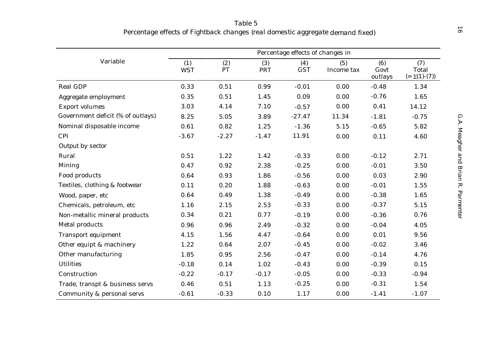|                                   |                   |                  |                   | Percentage effects of changes in |                   |                        |                                    |
|-----------------------------------|-------------------|------------------|-------------------|----------------------------------|-------------------|------------------------|------------------------------------|
| Variable                          | (1)<br><b>WST</b> | (2)<br><b>PT</b> | (3)<br><b>PRT</b> | (4)<br><b>GST</b>                | (5)<br>Income tax | (6)<br>Govt<br>outlays | (7)<br>Total<br>$(=\Sigma(1)-(7))$ |
| <b>Real GDP</b>                   | 0.33              | 0.51             | 0.99              | $-0.01$                          | 0.00              | $-0.48$                | 1.34                               |
| Aggregate employment              | 0.35              | 0.51             | 1.45              | 0.09                             | 0.00              | $-0.76$                | 1.65                               |
| <b>Export volumes</b>             | 3.03              | 4.14             | 7.10              | $-0.57$                          | 0.00              | 0.41                   | 14.12                              |
| Government deficit (% of outlays) | 8.25              | 5.05             | 3.89              | $-27.47$                         | 11.34             | $-1.81$                | $-0.75$                            |
| Nominal disposable income         | 0.61              | 0.82             | 1.25              | $-1.36$                          | 5.15              | $-0.65$                | 5.82                               |
| <b>CPI</b>                        | $-3.67$           | $-2.27$          | $-1.47$           | 11.91                            | 0.00              | 0.11                   | 4.60                               |
| <b>Output by sector</b>           |                   |                  |                   |                                  |                   |                        |                                    |
| Rural                             | 0.51              | 1.22             | 1.42              | $-0.33$                          | 0.00              | $-0.12$                | 2.71                               |
| <b>Mining</b>                     | 0.47              | 0.92             | 2.38              | $-0.25$                          | 0.00              | $-0.01$                | 3.50                               |
| Food products                     | 0.64              | 0.93             | 1.86              | $-0.56$                          | 0.00              | 0.03                   | 2.90                               |
| Textiles, clothing & footwear     | 0.11              | 0.20             | 1.88              | $-0.63$                          | 0.00              | $-0.01$                | 1.55                               |
| Wood, paper, etc                  | 0.64              | 0.49             | 1.38              | $-0.49$                          | 0.00              | $-0.38$                | 1.65                               |
| Chemicals, petroleum, etc         | 1.16              | 2.15             | 2.53              | $-0.33$                          | 0.00              | $-0.37$                | 5.15                               |
| Non-metallic mineral products     | 0.34              | 0.21             | 0.77              | $-0.19$                          | 0.00              | $-0.36$                | 0.76                               |
| <b>Metal products</b>             | 0.96              | 0.96             | 2.49              | $-0.32$                          | 0.00              | $-0.04$                | 4.05                               |
| <b>Transport equipment</b>        | 4.15              | 1.56             | 4.47              | $-0.64$                          | 0.00              | 0.01                   | 9.56                               |
| Other equipt & machinery          | 1.22              | 0.64             | 2.07              | $-0.45$                          | 0.00              | $-0.02$                | 3.46                               |
| Other manufacturing               | 1.85              | 0.95             | 2.56              | $-0.47$                          | 0.00              | $-0.14$                | 4.76                               |
| <b>Utilities</b>                  | $-0.18$           | 0.14             | 1.02              | $-0.43$                          | 0.00              | $-0.39$                | 0.15                               |
| Construction                      | $-0.22$           | $-0.17$          | $-0.17$           | $-0.05$                          | 0.00              | $-0.33$                | $-0.94$                            |
| Trade, transpt & business servs   | 0.46              | 0.51             | 1.13              | $-0.25$                          | 0.00              | $-0.31$                | 1.54                               |
| Community & personal servs        | $-0.61$           | $-0.33$          | 0.10              | 1.17                             | 0.00              | $-1.41$                | $-1.07$                            |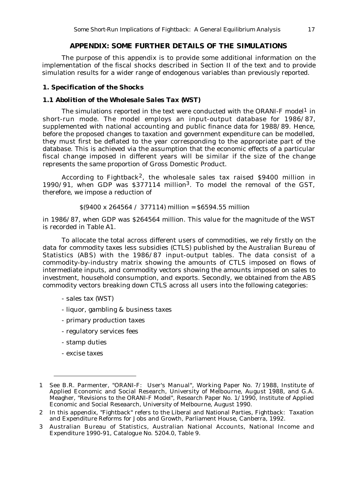## *APPENDIX: SOME FURTHER DETAILS OF THE SIMULATIONS*

The purpose of this appendix is to provide some additional information on the implementation of the fiscal shocks described in Section II of the text and to provide simulation results for a wider range of endogenous variables than previously reported.

### *1. Specification of the Shocks*

#### *1.1 Abolition of the Wholesale Sales Tax (WST)*

The simulations reported in the text were conducted with the ORANI-F model<sup>1</sup> in short-run mode. The model employs an input-output database for 1986/87, supplemented with national accounting and public finance data for 1988/89. Hence, before the proposed changes to taxation and government expenditure can be modelled, they must first be deflated to the year corresponding to the appropriate part of the database. This is achieved via the assumption that the economic effects of a particular fiscal change imposed in different years will be similar if the size of the change represents the same proportion of Gross Domestic Product.

According to Fightback<sup>2</sup>, the wholesale sales tax raised \$9400 million in 1990/91, when GDP was \$377114 million3. To model the removal of the GST, therefore, we impose a reduction of

#### $$(9400 \times 264564 / 377114) \text{ million} = $6594.55 \text{ million}$

in 1986/87, when GDP was \$264564 million. This value for the magnitude of the WST is recorded in Table A1.

To allocate the total across different users of commodities, we rely firstly on the data for commodity taxes less subsidies (CTLS) published by the Australian Bureau of Statistics (ABS) with the 1986/87 input-output tables. The data consist of a commodity-by-industry matrix showing the amounts of CTLS imposed on flows of intermediate inputs, and commodity vectors showing the amounts imposed on sales to investment, household consumption, and exports. Secondly, we obtained from the ABS commodity vectors breaking down CTLS across all users into the following categories:

- sales tax (WST)
- liquor, gambling & business taxes
- primary production taxes
- regulatory services fees
- stamp duties
- excise taxes

<sup>1</sup> See B.R. Parmenter, "ORANI-F: User's Manual", Working Paper No. 7/1988, Institute of Applied Economic and Social Research, University of Melbourne, August 1988, and G.A. Meagher, "Revisions to the ORANI-F Model", Research Paper No. 1/1990, Institute of Applied Economic and Social Reseaarch, University of Melbourne, August 1990.

<sup>2</sup> In this appendix, "Fightback" refers to the Liberal and National Parties, Fightback: Taxation and Expenditure Reforms for Jobs and Growth, Parliament House, Canberra, 1992.

<sup>3</sup> Australian Bureau of Statistics, Australian National Accounts, National Income and Expenditure 1990-91, Catalogue No. 5204.0, Table 9.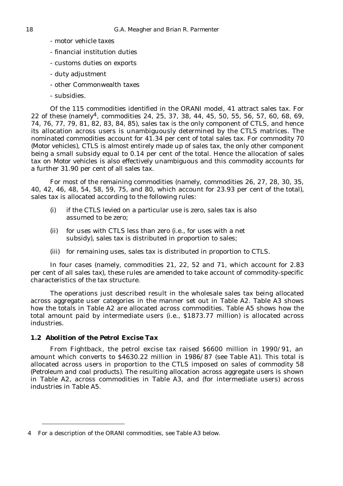- motor vehicle taxes
- financial institution duties
- customs duties on exports
- duty adjustment
- other Commonwealth taxes
- subsidies.

Of the 115 commodities identified in the ORANI model, 41 attract sales tax. For 22 of these (namely4, commodities 24, 25, 37, 38, 44, 45, 50, 55, 56, 57, 60, 68, 69, 74, 76, 77, 79, 81, 82, 83, 84, 85), sales tax is the only component of CTLS, and hence its allocation across users is unambiguously determined by the CTLS matrices. The nominated commodities account for 41.34 per cent of total sales tax. For commodity 70 *(Motor vehicles)*, CTLS is almost entirely made up of sales tax, the only other component being a small subsidy equal to 0.14 per cent of the total. Hence the allocation of sales tax on *Motor vehicles* is also effectively unambiguous and this commodity accounts for a further 31.90 per cent of all sales tax.

For most of the remaining commodities (namely, commodities 26, 27, 28, 30, 35, 40, 42, 46, 48, 54, 58, 59, 75, and 80, which account for 23.93 per cent of the total), sales tax is allocated according to the following rules:

- (i) if the CTLS levied on a particular use is zero, sales tax is also assumed to be zero;
- (ii) for uses with CTLS less than zero (i.e., for uses with a net subsidy), sales tax is distributed in proportion to sales;
- (iii) for remaining uses, sales tax is distributed in proportion to CTLS.

In four cases (namely, commodities 21, 22, 52 and 71, which account for 2.83 per cent of all sales tax), these rules are amended to take account of commodity-specific characteristics of the tax structure.

The operations just described result in the wholesale sales tax being allocated across aggregate user categories in the manner set out in Table A2. Table A3 shows how the totals in Table A2 are allocated across commodities. Table A5 shows how the total amount paid by intermediate users (i.e., \$1873.77 million) is allocated across industries.

## *1.2 Abolition of the Petrol Excise Tax*

From Fightback, the petrol excise tax raised \$6600 million in 1990/91, an amount which converts to \$4630.22 million in 1986/87 (see Table A1). This total is allocated across users in proportion to the CTLS imposed on sales of commodity 58 *(Petroleum and coal products).* The resulting allocation across aggregate users is shown in Table A2, across commodities in Table A3, and (for intermediate users) across industries in Table A5.

<sup>4</sup> For a description of the ORANI commodities, see Table A3 below.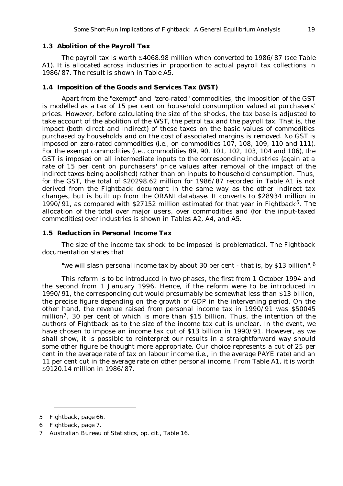#### *1.3 Abolition of the Payroll Tax*

The payroll tax is worth \$4068.98 million when converted to 1986/87 (see Table A1). It is allocated across industries in proportion to actual payroll tax collections in 1986/87. The result is shown in Table A5.

#### *1.4 Imposition of the Goods and Services Tax (WST)*

Apart from the "exempt" and "zero-rated" commodities, the imposition of the GST is modelled as a tax of 15 per cent on household consumption valued at purchasers' prices. However, before calculating the size of the shocks, the tax base is adjusted to take account of the abolition of the WST, the petrol tax and the payroll tax. That is, the impact (both direct and indirect) of these taxes on the basic values of commodities purchased by households and on the cost of associated margins is removed. No GST is imposed on zero-rated commodities (i.e., on commodities 107, 108, 109, 110 and 111). For the exempt commodities (i.e., commodities 89, 90, 101, 102, 103, 104 and 106), the GST is imposed on all intermediate inputs to the corresponding industries (again at a rate of 15 per cent on purchasers' price values after removal of the impact of the indirect taxes being abolished) rather than on inputs to household consumption. Thus, for the GST, the total of \$20298.62 million for 1986/87 recorded in Table A1 is not derived from the Fightback document in the same way as the other indirect tax changes, but is built up from the ORANI database. It converts to \$28934 million in 1990/91, as compared with \$27152 million estimated for that year in Fightback<sup>5</sup>. The allocation of the total over major users, over commodities and (for the input-taxed commodities) over industries is shown in Tables A2, A4, and A5.

#### *1.5 Reduction in Personal Income Tax*

The size of the income tax shock to be imposed is problematical. The Fightback documentation states that

"we will slash personal income tax by about 30 per cent - that is, by \$13 billion".<sup>6</sup>

This reform is to be introduced in two phases, the first from 1 October 1994 and the second from 1 January 1996. Hence, if the reform were to be introduced in 1990/91, the corresponding cut would presumably be somewhat less than \$13 billion, the precise figure depending on the growth of GDP in the intervening period. On the other hand, the revenue raised from personal income tax in 1990/91 was \$50045 million<sup>7</sup>, 30 per cent of which is more than \$15 billion. Thus, the intention of the authors of Fightback as to the size of the income tax cut is unclear. In the event, we have chosen to impose an income tax cut of \$13 billion in 1990/91. However, as we shall show, it is possible to reinterpret our results in a straightforward way should some other figure be thought more appropriate. Our choice represents a cut of 25 per cent in the average rate of tax on labour income (i.e., in the average PAYE rate) and an 11 per cent cut in the average rate on other personal income. From Table A1, it is worth \$9120.14 million in 1986/87.

<sup>5</sup> Fightback, page 66.

<sup>6</sup> Fightback, page 7.

<sup>7</sup> Australian Bureau of Statistics, op. cit., Table 16.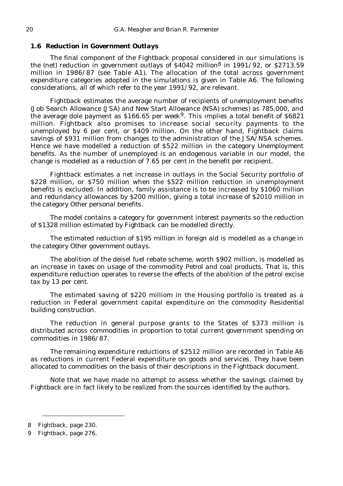### *1.6 Reduction in Government Outlays*

The final component of the Fightback proposal considered in our simulations is the (net) reduction in government outlays of \$4042 million8 in 1991/92, or \$2713.59 million in 1986/87 (see Table A1). The allocation of the total across government expenditure categories adopted in the simulations is given in Table A6. The following considerations, all of which refer to the year 1991/92, are relevant.

Fightback estimates the average number of recipients of unemployment benefits (Job Search Allowance (JSA) and New Start Allowance (NSA) schemes) as 785,000, and the average dole payment as  $$166.65$  per week<sup>9</sup>. This implies a total benefit of  $$6821$ million. Fightback also promises to increase social security payments to the unemployed by 6 per cent, or \$409 million. On the other hand, Fightback claims savings of \$931 million from changes to the administration of the JSA/NSA schemes. Hence we have modelled a reduction of \$522 million in the category *Unemployment benefits*. As the number of unemployed is an endogenous variable in our model, the change is modelled as a reduction of 7.65 per cent in the benefit per recipient.

Fightback estimates a net increase in outlays in the Social Security portfolio of \$228 million, or \$750 million when the \$522 million reduction in unemployment benefits is excluded. In addition, family assistance is to be increased by \$1060 million and redundancy allowances by \$200 million, giving a total increase of \$2010 million in the category *Other personal benefits*.

The model contains a category for government interest payments so the reduction of \$1328 million estimated by Fightback can be modelled directly.

The estimated reduction of \$195 million in foreign aid is modelled as a change in the category *Other government outlays*.

The abolition of the deisel fuel rebate scheme, worth \$902 million, is modelled as an increase in taxes on usage of the commodity *Petrol and coal products*. That is, this expenditure reduction operates to reverse the effects of the abolition of the petrol excise tax by 13 per cent.

The estimated saving of \$220 milliom in the Housing portfolio is treated as a reduction in Federal government capital expenditure on the commodity *Residential building construction*.

The reduction in general purpose grants to the States of \$373 million is distributed across commodities in proportion to total current government spending on commodities in 1986/87.

The remaining expenditure reductions of \$2512 million are recorded in Table A6 as reductions in current Federal expenditure on goods and services. They have been allocated to commodities on the basis of their descriptions in the Fightback document.

Note that we have made no attempt to assess whether the savings claimed by Fightback are in fact likely to be realized from the sources identified by the authors.

<sup>8</sup> Fightback, page 230.

<sup>9</sup> Fightback, page 276.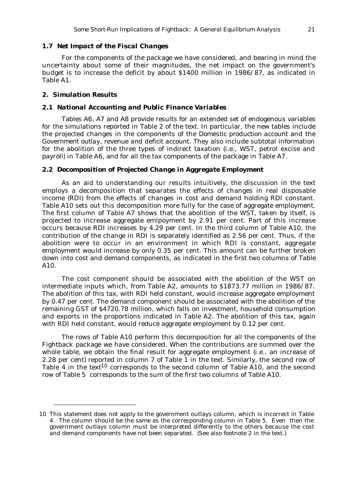#### *1.7 Net Impact of the Fiscal Changes*

For the components of the package we have considered, and bearing in mind the uncertainty about some of their magnitudes, the net impact on the government's budget is to increase the deficit by about \$1400 million in 1986/87, as indicated in Table A1.

#### *2. Simulation Results*

#### *2.1 National Accounting and Public Finance Variables*

Tables A6, A7 and A8 provide results for an extended set of endogenous variables for the simulations reported in Table 2 of the text. In particular, the new tables include the projected changes in the components of the *Domestic production account* and the *Government outlay, revenue and deficit account*. They also include subtotal information for the abolition of the three types of indirect taxation (i.e., WST, petrol excise and payroll) in Table A6, and for all the tax components of the package in Table A7.

# *2.2 Decomposition of Projected Change in Aggregate Employment*

As an aid to understanding our results intuitively, the discussion in the text employs a decomposition that separates the effects of changes in real disposable income (RDI) from the effects of changes in cost and demand holding RDI constant. Table A10 sets out this decomposition more fully for the case of aggregate employment. The first column of Table A7 shows that the abolition of the WST, taken by itself, is projected to increase aggregate emlpoyment by 2.91 per cent. Part of this increase occurs because RDI increases by 4.29 per cent. In the third column of Table A10, the contribution of the change in RDI is separately identified as 2.56 per cent. Thus, if the abolition were to occur in an environment in which RDI is constant, aggregate employment would increase by only 0.35 per cent. This amount can be further broken down into cost and demand components, as indicated in the first two columns of Table A10.

The cost component should be associated with the abolition of the WST on intermediate inputs which, from Table A2, amounts to \$1873.77 million in 1986/87. The abolition of this tax, with RDI held constant, would increase aggregate employment by 0.47 per cent. The demand component should be associated with the abolition of the remaining GST of \$4720.78 million, which falls on investment, household consumption and exports in the proportions indicated in Table A2. The abolition of this tax, again with RDI held constant, would reduce aggregate employment by 0.12 per cent.

The rows of Table A10 perform this decomposition for all the components of the Fightback package we have considered. When the contributions are summed over the whole table, we obtain the final result for aggregate employment (i.e., an increase of 2.28 per cent) reported in column 7 of Table 1 in the text. Similarly, the second row of Table 4 in the text<sup>10</sup> corresponds to the second column of Table A10, and the second row of Table 5 corresponds to the sum of the first two columns of Table A10.

<sup>10</sup> This statement does not apply to the government outlays column, which is incorrect in Table 4. The column should be the same as the corresponding column in Table 5. Even then the government outlays column must be interpreted differently to the others because the cost and demand components have not been separated. (See also footnote 2 in the text.)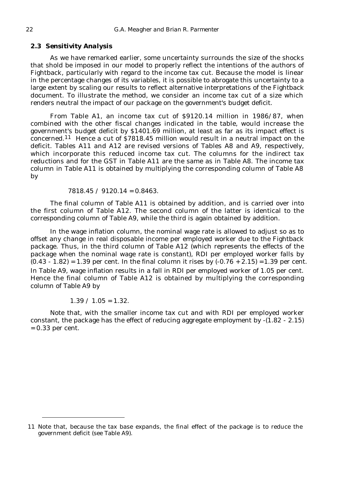#### *2.3 Sensitivity Analysis*

As we have remarked earlier, some uncertainty surrounds the size of the shocks that shold be imposed in our model to properly reflect the intentions of the authors of Fightback, particularly with regard to the income tax cut. Because the model is linear in the percentage changes of its variables, it is possible to abrogate this uncertainty to a large extent by scaling our results to reflect alternative interpretations of the Fightback document. To illustrate the method, we consider an income tax cut of a size which renders neutral the impact of our package on the government's budget deficit.

From Table A1, an income tax cut of \$9120.14 million in 1986/87, when combined with the other fiscal changes indicated in the table, would increase the government's budget deficit by \$1401.69 million, at least as far as its impact effect is concerned.<sup>11</sup> Hence a cut of  $\frac{57818.45}{2}$  million would result in a neutral impact on the deficit. Tables A11 and A12 are revised versions of Tables A8 and A9, respectively, which incorporate this reduced income tax cut. The columns for the indirect tax reductions and for the GST in Table A11 are the same as in Table A8. The income tax column in Table A11 is obtained by multiplying the corresponding column of Table A8 by

 $7818.45 / 9120.14 = 0.8463.$ 

The final column of Table A11 is obtained by addition, and is carried over into the first column of Table A12. The second column of the latter is identical to the corresponding column of Table A9, while the third is again obtained by addition.

In the wage inflation column, the nominal wage rate is allowed to adjust so as to offset any change in real disposable income per employed worker due to the Fightback package. Thus, in the third column of Table A12 (which represents the effects of the package when the nominal wage rate is constant), RDI per employed worker falls by  $(0.43 - 1.82) = 1.39$  per cent. In the final column it rises by  $(-0.76 + 2.15) = 1.39$  per cent. In Table A9, wage inflation results in a fall in RDI per employed worker of 1.05 per cent. Hence the final column of Table A12 is obtained by multiplying the corresponding column of Table A9 by

 $1.39 / 1.05 = 1.32$ .

Note that, with the smaller income tax cut and with RDI per employed worker constant, the package has the effect of reducing aggregate employment by -(1.82 - 2.15) = 0.33 per cent.

<sup>11</sup> Note that, because the tax base expands, the final effect of the package is to reduce the government deficit (see Table A9).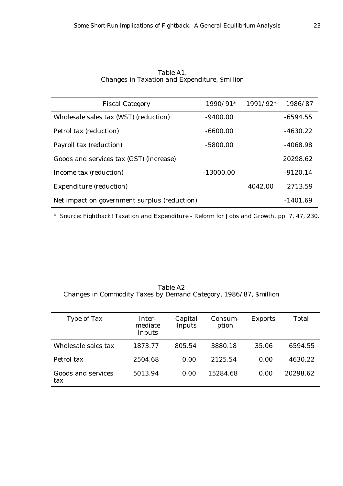| <b>Fiscal Category</b>                       | 1990/91*    | $1991/92*$ | 1986/87    |
|----------------------------------------------|-------------|------------|------------|
| Wholesale sales tax (WST) (reduction)        | $-9400.00$  |            | $-6594.55$ |
| Petrol tax (reduction)                       | $-6600.00$  |            | $-4630.22$ |
| Payroll tax (reduction)                      | $-5800.00$  |            | $-4068.98$ |
| Goods and services tax (GST) (increase)      |             |            | 20298.62   |
| Income tax (reduction)                       | $-13000.00$ |            | $-9120.14$ |
| <b>Expenditure (reduction)</b>               |             | 4042.00    | 2713.59    |
| Net impact on government surplus (reduction) |             |            | $-1401.69$ |

*Table A1. Changes in Taxation and Expenditure, \$million*

\* Source: Fightback! Taxation and Expenditure - Reform for Jobs and Growth, pp. 7, 47, 230.

*Table A2 Changes in Commodity Taxes by Demand Category, 1986/87, \$million*

| Type of Tax               | Inter-<br>mediate<br>Inputs | Capital<br>Inputs | Consum-<br>ption | <b>Exports</b> | Total    |
|---------------------------|-----------------------------|-------------------|------------------|----------------|----------|
| Wholesale sales tax       | 1873.77                     | 805.54            | 3880.18          | 35.06          | 6594.55  |
| Petrol tax                | 2504.68                     | 0.00              | 2125.54          | 0.00           | 4630.22  |
| Goods and services<br>tax | 5013.94                     | 0.00              | 15284.68         | 0.00           | 20298.62 |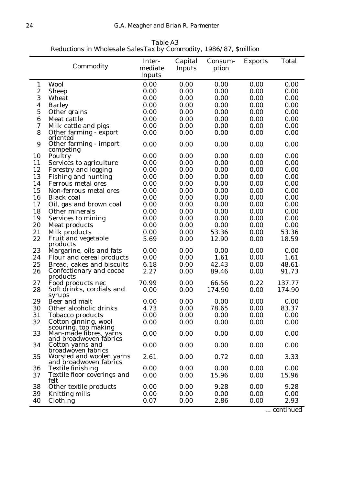|                  |                                                                  | Inter-  | Capital | Consum- | <b>Exports</b> | Total  |
|------------------|------------------------------------------------------------------|---------|---------|---------|----------------|--------|
|                  | Commodity                                                        | mediate | Inputs  | ption   |                |        |
|                  |                                                                  | Inputs  |         |         |                |        |
| $\mathbf{1}$     | <b>Wool</b>                                                      | 0.00    | 0.00    | 0.00    | 0.00           | 0.00   |
| $\boldsymbol{2}$ | <b>Sheep</b>                                                     | 0.00    | 0.00    | 0.00    | 0.00           | 0.00   |
| 3                | Wheat                                                            | 0.00    | 0.00    | 0.00    | 0.00           | 0.00   |
| 4                | <b>Barley</b>                                                    | 0.00    | 0.00    | 0.00    | 0.00           | 0.00   |
| 5                | Other grains                                                     | 0.00    | 0.00    | 0.00    | 0.00           | 0.00   |
| 6                | Meat cattle                                                      | 0.00    | 0.00    | 0.00    | 0.00           | 0.00   |
| 7                | Milk cattle and pigs                                             | 0.00    | 0.00    | 0.00    | 0.00           | 0.00   |
| 8                | Other farming - export                                           | 0.00    | 0.00    | 0.00    | 0.00           | 0.00   |
|                  | oriented                                                         |         |         |         |                |        |
| 9                | Other farming - import<br>competing                              | 0.00    | 0.00    | 0.00    | 0.00           | 0.00   |
| 10               | Poultry                                                          | 0.00    | 0.00    | 0.00    | 0.00           | 0.00   |
| 11               | Services to agriculture                                          | 0.00    | 0.00    | 0.00    | 0.00           | 0.00   |
| 12               | <b>Forestry and logging</b>                                      | 0.00    | 0.00    | 0.00    | 0.00           | 0.00   |
| 13               | <b>Fishing and hunting</b>                                       | 0.00    | 0.00    | 0.00    | 0.00           | 0.00   |
| 14               | Ferrous metal ores                                               | 0.00    | 0.00    | 0.00    | 0.00           | 0.00   |
| 15               | Non-ferrous metal ores                                           | 0.00    | 0.00    | 0.00    | 0.00           | 0.00   |
| 16               | <b>Black coal</b>                                                | 0.00    | 0.00    | 0.00    | 0.00           | 0.00   |
| 17               | Oil, gas and brown coal                                          | 0.00    | 0.00    | 0.00    | 0.00           | 0.00   |
| 18               | Other minerals                                                   | 0.00    | 0.00    | 0.00    | 0.00           | 0.00   |
| 19               | Services to mining                                               | 0.00    | 0.00    | 0.00    | 0.00           | 0.00   |
| 20               | <b>Meat products</b>                                             | 0.00    | 0.00    | 0.00    | 0.00           | 0.00   |
| 21               | Milk products                                                    | 0.00    | 0.00    | 53.36   | 0.00           | 53.36  |
| 22               | Fruit and vegetable                                              | 5.69    | 0.00    | 12.90   | 0.00           | 18.59  |
|                  | products                                                         |         |         |         |                |        |
| 23               | Margarine, oils and fats                                         | 0.00    | 0.00    | 0.00    | 0.00           | 0.00   |
| 24               | Flour and cereal products                                        | 0.00    | 0.00    | 1.61    | 0.00           | 1.61   |
| 25               | Bread, cakes and biscuits                                        | 6.18    | 0.00    | 42.43   | 0.00           | 48.61  |
| 26               | Confectionary and cocoa<br>products                              | 2.27    | 0.00    | 89.46   | 0.00           | 91.73  |
| 27               | Food products nec                                                | 70.99   | 0.00    | 66.56   | 0.22           | 137.77 |
| 28               | Soft drinks, cordials and                                        | 0.00    | 0.00    | 174.90  | 0.00           | 174.90 |
|                  | syrups                                                           |         |         |         |                |        |
| 29               | Beer and malt                                                    | 0.00    | 0.00    | 0.00    | 0.00           | 0.00   |
| 30               | Other alcoholic drinks                                           | 4.73    | 0.00    | 78.65   | 0.00           | 83.37  |
| 31               | <b>Tobacco products</b>                                          | 0.00    | 0.00    | 0.00    | 0.00           | 0.00   |
| 32               | Cotton ginning, wool                                             | 0.00    | 0.00    | 0.00    | 0.00           | 0.00   |
| 33               | scouring, top making<br>Man-made fibres, yarns                   | 0.00    | 0.00    | 0.00    | 0.00           | 0.00   |
| 34               | and broadwoven fåbrics<br>Cotton yarns and<br>broadwoven fabrics | 0.00    | 0.00    | 0.00    | 0.00           | 0.00   |
| 35               | Worsted and woolen yarns<br>and broadwoven fabrics               | 2.61    | 0.00    | 0.72    | 0.00           | 3.33   |
| 36               | <b>Textile finishing</b>                                         | 0.00    | 0.00    | 0.00    | 0.00           | 0.00   |
| 37               | Textile floor coverings and                                      | 0.00    | 0.00    | 15.96   | 0.00           | 15.96  |
|                  | felt                                                             |         |         |         |                |        |
| 38               | Other textile products                                           | 0.00    | 0.00    | 9.28    | 0.00           | 9.28   |
| 39               | Knitting mills                                                   | 0.00    | 0.00    | 0.00    | 0.00           | 0.00   |
| 40               | Clothing                                                         | 0.07    | 0.00    | 2.86    | 0.00           | 2.93   |

*Table A3 Reductions in Wholesale SalesTax by Commodity, 1986/87, \$million*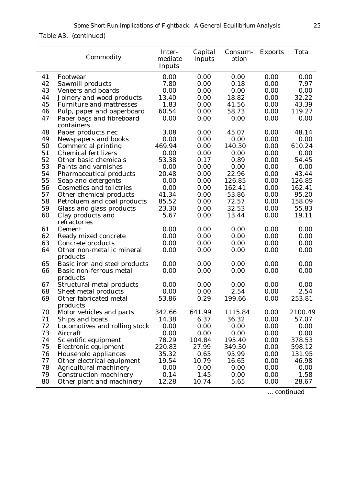*Table A3. (continued)*

|    | Commodity                               | Inter-<br>mediate<br>Inputs | Capital<br>Inputs | Consum-<br>ption | <b>Exports</b> | <b>Total</b> |
|----|-----------------------------------------|-----------------------------|-------------------|------------------|----------------|--------------|
| 41 | Footwear                                | 0.00                        | 0.00              | 0.00             | 0.00           | 0.00         |
| 42 | Sawmill products                        | 7.80                        | 0.00              | 0.18             | 0.00           | 7.97         |
| 43 | <b>Veneers and boards</b>               | 0.00                        | 0.00              | 0.00             | 0.00           | 0.00         |
| 44 | Joinery and wood products               | 13.40                       | 0.00              | 18.82            | 0.00           | 32.22        |
| 45 | <b>Furniture and mattresses</b>         | 1.83                        | 0.00              | 41.56            | 0.00           | 43.39        |
| 46 | Pulp, paper and paperboard              | 60.54                       | 0.00              | 58.73            | 0.00           | 119.27       |
| 47 | Paper bags and fibreboard<br>containers | 0.00                        | 0.00              | 0.00             | 0.00           | 0.00         |
| 48 | Paper products nec                      | 3.08                        | 0.00              | 45.07            | 0.00           | 48.14        |
| 49 | <b>Newspapers and books</b>             | 0.00                        | 0.00              | 0.00             | 0.00           | 0.00         |
| 50 | <b>Commercial printing</b>              | 469.94                      | 0.00              | 140.30           | 0.00           | 610.24       |
| 51 | <b>Chemical fertilizers</b>             | 0.00                        | 0.00              | 0.00             | 0.00           | 0.00         |
| 52 | Other basic chemicals                   | 53.38                       | 0.17              | 0.89             | 0.00           | 54.45        |
| 53 | Paints and varnishes                    | 0.00                        | 0.00              | 0.00             | 0.00           | 0.00         |
| 54 | <b>Pharmaceutical products</b>          | 20.48                       | 0.00              | 22.96            | 0.00           | 43.44        |
| 55 | Soap and detergents                     | 0.00                        | 0.00              | 126.85           | 0.00           | 126.85       |
| 56 | <b>Cosmetics and toiletries</b>         | 0.00                        | 0.00              | 162.41           | 0.00           | 162.41       |
| 57 | Other chemical products                 | 41.34                       | 0.00              | 53.86            | 0.00           | 95.20        |
| 58 | Petroluem and coal products             | 85.52                       | 0.00              | 72.57            | 0.00           | 158.09       |
| 59 | Glass and glass products                | 23.30                       | 0.00              | 32.53            | 0.00           | 55.83        |
| 60 | Clay products and<br>refractories       | 5.67                        | 0.00              | 13.44            | 0.00           | 19.11        |
| 61 | Cement                                  | 0.00                        | 0.00              | 0.00             | 0.00           | 0.00         |
| 62 | Ready mixed concrete                    | 0.00                        | 0.00              | 0.00             | 0.00           | 0.00         |
| 63 | Concrete products                       | 0.00                        | 0.00              | 0.00             | 0.00           | 0.00         |
| 64 | Other non-metallic mineral<br>products  | 0.00                        | 0.00              | 0.00             | 0.00           | 0.00         |
| 65 | Basic iron and steel products           | 0.00                        | 0.00              | 0.00             | 0.00           | 0.00         |
| 66 | Basic non-ferrous metal<br>products     | 0.00                        | 0.00              | 0.00             | 0.00           | 0.00         |
| 67 | <b>Structural metal products</b>        | 0.00                        | 0.00              | 0.00             | 0.00           | 0.00         |
| 68 | Sheet metal products                    | 0.00                        | 0.00              | 2.54             | 0.00           | 2.54         |
| 69 | Other fabricated metal<br>products      | 53.86                       | 0.29              | 199.66           | 0.00           | 253.81       |
| 70 | Motor vehicles and parts                | 342.66                      | 641.99            | 1115.84          | 0.00           | 2100.49      |
| 71 | Ships and boats                         | 14.38                       | 6.37              | 36.32            | 0.00           | 57.07        |
| 72 | Locomotives and rolling stock           | 0.00                        | 0.00              | 0.00             | 0.00           | 0.00         |
| 73 | Aircraft                                | 0.00                        | 0.00              | 0.00             | 0.00           | 0.00         |
| 74 | Scientific equipment                    | 78.29                       | 104.84            | 195.40           | 0.00           | 378.53       |
| 75 | Electronic equipment                    | 220.83                      | 27.99             | 349.30           | 0.00           | 598.12       |
| 76 | <b>Household appliances</b>             | 35.32                       | 0.65              | 95.99            | 0.00           | 131.95       |
| 77 | Other electrical equipment              | 19.54                       | 10.79             | 16.65            | 0.00           | 46.98        |
| 78 | <b>Agricultural machinery</b>           | 0.00                        | 0.00              | 0.00             | 0.00           | 0.00         |
| 79 | <b>Construction machinery</b>           | 0.14                        | 1.45              | 0.00             | 0.00           | 1.58         |
| 80 | Other plant and machinery               | 12.28                       | 10.74             | 5.65             | 0.00           | 28.67        |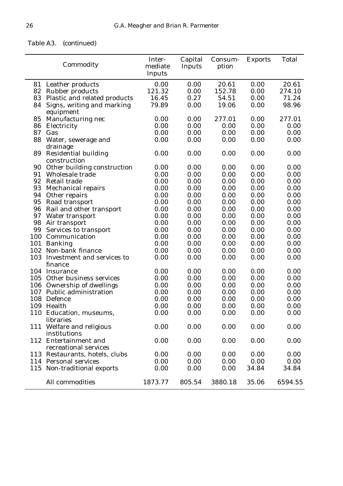# *Table A3. (continued)*

|     | Commodity                                 | Inter-<br>mediate<br>Inputs | Capital<br>Inputs | Consum-<br>ption | <b>Exports</b> | <b>Total</b> |
|-----|-------------------------------------------|-----------------------------|-------------------|------------------|----------------|--------------|
|     | 81 Leather products                       | 0.00                        | 0.00              | 20.61            | 0.00           | 20.61        |
|     | 82 Rubber products                        | 121.32                      | 0.00              | 152.78           | 0.00           | 274.10       |
| 83  | Plastic and related products              | 16.45                       | 0.27              | 54.51            | 0.00           | 71.24        |
| 84  | Signs, writing and marking                | 79.89                       | 0.00              | 19.06            | 0.00           | 98.96        |
|     | equipment                                 |                             |                   |                  |                |              |
| 85  | Manufacturing nec                         | 0.00                        | 0.00              | 277.01           | 0.00           | 277.01       |
| 86  | Electricity                               | 0.00                        | 0.00              | 0.00             | 0.00           | 0.00         |
| 87  | Gas                                       | 0.00                        | 0.00              | 0.00             | 0.00           | 0.00         |
| 88  | Water, sewerage and                       | 0.00                        | 0.00              | 0.00             | 0.00           | 0.00         |
|     | drainage                                  |                             |                   |                  |                |              |
| 89  | <b>Residential building</b>               | 0.00                        | 0.00              | 0.00             | 0.00           | 0.00         |
|     | construction                              |                             |                   |                  |                |              |
| 90  | Other building construction               | 0.00                        | 0.00              | 0.00             | 0.00           | 0.00         |
| 91  | Wholesale trade                           | 0.00                        | 0.00              | 0.00             | 0.00           | 0.00         |
| 92  | Retail trade                              | 0.00                        | 0.00              | 0.00             | 0.00           | 0.00         |
| 93  | <b>Mechanical repairs</b>                 | 0.00                        | 0.00              | 0.00             | 0.00           | 0.00         |
| 94  | Other repairs                             | 0.00                        | 0.00              | 0.00             | 0.00           | 0.00         |
| 95  | Road transport                            | 0.00                        | 0.00              | 0.00             | 0.00           | 0.00         |
| 96  | Rail and other transport                  | 0.00                        | 0.00              | 0.00             | 0.00           | 0.00         |
| 97  | Water transport                           | 0.00                        | 0.00              | 0.00             | 0.00           | 0.00         |
| 98  | Air transport                             | 0.00                        | 0.00              | 0.00             | 0.00           | 0.00         |
| 99  | Services to transport                     | 0.00                        | 0.00              | 0.00             | 0.00           | 0.00         |
| 100 | Communication                             | 0.00                        | 0.00              | 0.00             | 0.00           | 0.00         |
| 101 | <b>Banking</b>                            | 0.00                        | 0.00              | 0.00             | 0.00           | 0.00         |
|     | 102 Non-bank finance                      | 0.00                        | 0.00              | 0.00             | 0.00           | 0.00         |
|     | 103 Investment and services to<br>finance | 0.00                        | 0.00              | 0.00             | 0.00           | 0.00         |
|     | 104 Insurance                             | 0.00                        | 0.00              | 0.00             | 0.00           | 0.00         |
|     | 105 Other business services               | 0.00                        | 0.00              | 0.00             | 0.00           | 0.00         |
| 106 | <b>Ownership of dwellings</b>             | 0.00                        | 0.00              | 0.00             | 0.00           | 0.00         |
|     | 107 Public administration                 | 0.00                        | 0.00              | 0.00             | 0.00           | 0.00         |
|     | 108 Defence                               | 0.00                        | 0.00              | 0.00             | 0.00           | 0.00         |
|     | 109 Health                                | 0.00                        | 0.00              | 0.00             | 0.00           | 0.00         |
|     | 110 Education, museums,                   | 0.00                        | 0.00              | 0.00             | 0.00           | 0.00         |
|     | libraries                                 |                             |                   |                  |                |              |
|     | 111 Welfare and religious                 | 0.00                        | 0.00              | 0.00             | 0.00           | 0.00         |
|     | institutions                              |                             |                   |                  |                |              |
|     | 112 Entertainment and                     | 0.00                        | 0.00              | 0.00             | 0.00           | 0.00         |
|     | recreational services                     |                             |                   |                  |                |              |
|     | 113 Restaurants, hotels, clubs            | 0.00                        | 0.00              | 0.00             | 0.00           | 0.00         |
|     | 114 Personal services                     | 0.00                        | 0.00              | 0.00             | 0.00           | 0.00         |
|     | 115 Non-traditional exports               | 0.00                        | 0.00              | 0.00             | 34.84          | 34.84        |
|     | All commodities                           | 1873.77                     | 805.54            | 3880.18          | 35.06          | 6594.55      |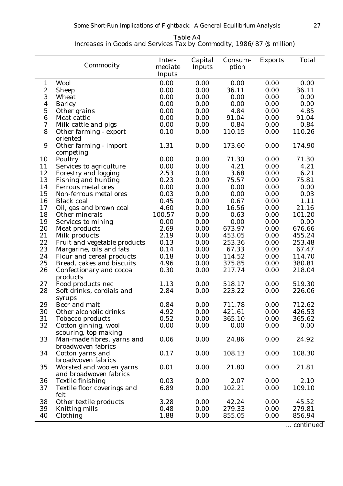| Table A4                                                               |  |
|------------------------------------------------------------------------|--|
| Increases in Goods and Services Tax by Commodity, 1986/87 (\$ million) |  |

|                  | Commodity                           | Inter-<br>mediate<br>Inputs | Capital<br><b>Inputs</b> | Consum-<br>ption | <b>Exports</b> | <b>Total</b> |
|------------------|-------------------------------------|-----------------------------|--------------------------|------------------|----------------|--------------|
| $\mathbf{1}$     | <b>Wool</b>                         | 0.00                        | 0.00                     | 0.00             | 0.00           | 0.00         |
| $\boldsymbol{2}$ | <b>Sheep</b>                        | 0.00                        | 0.00                     | 36.11            | 0.00           | 36.11        |
| 3                | Wheat                               | 0.00                        | 0.00                     | 0.00             | 0.00           | 0.00         |
| $\boldsymbol{4}$ | <b>Barley</b>                       | 0.00                        | 0.00                     | 0.00             | 0.00           | 0.00         |
| $\mathbf 5$      | Other grains                        | 0.00                        | 0.00                     | 4.84             | 0.00           | 4.85         |
| $\boldsymbol{6}$ | Meat cattle                         | 0.00                        | 0.00                     | 91.04            | 0.00           | 91.04        |
| 7                | Milk cattle and pigs                | 0.00                        | 0.00                     | 0.84             | 0.00           | 0.84         |
| 8                | Other farming - export              | 0.10                        | 0.00                     | 110.15           | 0.00           | 110.26       |
|                  | oriented                            |                             |                          |                  |                |              |
| 9                | Other farming - import              | 1.31                        | 0.00                     | 173.60           | 0.00           | 174.90       |
|                  | competing                           |                             |                          |                  |                |              |
| 10               | Poultry                             | 0.00                        | 0.00                     | 71.30            | 0.00           | 71.30        |
| 11               | Services to agriculture             | 0.00                        | 0.00                     | 4.21             | 0.00           | 4.21         |
| 12               | Forestry and logging                | 2.53                        | 0.00                     | 3.68             | 0.00           | 6.21         |
| 13               | <b>Fishing and hunting</b>          | 0.23                        | 0.00                     | 75.57            | 0.00           | 75.81        |
| 14               | <b>Ferrous metal ores</b>           | 0.00                        | 0.00                     | 0.00             | 0.00           | 0.00         |
| 15               | Non-ferrous metal ores              | 0.03                        | 0.00                     | 0.00             | 0.00           | 0.03         |
| 16               | <b>Black coal</b>                   | 0.45                        | 0.00                     | 0.67             | 0.00           | 1.11         |
| 17               | Oil, gas and brown coal             | 4.60                        | 0.00                     | 16.56            | 0.00           | 21.16        |
| 18               | Other minerals                      | 100.57                      | 0.00                     | 0.63             | 0.00           | 101.20       |
| 19               | Services to mining                  | 0.00                        | 0.00                     | 0.00             | 0.00           | 0.00         |
| 20               | <b>Meat products</b>                | 2.69                        | 0.00                     | 673.97           | 0.00           | 676.66       |
| 21               | Milk products                       | 2.19                        | 0.00                     | 453.05           | 0.00           | 455.24       |
| 22               | Fruit and vegetable products        | 0.13                        | 0.00                     | 253.36           | 0.00           | 253.48       |
| 23               | Margarine, oils and fats            | 0.14                        | 0.00                     | 67.33            | 0.00           | 67.47        |
| 24               | Flour and cereal products           | 0.18                        | 0.00                     | 114.52           | 0.00           | 114.70       |
| 25               | Bread, cakes and biscuits           | 4.96                        | 0.00                     | 375.85           | 0.00           | 380.81       |
| 26               |                                     | 0.30                        | 0.00                     | 217.74           | 0.00           | 218.04       |
|                  | Confectionary and cocoa<br>products |                             |                          |                  |                |              |
| 27               | Food products nec                   | 1.13                        | 0.00                     | 518.17           | 0.00           | 519.30       |
| 28               | Soft drinks, cordials and           | 2.84                        | 0.00                     | 223.22           | 0.00           | 226.06       |
|                  |                                     |                             |                          |                  |                |              |
| 29               | syrups<br>Beer and malt             | 0.84                        | 0.00                     | 711.78           | 0.00           | 712.62       |
| 30               | Other alcoholic drinks              | 4.92                        | 0.00                     | 421.61           | 0.00           | 426.53       |
| 31               | <b>Tobacco products</b>             | 0.52                        | 0.00                     | 365.10           | 0.00           | 365.62       |
| 32               | Cotton ginning, wool                | 0.00                        | 0.00                     | 0.00             | 0.00           | 0.00         |
|                  |                                     |                             |                          |                  |                |              |
| 33               | scouring, top making                | 0.06                        | 0.00                     | 24.86            |                | 24.92        |
|                  | Man-made fibres, yarns and          |                             |                          |                  | 0.00           |              |
|                  | broadwoven fabrics                  |                             |                          |                  |                |              |
| 34               | Cotton yarns and                    | 0.17                        | 0.00                     | 108.13           | 0.00           | 108.30       |
|                  | broadwoven fabrics                  |                             |                          |                  |                |              |
| 35               | Worsted and woolen yarns            | 0.01                        | 0.00                     | 21.80            | 0.00           | 21.81        |
|                  | and broadwoven fabrics              |                             |                          |                  |                |              |
| 36               | <b>Textile finishing</b>            | 0.03                        | 0.00                     | 2.07             | 0.00           | 2.10         |
| 37               | Textile floor coverings and         | 6.89                        | 0.00                     | 102.21           | 0.00           | 109.10       |
|                  | felt                                |                             |                          |                  |                |              |
| 38               | Other textile products              | 3.28                        | 0.00                     | 42.24            | 0.00           | 45.52        |
| 39               | <b>Knitting mills</b>               | 0.48                        | 0.00                     | 279.33           | 0.00           | 279.81       |
| 40               | Clothing                            | 1.88                        | 0.00                     | 855.05           | 0.00           | 856.94       |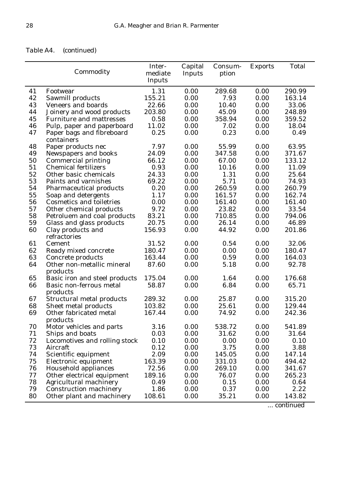# *Table A4. (continued)*

|    | Commodity                               | Inter-<br>mediate<br>Inputs | Capital<br>Inputs | Consum-<br>ption | <b>Exports</b> | <b>Total</b> |
|----|-----------------------------------------|-----------------------------|-------------------|------------------|----------------|--------------|
| 41 | Footwear                                | 1.31                        | 0.00              | 289.68           | 0.00           | 290.99       |
| 42 | Sawmill products                        | 155.21                      | 0.00              | 7.93             | 0.00           | 163.14       |
| 43 | <b>Veneers and boards</b>               | 22.66                       | 0.00              | 10.40            | 0.00           | 33.06        |
| 44 | Joinery and wood products               | 203.80                      | 0.00              | 45.09            | 0.00           | 248.89       |
| 45 | <b>Furniture and mattresses</b>         | 0.58                        | 0.00              | 358.94           | 0.00           | 359.52       |
| 46 | Pulp, paper and paperboard              | 11.02                       | 0.00              | 7.02             | 0.00           | 18.04        |
| 47 | Paper bags and fibreboard<br>containers | 0.25                        | 0.00              | 0.23             | 0.00           | 0.49         |
| 48 | Paper products nec                      | 7.97                        | 0.00              | 55.99            | 0.00           | 63.95        |
| 49 | Newspapers and books                    | 24.09                       | 0.00              | 347.58           | 0.00           | 371.67       |
| 50 | <b>Commercial printing</b>              | 66.12                       | 0.00              | 67.00            | 0.00           | 133.12       |
| 51 | <b>Chemical fertilizers</b>             | 0.93                        | 0.00              | 10.16            | 0.00           | 11.09        |
| 52 | Other basic chemicals                   | 24.33                       | 0.00              | 1.31             | 0.00           | 25.64        |
| 53 | Paints and varnishes                    | 69.22                       | 0.00              | 5.71             | 0.00           | 74.93        |
| 54 | <b>Pharmaceutical products</b>          | 0.20                        | 0.00              | 260.59           | 0.00           | 260.79       |
| 55 | Soap and detergents                     | 1.17                        | 0.00              | 161.57           | 0.00           | 162.74       |
| 56 | <b>Cosmetics and toiletries</b>         | 0.00                        | 0.00              | 161.40           | 0.00           | 161.40       |
| 57 | Other chemical products                 | 9.72                        | 0.00              | 23.82            | 0.00           | 33.54        |
| 58 | Petroluem and coal products             | 83.21                       | 0.00              | 710.85           | 0.00           | 794.06       |
| 59 | Glass and glass products                | 20.75                       | 0.00              | 26.14            | 0.00           | 46.89        |
| 60 | Clay products and<br>refractories       | 156.93                      | 0.00              | 44.92            | 0.00           | 201.86       |
| 61 | Cement                                  | 31.52                       | 0.00              | 0.54             | 0.00           | 32.06        |
| 62 | Ready mixed concrete                    | 180.47                      | 0.00              | 0.00             | 0.00           | 180.47       |
| 63 | Concrete products                       | 163.44                      | 0.00              | 0.59             | 0.00           | 164.03       |
| 64 | Other non-metallic mineral<br>products  | 87.60                       | 0.00              | 5.18             | 0.00           | 92.78        |
| 65 | Basic iron and steel products           | 175.04                      | 0.00              | 1.64             | 0.00           | 176.68       |
| 66 | Basic non-ferrous metal<br>products     | 58.87                       | 0.00              | 6.84             | 0.00           | 65.71        |
| 67 | <b>Structural metal products</b>        | 289.32                      | 0.00              | 25.87            | 0.00           | 315.20       |
| 68 | Sheet metal products                    | 103.82                      | 0.00              | 25.61            | 0.00           | 129.44       |
| 69 | Other fabricated metal<br>products      | 167.44                      | 0.00              | 74.92            | 0.00           | 242.36       |
| 70 | Motor vehicles and parts                | 3.16                        | 0.00              | 538.72           | 0.00           | 541.89       |
| 71 | Ships and boats                         | 0.03                        | 0.00              | 31.62            | 0.00           | 31.64        |
| 72 | Locomotives and rolling stock           | 0.10                        | 0.00              | 0.00             | 0.00           | 0.10         |
| 73 | Aircraft                                | 0.12                        | 0.00              | 3.75             | 0.00           | 3.88         |
| 74 | Scientific equipment                    | 2.09                        | 0.00              | 145.05           | 0.00           | 147.14       |
| 75 | Electronic equipment                    | 163.39                      | 0.00              | 331.03           | 0.00           | 494.42       |
| 76 | <b>Household appliances</b>             | 72.56                       | 0.00              | 269.10           | 0.00           | 341.67       |
| 77 | Other electrical equipment              | 189.16                      | 0.00              | 76.07            | 0.00           | 265.23       |
| 78 | Agricultural machinery                  | 0.49                        | 0.00              | 0.15             | 0.00           | 0.64         |
| 79 | <b>Construction machinery</b>           | 1.86                        | 0.00              | 0.37             | 0.00           | 2.22         |
| 80 | Other plant and machinery               | 108.61                      | 0.00              | 35.21            | 0.00           | 143.82       |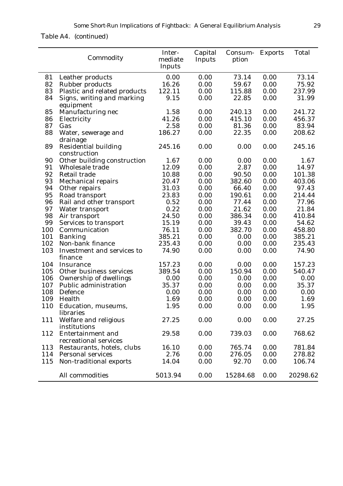*Table A4. (continued)*

|     | Commodity                                         | Inter-<br>mediate<br>Inputs | Capital<br>Inputs | Consum- Exports<br>ption |      | <b>Total</b> |
|-----|---------------------------------------------------|-----------------------------|-------------------|--------------------------|------|--------------|
| 81  | Leather products                                  | 0.00                        | 0.00              | 73.14                    | 0.00 | 73.14        |
| 82  | <b>Rubber products</b>                            | 16.26                       | 0.00              | 59.67                    | 0.00 | 75.92        |
| 83  | Plastic and related products                      | 122.11                      | 0.00              | 115.88                   | 0.00 | 237.99       |
| 84  | Signs, writing and marking<br>equipment           | 9.15                        | 0.00              | 22.85                    | 0.00 | 31.99        |
| 85  | Manufacturing nec                                 | 1.58                        | 0.00              | 240.13                   | 0.00 | 241.72       |
| 86  | Electricity                                       | 41.26                       | 0.00              | 415.10                   | 0.00 | 456.37       |
| 87  | Gas                                               | 2.58                        | 0.00              | 81.36                    | 0.00 | 83.94        |
| 88  | Water, sewerage and<br>drainage                   | 186.27                      | 0.00              | 22.35                    | 0.00 | 208.62       |
| 89  | <b>Residential building</b><br>construction       | 245.16                      | 0.00              | 0.00                     | 0.00 | 245.16       |
| 90  | Other building construction                       | 1.67                        | 0.00              | 0.00                     | 0.00 | 1.67         |
| 91  | Wholesale trade                                   | 12.09                       | 0.00              | 2.87                     | 0.00 | 14.97        |
| 92  | <b>Retail trade</b>                               | 10.88                       | 0.00              | 90.50                    | 0.00 | 101.38       |
| 93  | <b>Mechanical repairs</b>                         | 20.47                       | 0.00              | 382.60                   | 0.00 | 403.06       |
| 94  | Other repairs                                     | 31.03                       | 0.00              | 66.40                    | 0.00 | 97.43        |
| 95  | Road transport                                    | 23.83                       | 0.00              | 190.61                   | 0.00 | 214.44       |
| 96  | Rail and other transport                          | 0.52                        | 0.00              | 77.44                    | 0.00 | 77.96        |
| 97  | Water transport                                   | 0.22                        | 0.00              | 21.62                    | 0.00 | 21.84        |
| 98  | Air transport                                     | 24.50                       | 0.00              | 386.34                   | 0.00 | 410.84       |
| 99  | Services to transport                             | 15.19                       | 0.00              | 39.43                    | 0.00 | 54.62        |
| 100 | Communication                                     | 76.11                       | 0.00              | 382.70                   | 0.00 | 458.80       |
| 101 | <b>Banking</b>                                    | 385.21                      | 0.00              | 0.00                     | 0.00 | 385.21       |
| 102 | Non-bank finance                                  | 235.43                      | 0.00              | 0.00                     | 0.00 | 235.43       |
| 103 | Investment and services to<br>finance             | 74.90                       | 0.00              | 0.00                     | 0.00 | 74.90        |
| 104 | Insurance                                         | 157.23                      | 0.00              | 0.00                     | 0.00 | 157.23       |
| 105 | Other business services                           | 389.54                      | 0.00              | 150.94                   | 0.00 | 540.47       |
| 106 | Ownership of dwellings                            | 0.00                        | 0.00              | 0.00                     | 0.00 | 0.00         |
| 107 | Public administration                             | 35.37                       | 0.00              | 0.00                     | 0.00 | 35.37        |
| 108 | Defence                                           | 0.00                        | 0.00              | 0.00                     | 0.00 | 0.00         |
| 109 | Health                                            | 1.69                        | 0.00              | 0.00                     | 0.00 | 1.69         |
| 110 | Education, museums,<br>libraries                  | 1.95                        | 0.00              | 0.00                     | 0.00 | 1.95         |
| 111 | Welfare and religious<br>institutions             | 27.25                       | 0.00              | 0.00                     | 0.00 | 27.25        |
| 112 | <b>Entertainment and</b><br>recreational services | 29.58                       | 0.00              | 739.03                   | 0.00 | 768.62       |
| 113 | Restaurants, hotels, clubs                        | 16.10                       | 0.00              | 765.74                   | 0.00 | 781.84       |
| 114 | <b>Personal services</b>                          | 2.76                        | 0.00              | 276.05                   | 0.00 | 278.82       |
| 115 | Non-traditional exports                           | 14.04                       | 0.00              | 92.70                    | 0.00 | 106.74       |
|     | All commodities                                   | 5013.94                     | 0.00              | 15284.68                 | 0.00 | 20298.62     |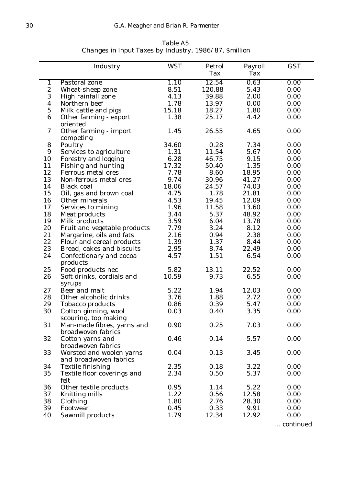|                  | Industry                            | <b>WST</b> | Petrol | Payroll | <b>GST</b> |
|------------------|-------------------------------------|------------|--------|---------|------------|
|                  |                                     |            | Tax    | Tax     |            |
| $\mathbf{1}$     | Pastoral zone                       | 1.10       | 12.54  | 0.63    | 0.00       |
| $\boldsymbol{2}$ | Wheat-sheep zone                    | 8.51       | 120.88 | 5.43    | 0.00       |
| 3                | High rainfall zone                  | 4.13       | 39.88  | 2.00    | 0.00       |
| $\boldsymbol{4}$ | Northern beef                       | 1.78       | 13.97  | 0.00    | 0.00       |
| $\overline{5}$   | Milk cattle and pigs                | 15.18      | 18.27  | 1.80    | 0.00       |
| $\boldsymbol{6}$ | Other farming - export<br>oriented  | 1.38       | 25.17  | 4.42    | 0.00       |
| 7                | Other farming - import<br>competing | 1.45       | 26.55  | 4.65    | 0.00       |
| 8                | Poultry                             | 34.60      | 0.28   | 7.34    | 0.00       |
| 9                | Services to agriculture             | 1.31       | 11.54  | 5.67    | 0.00       |
| 10               | Forestry and logging                | 6.28       | 46.75  | 9.15    | 0.00       |
| 11               | Fishing and hunting                 | 17.32      | 50.40  | 1.35    | 0.00       |
| 12               | Ferrous metal ores                  | 7.78       | 8.60   | 18.95   | 0.00       |
| 13               | Non-ferrous metal ores              | 9.74       | 30.96  | 41.27   | 0.00       |
| 14               | <b>Black coal</b>                   | 18.06      | 24.57  | 74.03   | 0.00       |
| 15               | Oil, gas and brown coal             | 4.75       | 1.78   | 21.81   | 0.00       |
| 16               | Other minerals                      | 4.53       | 19.45  | 12.09   | 0.00       |
| 17               | Services to mining                  | 1.96       | 11.58  | 13.60   | 0.00       |
| 18               | <b>Meat products</b>                | 3.44       | 5.37   | 48.92   | 0.00       |
| 19               | Milk products                       | 3.59       | 6.04   | 13.78   | 0.00       |
| 20               | Fruit and vegetable products        | 7.79       | 3.24   | 8.12    | 0.00       |
| 21               | Margarine, oils and fats            | 2.16       | 0.94   | 2.38    | 0.00       |
| 22               | Flour and cereal products           | 1.39       | 1.37   | 8.44    | 0.00       |
| 23               | Bread, cakes and biscuits           | 2.95       | 8.74   | 22.49   | 0.00       |
| 24               | Confectionary and cocoa             | 4.57       | 1.51   | 6.54    | 0.00       |
|                  | products                            |            |        |         |            |
| 25               | Food products nec                   | 5.82       | 13.11  | 22.52   | 0.00       |
| 26               | Soft drinks, cordials and           | 10.59      | 9.73   | 6.55    | 0.00       |
|                  | syrups                              |            |        |         |            |
| 27               | Beer and malt                       | 5.22       | 1.94   | 12.03   | 0.00       |
| 28               | Other alcoholic drinks              | 3.76       | 1.88   | 2.72    | 0.00       |
| 29               | <b>Tobacco products</b>             | 0.86       | 0.39   | 5.47    | 0.00       |
| 30               | Cotton ginning, wool                | 0.03       | 0.40   | 3.35    | 0.00       |
|                  | scouring, top making                |            |        |         |            |
| 31               | Man-made fibres, yarns and          | 0.90       | 0.25   | 7.03    | 0.00       |
|                  | broadwoven fabrics                  |            |        |         |            |
| 32               | Cotton yarns and                    | 0.46       | 0.14   | 5.57    | 0.00       |
|                  | broadwoven fabrics                  |            |        |         |            |
| 33               | Worsted and woolen yarns            | 0.04       | 0.13   | 3.45    | 0.00       |
|                  | and broadwoven fabrics              |            |        |         |            |
| 34               | <b>Textile finishing</b>            | 2.35       | 0.18   | 3.22    | 0.00       |
| 35               | Textile floor coverings and         | 2.34       | 0.50   | 5.37    | 0.00       |
|                  | felt                                |            |        |         |            |
| 36               | Other textile products              | 0.95       | 1.14   | 5.22    | 0.00       |
| 37               | <b>Knitting mills</b>               | 1.22       | 0.56   | 12.58   | 0.00       |
| 38               | Clothing                            | 1.80       | 2.76   | 28.30   | 0.00       |
| 39               | Footwear                            | 0.45       | 0.33   | 9.91    | 0.00       |
| 40               | Sawmill products                    | 1.79       | 12.34  | 12.92   | 0.00       |

*Table A5 Changes in Input Taxes by Industry, 1986/87, \$million*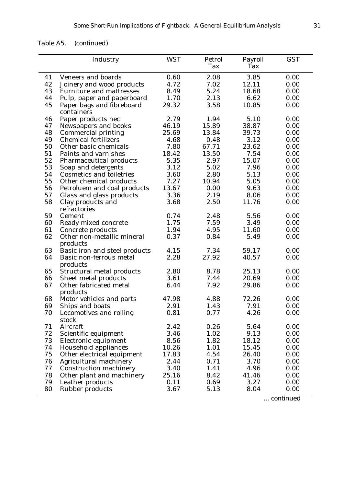| Table A5. | (continued) |
|-----------|-------------|
|-----------|-------------|

|    | Industry                        | <b>WST</b> | Petrol | Payroll | <b>GST</b> |
|----|---------------------------------|------------|--------|---------|------------|
|    |                                 |            | Tax    | Tax     |            |
| 41 | <b>Veneers and boards</b>       | 0.60       | 2.08   | 3.85    | 0.00       |
| 42 | Joinery and wood products       | 4.72       | 7.02   | 12.11   | 0.00       |
| 43 | <b>Furniture and mattresses</b> | 8.49       | 5.24   | 18.68   | 0.00       |
| 44 | Pulp, paper and paperboard      | 1.70       | 2.13   | 6.62    | 0.00       |
| 45 | Paper bags and fibreboard       | 29.32      | 3.58   | 10.85   | 0.00       |
|    | containers                      |            |        |         |            |
| 46 | Paper products nec              | 2.79       | 1.94   | 5.10    | 0.00       |
| 47 | Newspapers and books            | 46.19      | 15.89  | 38.87   | 0.00       |
| 48 | <b>Commercial printing</b>      | 25.69      | 13.84  | 39.73   | 0.00       |
| 49 | <b>Chemical fertilizers</b>     | 4.68       | 0.48   | 3.12    | 0.00       |
| 50 | Other basic chemicals           | 7.80       | 67.71  | 23.62   | 0.00       |
| 51 | Paints and varnishes            | 18.42      | 13.50  | 7.54    | 0.00       |
| 52 | <b>Pharmaceutical products</b>  | 5.35       | 2.97   | 15.07   | 0.00       |
| 53 | Soap and detergents             | 3.12       | 5.02   | 7.96    | 0.00       |
| 54 | <b>Cosmetics and toiletries</b> | 3.60       | 2.80   | 5.13    | 0.00       |
| 55 | Other chemical products         | 7.27       | 10.94  | 5.05    | 0.00       |
| 56 | Petroluem and coal products     | 13.67      | 0.00   | 9.63    | 0.00       |
| 57 | Glass and glass products        | 3.36       | 2.19   | 8.06    | 0.00       |
| 58 | Clay products and               | 3.68       | 2.50   | 11.76   | 0.00       |
|    | refractories                    |            |        |         |            |
| 59 | Cement                          | 0.74       | 2.48   | 5.56    | 0.00       |
| 60 | Ready mixed concrete            | 1.75       | 7.59   | 3.49    | 0.00       |
| 61 | Concrete products               | 1.94       | 4.95   | 11.60   | 0.00       |
| 62 | Other non-metallic mineral      | 0.37       | 0.84   | 5.49    | 0.00       |
|    | products                        |            |        |         |            |
| 63 | Basic iron and steel products   | 4.15       | 7.34   | 59.17   | 0.00       |
| 64 | Basic non-ferrous metal         | 2.28       | 27.92  | 40.57   | 0.00       |
|    | products                        |            |        |         |            |
| 65 | Structural metal products       | 2.80       | 8.78   | 25.13   | 0.00       |
| 66 | Sheet metal products            | 3.61       | 7.44   | 20.69   | 0.00       |
| 67 | Other fabricated metal          | 6.44       | 7.92   | 29.86   | 0.00       |
|    | products                        |            |        |         |            |
| 68 | Motor vehicles and parts        | 47.98      | 4.88   | 72.26   | 0.00       |
| 69 | Ships and boats                 | 2.91       | 1.43   | 7.91    | 0.00       |
| 70 | Locomotives and rolling         | 0.81       | 0.77   | 4.26    | 0.00       |
|    | stock                           |            |        |         |            |
| 71 | Aircraft                        | 2.42       | 0.26   | 5.64    | 0.00       |
| 72 | Scientific equipment            | 3.46       | 1.02   | 9.13    | 0.00       |
| 73 | Electronic equipment            | 8.56       | 1.82   | 18.12   | 0.00       |
| 74 | <b>Household appliances</b>     | 10.26      | 1.01   | 15.45   | 0.00       |
| 75 | Other electrical equipment      | 17.83      | 4.54   | 26.40   | 0.00       |
| 76 | Agricultural machinery          | 2.44       | 0.71   | 3.70    | 0.00       |
| 77 | <b>Construction machinery</b>   | 3.40       | 1.41   | 4.96    | 0.00       |
| 78 | Other plant and machinery       | 25.16      | 8.42   | 41.46   | 0.00       |
| 79 | Leather products                | 0.11       | 0.69   | 3.27    | 0.00       |
| 80 | <b>Rubber products</b>          | 3.67       | 5.13   | 8.04    | 0.00       |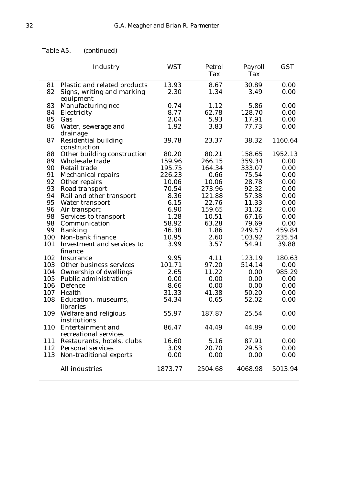*Table A5. (continued)*

|     | Industry                                          | <b>WST</b> | Petrol<br>Tax | Payroll<br>Tax | <b>GST</b> |
|-----|---------------------------------------------------|------------|---------------|----------------|------------|
| 81  | Plastic and related products                      | 13.93      | 8.67          | 30.89          | 0.00       |
| 82  | Signs, writing and marking<br>equipment           | 2.30       | 1.34          | 3.49           | 0.00       |
| 83  | Manufacturing nec                                 | 0.74       | 1.12          | 5.86           | 0.00       |
| 84  | Electricity                                       | 8.77       | 62.78         | 128.70         | 0.00       |
| 85  | Gas                                               | 2.04       | 5.93          | 17.91          | 0.00       |
| 86  | Water, sewerage and<br>drainage                   | 1.92       | 3.83          | 77.73          | 0.00       |
| 87  | <b>Residential building</b><br>construction       | 39.78      | 23.37         | 38.32          | 1160.64    |
| 88  | Other building construction                       | 80.20      | 80.21         | 158.65         | 1952.13    |
| 89  | Wholesale trade                                   | 159.96     | 266.15        | 359.34         | 0.00       |
| 90  | <b>Retail trade</b>                               | 195.75     | 164.34        | 333.07         | 0.00       |
| 91  | <b>Mechanical repairs</b>                         | 226.23     | 0.66          | 75.54          | 0.00       |
| 92  | Other repairs                                     | 10.06      | 10.06         | 28.78          | 0.00       |
| 93  | Road transport                                    | 70.54      | 273.96        | 92.32          | 0.00       |
| 94  | Rail and other transport                          | 8.36       | 121.88        | 57.38          | 0.00       |
| 95  | Water transport                                   | 6.15       | 22.76         | 11.33          | 0.00       |
| 96  | Air transport                                     | 6.90       | 159.65        | 31.02          | 0.00       |
| 98  | Services to transport                             | 1.28       | 10.51         | 67.16          | 0.00       |
| 98  | Communication                                     | 58.92      | 63.28         | 79.69          | 0.00       |
| 99  | <b>Banking</b>                                    | 46.38      | 1.86          | 249.57         | 459.84     |
| 100 | Non-bank finance                                  | 10.95      | 2.60          | 103.92         | 235.54     |
| 101 | Investment and services to<br>finance             | 3.99       | 3.57          | 54.91          | 39.88      |
| 102 | Insurance                                         | 9.95       | 4.11          | 123.19         | 180.63     |
| 103 | Other business services                           | 101.71     | 97.20         | 514.14         | 0.00       |
| 104 | Ownership of dwellings                            | 2.65       | 11.22         | 0.00           | 985.29     |
| 105 | <b>Public administration</b>                      | 0.00       | 0.00          | 0.00           | 0.00       |
| 106 | Defence                                           | 8.66       | 0.00          | 0.00           | 0.00       |
| 107 | Health                                            | 31.33      | 41.38         | 50.20          | 0.00       |
| 108 | Education, museums,<br>libraries                  | 54.34      | 0.65          | 52.02          | 0.00       |
| 109 | Welfare and religious<br>institutions             | 55.97      | 187.87        | 25.54          | 0.00       |
| 110 | <b>Entertainment</b> and<br>recreational services | 86.47      | 44.49         | 44.89          | 0.00       |
| 111 | Restaurants, hotels, clubs                        | 16.60      | 5.16          | 87.91          | 0.00       |
|     | 112 Personal services                             | 3.09       | 20.70         | 29.53          | 0.00       |
| 113 | Non-traditional exports                           | 0.00       | 0.00          | 0.00           | 0.00       |
|     | All industries                                    | 1873.77    | 2504.68       | 4068.98        | 5013.94    |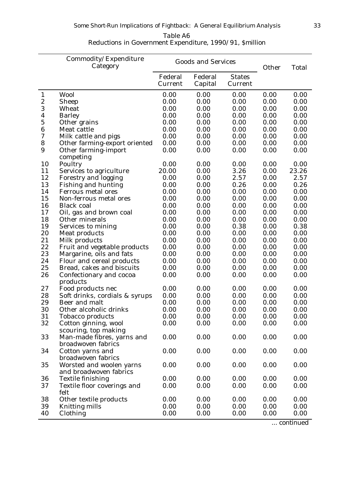| Table A6                                                |  |
|---------------------------------------------------------|--|
| Reductions in Government Expenditure, 1990/91, Smillion |  |

|                | Commodity/Expenditure<br>Category                  | <b>Goods and Services</b> |                    |                          | Other | <b>Total</b> |
|----------------|----------------------------------------------------|---------------------------|--------------------|--------------------------|-------|--------------|
|                |                                                    | Federal<br>Current        | Federal<br>Capital | <b>States</b><br>Current |       |              |
| $\mathbf{1}$   | Wool                                               | 0.00                      | 0.00               | 0.00                     | 0.00  | 0.00         |
| 2              | <b>Sheep</b>                                       | 0.00                      | 0.00               | 0.00                     | 0.00  | 0.00         |
| 3              | Wheat                                              | 0.00                      | 0.00               | 0.00                     | 0.00  | 0.00         |
| 4              | <b>Barley</b>                                      | 0.00                      | 0.00               | 0.00                     | 0.00  | 0.00         |
| $\overline{5}$ | Other grains                                       | 0.00                      | 0.00               | 0.00                     | 0.00  | 0.00         |
| 6              | Meat cattle                                        | 0.00                      | 0.00               | 0.00                     | 0.00  | 0.00         |
| 7              | Milk cattle and pigs                               | 0.00                      | 0.00               | 0.00                     | 0.00  | 0.00         |
| 8              | Other farming-export oriented                      | 0.00                      | 0.00               | 0.00                     | 0.00  | 0.00         |
| 9              | Other farming-import<br>competing                  | 0.00                      | 0.00               | 0.00                     | 0.00  | 0.00         |
| 10             | Poultry                                            | 0.00                      | 0.00               | 0.00                     | 0.00  | 0.00         |
| 11             | Services to agriculture                            | 20.00                     | 0.00               | 3.26                     | 0.00  | 23.26        |
| 12             | <b>Forestry and logging</b>                        | 0.00                      | 0.00               | 2.57                     | 0.00  | 2.57         |
| 13             | <b>Fishing and hunting</b>                         | 0.00                      | 0.00               | 0.26                     | 0.00  | 0.26         |
| 14             | <b>Ferrous metal ores</b>                          | 0.00                      | 0.00               | 0.00                     | 0.00  | 0.00         |
| 15             | Non-ferrous metal ores                             | 0.00                      | 0.00               | 0.00                     | 0.00  | 0.00         |
| 16             | <b>Black coal</b>                                  | 0.00                      | 0.00               | 0.00                     | 0.00  | 0.00         |
| 17             | Oil, gas and brown coal                            | 0.00                      | 0.00               | 0.00                     | 0.00  | 0.00         |
| 18             | Other minerals                                     | 0.00                      | 0.00               | 0.00                     | 0.00  | 0.00         |
| 19             | Services to mining                                 | 0.00                      | 0.00               | 0.38                     | 0.00  | 0.38         |
| 20             | Meat products                                      | 0.00                      | 0.00               | 0.00                     | 0.00  | 0.00         |
| 21             | Milk products                                      | 0.00                      | 0.00               | 0.00                     | 0.00  | 0.00         |
| 22             | Fruit and vegetable products                       | 0.00                      | 0.00               | 0.00                     | 0.00  | 0.00         |
| 23             | Margarine, oils and fats                           | 0.00                      | 0.00               | 0.00                     | 0.00  | 0.00         |
| 24             | Flour and cereal products                          | 0.00                      | 0.00               | 0.00                     | 0.00  | 0.00         |
| 25             | Bread, cakes and biscuits                          | 0.00                      | 0.00               | 0.00                     | 0.00  | 0.00         |
| 26             | Confectionary and cocoa<br>products                | 0.00                      | 0.00               | 0.00                     | 0.00  | 0.00         |
| 27             | Food products nec                                  | 0.00                      | 0.00               | 0.00                     | 0.00  | 0.00         |
| 28             | Soft drinks, cordials & syrups                     | 0.00                      | 0.00               | 0.00                     | 0.00  | 0.00         |
| 29             | Beer and malt                                      | 0.00                      | 0.00               | 0.00                     | 0.00  | 0.00         |
| 30             | Other alcoholic drinks                             | 0.00                      | 0.00               | 0.00                     | 0.00  | 0.00         |
| 31             | <b>Tobacco products</b>                            | 0.00                      | 0.00               | 0.00                     | 0.00  | 0.00         |
| 32             | Cotton ginning, wool<br>scouring, top making       | 0.00                      | 0.00               | 0.00                     | 0.00  | 0.00         |
| 33             | Man-made fibres, yarns and<br>broadwoven fabrics   | 0.00                      | 0.00               | 0.00                     | 0.00  | 0.00         |
| 34             | Cotton yarns and<br>broadwoven fabrics             | 0.00                      | 0.00               | 0.00                     | 0.00  | 0.00         |
| 35             | Worsted and woolen yarns                           | 0.00                      | 0.00               | 0.00                     | 0.00  | 0.00         |
| 36             | and broadwoven fabrics<br><b>Textile finishing</b> | 0.00                      | 0.00               | 0.00                     | 0.00  | 0.00         |
| 37             | Textile floor coverings and                        | 0.00                      | 0.00               | 0.00                     | 0.00  | 0.00         |
|                | felt                                               |                           |                    |                          |       |              |
| 38             | Other textile products                             | 0.00                      | 0.00               | 0.00                     | 0.00  | 0.00         |
| 39             | <b>Knitting mills</b>                              | 0.00                      | 0.00               | 0.00                     | 0.00  | 0.00         |
| 40             | Clothing                                           | 0.00                      | 0.00               | 0.00                     | 0.00  | 0.00         |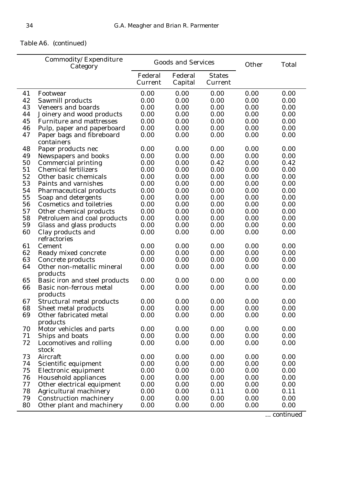# *Table A6. (continued)*

|    | Commodity/Expenditure<br>Category       | <b>Goods and Services</b> |                    |                          | Other | <b>Total</b> |
|----|-----------------------------------------|---------------------------|--------------------|--------------------------|-------|--------------|
|    |                                         | Federal<br>Current        | Federal<br>Capital | <b>States</b><br>Current |       |              |
| 41 | Footwear                                | 0.00                      | 0.00               | 0.00                     | 0.00  | 0.00         |
| 42 | Sawmill products                        | 0.00                      | 0.00               | 0.00                     | 0.00  | 0.00         |
| 43 | <b>Veneers and boards</b>               | 0.00                      | 0.00               | 0.00                     | 0.00  | 0.00         |
| 44 | Joinery and wood products               | 0.00                      | 0.00               | 0.00                     | 0.00  | 0.00         |
| 45 | <b>Furniture and mattresses</b>         | 0.00                      | 0.00               | 0.00                     | 0.00  | 0.00         |
| 46 | Pulp, paper and paperboard              | 0.00                      | 0.00               | 0.00                     | 0.00  | 0.00         |
| 47 | Paper bags and fibreboard<br>containers | 0.00                      | 0.00               | 0.00                     | 0.00  | 0.00         |
| 48 | Paper products nec                      | 0.00                      | 0.00               | 0.00                     | 0.00  | 0.00         |
| 49 | Newspapers and books                    | 0.00                      | 0.00               | 0.00                     | 0.00  | 0.00         |
| 50 | <b>Commercial printing</b>              | 0.00                      | 0.00               | 0.42                     | 0.00  | 0.42         |
| 51 | <b>Chemical fertilizers</b>             | 0.00                      | 0.00               | 0.00                     | 0.00  | 0.00         |
| 52 | Other basic chemicals                   | 0.00                      | 0.00               | 0.00                     | 0.00  | 0.00         |
| 53 | Paints and varnishes                    | 0.00                      | 0.00               | 0.00                     | 0.00  | 0.00         |
| 54 | <b>Pharmaceutical products</b>          | 0.00                      | 0.00               | 0.00                     | 0.00  | 0.00         |
| 55 | Soap and detergents                     | 0.00                      | 0.00               | 0.00                     | 0.00  | 0.00         |
| 56 | <b>Cosmetics and toiletries</b>         | 0.00                      | 0.00               | 0.00                     | 0.00  | 0.00         |
| 57 | Other chemical products                 | 0.00                      | 0.00               | 0.00                     | 0.00  | 0.00         |
| 58 | Petroluem and coal products             | 0.00                      | 0.00               | 0.00                     | 0.00  | 0.00         |
| 59 | Glass and glass products                | 0.00                      | 0.00               | 0.00                     | 0.00  | 0.00         |
| 60 | Clay products and<br>refractories       | 0.00                      | 0.00               | 0.00                     | 0.00  | 0.00         |
| 61 | Cement                                  | 0.00                      | 0.00               | 0.00                     | 0.00  | 0.00         |
| 62 | Ready mixed concrete                    | 0.00                      | 0.00               | 0.00                     | 0.00  | 0.00         |
| 63 | Concrete products                       | 0.00                      | 0.00               | 0.00                     | 0.00  | 0.00         |
| 64 | Other non-metallic mineral              | 0.00                      | 0.00               | 0.00                     | 0.00  | 0.00         |
|    | products                                |                           |                    |                          |       |              |
| 65 | Basic iron and steel products           | 0.00                      | 0.00               | 0.00                     | 0.00  | 0.00         |
| 66 | Basic non-ferrous metal<br>products     | 0.00                      | 0.00               | 0.00                     | 0.00  | 0.00         |
| 67 | <b>Structural metal products</b>        | 0.00                      | 0.00               | 0.00                     | 0.00  | 0.00         |
| 68 | Sheet metal products                    | 0.00                      | 0.00               | 0.00                     | 0.00  | 0.00         |
| 69 | Other fabricated metal<br>products      | 0.00                      | 0.00               | 0.00                     | 0.00  | 0.00         |
| 70 | Motor vehicles and parts                | 0.00                      | 0.00               | 0.00                     | 0.00  | 0.00         |
| 71 | Ships and boats                         | 0.00                      | 0.00               | 0.00                     | 0.00  | 0.00         |
| 72 | Locomotives and rolling<br>stock        | 0.00                      | 0.00               | 0.00                     | 0.00  | 0.00         |
| 73 | Aircraft                                | 0.00                      | 0.00               | 0.00                     | 0.00  | 0.00         |
| 74 | Scientific equipment                    | 0.00                      | 0.00               | 0.00                     | 0.00  | 0.00         |
| 75 | Electronic equipment                    | 0.00                      | 0.00               | 0.00                     | 0.00  | 0.00         |
| 76 | <b>Household appliances</b>             | 0.00                      | 0.00               | 0.00                     | 0.00  | 0.00         |
| 77 | Other electrical equipment              | 0.00                      | 0.00               | 0.00                     | 0.00  | 0.00         |
| 78 | <b>Agricultural machinery</b>           | 0.00                      | 0.00               | 0.11                     | 0.00  | 0.11         |
| 79 | <b>Construction machinery</b>           | 0.00                      | 0.00               | 0.00                     | 0.00  | 0.00         |
| 80 | Other plant and machinery               | 0.00                      | 0.00               | 0.00                     | 0.00  | 0.00         |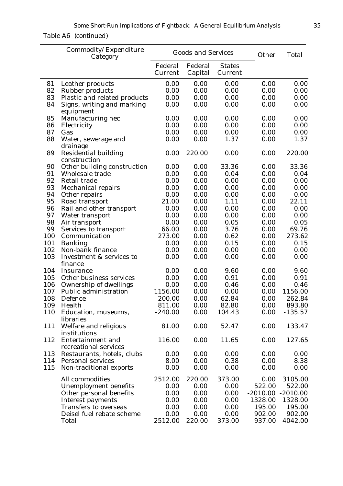# *Table A6 (continued)*

|     | Commodity/Expenditure<br>Category           |                    | <b>Goods and Services</b> |                          | Other      | <b>Total</b> |
|-----|---------------------------------------------|--------------------|---------------------------|--------------------------|------------|--------------|
|     |                                             | Federal<br>Current | Federal<br>Capital        | <b>States</b><br>Current |            |              |
| 81  | Leather products                            | 0.00               | 0.00                      | 0.00                     | 0.00       | 0.00         |
| 82  | <b>Rubber products</b>                      | 0.00               | 0.00                      | 0.00                     | 0.00       | 0.00         |
| 83  | Plastic and related products                | 0.00               | 0.00                      | 0.00                     | 0.00       | 0.00         |
| 84  | Signs, writing and marking<br>equipment     | 0.00               | 0.00                      | 0.00                     | 0.00       | 0.00         |
| 85  | Manufacturing nec                           | 0.00               | 0.00                      | 0.00                     | 0.00       | 0.00         |
| 86  | Electricity                                 | 0.00               | 0.00                      | 0.00                     | 0.00       | 0.00         |
| 87  | Gas                                         | 0.00               | 0.00                      | 0.00                     | 0.00       | 0.00         |
| 88  | Water, sewerage and                         | 0.00               | 0.00                      | 1.37                     | 0.00       | 1.37         |
| 89  | drainage<br><b>Residential building</b>     | 0.00               | 220.00                    | 0.00                     | 0.00       | 220.00       |
| 90  | construction<br>Other building construction | 0.00               | 0.00                      | 33.36                    | 0.00       | 33.36        |
| 91  | <b>Wholesale trade</b>                      | 0.00               | 0.00                      | 0.04                     | 0.00       | 0.04         |
| 92  | <b>Retail trade</b>                         | 0.00               | 0.00                      | 0.00                     | 0.00       | 0.00         |
| 93  | <b>Mechanical repairs</b>                   | 0.00               | 0.00                      | 0.00                     | 0.00       | 0.00         |
| 94  | Other repairs                               | 0.00               | 0.00                      | 0.00                     | 0.00       | 0.00         |
| 95  | Road transport                              | 21.00              | 0.00                      | 1.11                     | 0.00       | 22.11        |
| 96  | Rail and other transport                    | 0.00               | 0.00                      | 0.00                     | 0.00       | 0.00         |
| 97  | Water transport                             | 0.00               | 0.00                      | 0.00                     | 0.00       | 0.00         |
| 98  | Air transport                               | 0.00               | 0.00                      | 0.05                     | 0.00       | 0.05         |
| 99  | Services to transport                       | 66.00              | 0.00                      | 3.76                     | 0.00       | 69.76        |
| 100 | Communication                               | 273.00             | 0.00                      | 0.62                     | 0.00       | 273.62       |
| 101 | <b>Banking</b>                              | 0.00               | 0.00                      | 0.15                     | 0.00       | 0.15         |
| 102 | Non-bank finance                            | 0.00               | 0.00                      | 0.00                     | 0.00       | 0.00         |
| 103 | Investment & services to<br>finance         | 0.00               | 0.00                      | 0.00                     | 0.00       | 0.00         |
| 104 | <b>Insurance</b>                            | 0.00               | 0.00                      | 9.60                     | 0.00       | 9.60         |
| 105 | Other business services                     | 0.00               | 0.00                      | 0.91                     | 0.00       | 0.91         |
| 106 | Ownership of dwellings                      | 0.00               | 0.00                      | 0.46                     | 0.00       | 0.46         |
| 107 | Public administration                       | 1156.00            | 0.00                      | 0.00                     | 0.00       | 1156.00      |
| 108 | Defence                                     | 200.00             | 0.00                      | 62.84                    | 0.00       | 262.84       |
| 109 | Health                                      | 811.00             | 0.00                      | 82.80                    | 0.00       | 893.80       |
| 110 | Education, museums,<br>libraries            | $-240.00$          | 0.00                      | 104.43                   | 0.00       | $-135.57$    |
| 111 | Welfare and religious<br>institutions       | 81.00              | 0.00                      | 52.47                    | 0.00       | 133.47       |
| 112 | Entertainment and<br>recreational services  | 116.00             | 0.00                      | 11.65                    | 0.00       | 127.65       |
| 113 | Restaurants, hotels, clubs                  | 0.00               | 0.00                      | 0.00                     | 0.00       | 0.00         |
| 114 | <b>Personal services</b>                    | 8.00               | 0.00                      | 0.38                     | 0.00       | 8.38         |
| 115 | Non-traditional exports                     | 0.00               | 0.00                      | 0.00                     | 0.00       | 0.00         |
|     | All commodities                             | 2512.00            | 220.00                    | 373.00                   | 0.00       | 3105.00      |
|     | <b>Unemployment benefits</b>                | 0.00               | 0.00                      | 0.00                     | 522.00     | 522.00       |
|     | Other personal benefits                     | 0.00               | 0.00                      | 0.00                     | $-2010.00$ | $-2010.00$   |
|     | <b>Interest payments</b>                    | 0.00               | 0.00                      | 0.00                     | 1328.00    | 1328.00      |
|     | <b>Transfers to overseas</b>                | 0.00               | 0.00                      | 0.00                     | 195.00     | 195.00       |
|     | Deisel fuel rebate scheme                   | 0.00               | 0.00                      | 0.00                     | 902.00     | 902.00       |
|     | <b>Total</b>                                | 2512.00            | 220.00                    | 373.00                   | 937.00     | 4042.00      |
|     |                                             |                    |                           |                          |            |              |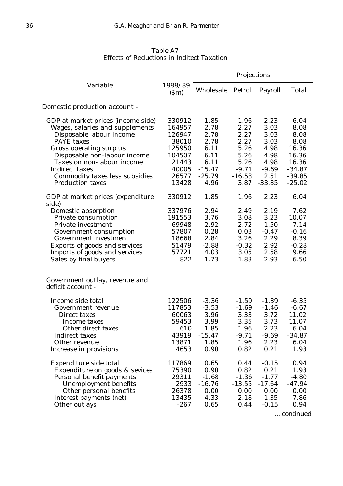| Variable<br>1988/89<br>Wholesale<br>Petrol<br>Payroll<br><b>Total</b><br>(Sm)<br>Domestic production account -<br>1.96<br>GDP at market prices (income side)<br>330912<br>1.85<br>2.23<br>6.04<br>2.27<br>Wages, salaries and supplements<br>2.78<br>3.03<br>8.08<br>164957<br>2.78<br>2.27<br>3.03<br>Disposable labour income<br>126947<br>8.08<br>2.27<br>2.78<br>3.03<br><b>PAYE</b> taxes<br>38010<br>8.08<br><b>Gross operating surplus</b><br>5.26<br>4.98<br>125950<br>6.11<br>16.36<br>Disposable non-labour income<br>6.11<br>5.26<br>4.98<br>16.36<br>104507<br>Taxes on non-labour income<br>6.11<br>5.26<br>4.98<br>21443<br>16.36<br>$-15.47$<br>$-9.71$<br>$-9.69$<br>Indirect taxes<br>40005<br>$-34.87$<br>Commodity taxes less subsidies<br>26577<br>$-25.79$<br>$-16.58$<br>2.51<br>$-39.85$<br>13428<br>$-33.85$<br><b>Production taxes</b><br>4.96<br>3.87<br>$-25.02$<br>1.96<br>2.23<br>GDP at market prices (expenditure<br>330912<br>1.85<br>6.04<br>side)<br>Domestic absorption<br>337976<br>2.94<br>2.49<br>2.19<br>7.62<br>3.76<br>3.08<br>3.23<br>Private consumption<br>191553<br>10.07<br>2.72<br>Private investment<br>69948<br>2.92<br>1.50<br>7.14<br>0.28<br>0.03<br>$-0.16$<br>57807<br>$-0.47$<br>Government consumption<br>3.26<br>2.29<br>Government investment<br>18668<br>2.84<br>8.39<br>$-0.32$<br>2.92<br>$-0.28$<br>Exports of goods and services<br>51479<br>$-2.88$<br>Imports of goods and services<br>57721<br>2.58<br>4.03<br>3.05<br>9.66<br>Sales by final buyers<br>822<br>1.73<br>1.83<br>2.93<br>6.50<br>Government outlay, revenue and<br>deficit account -<br>Income side total<br>122506<br>$-3.36$<br>$-1.59$<br>$-1.39$<br>$-6.35$<br>117853<br>$-3.53$<br>$-1.69$<br>$-1.46$<br>$-6.67$<br>Government revenue<br>3.33<br>3.72<br>11.02<br>60063<br>3.96<br>Direct taxes<br>59453<br>3.35<br>3.73<br>3.99<br>11.07<br>Income taxes<br>610<br>1.85<br>1.96<br>2.23<br>6.04<br>Other direct taxes<br>43919<br>$-15.47$<br>$-9.71$<br>$-34.87$<br><b>Indirect taxes</b><br>$-9.69$<br>1.96<br>2.23<br>Other revenue<br>13871<br>1.85<br>6.04<br>4653<br>0.90<br>0.82<br>0.21<br>1.93<br>Increase in provisions<br>117869<br>$-0.15$<br>Expenditure side total<br>0.65<br>0.44<br>0.94<br>75390<br>0.90<br>0.21<br>Expenditure on goods & sevices<br>0.82<br>1.93<br>$-1.36$<br>Personal benefit payments<br>29311<br>$-1.68$<br>$-1.77$<br>$-4.80$<br>$-17.64$<br>Unemployment benefits<br>2933<br>$-16.76$<br>$-13.55$<br>$-47.94$<br>Other personal benefits<br>26378<br>0.00<br>0.00<br>0.00<br>0.00<br>1.35<br>13435<br>4.33<br>2.18<br>7.86<br>Interest payments (net)<br>Other outlays<br>$-267$<br>0.65<br>0.44<br>$-0.15$<br>0.94 |  | Projections |  |  |  |  |
|-----------------------------------------------------------------------------------------------------------------------------------------------------------------------------------------------------------------------------------------------------------------------------------------------------------------------------------------------------------------------------------------------------------------------------------------------------------------------------------------------------------------------------------------------------------------------------------------------------------------------------------------------------------------------------------------------------------------------------------------------------------------------------------------------------------------------------------------------------------------------------------------------------------------------------------------------------------------------------------------------------------------------------------------------------------------------------------------------------------------------------------------------------------------------------------------------------------------------------------------------------------------------------------------------------------------------------------------------------------------------------------------------------------------------------------------------------------------------------------------------------------------------------------------------------------------------------------------------------------------------------------------------------------------------------------------------------------------------------------------------------------------------------------------------------------------------------------------------------------------------------------------------------------------------------------------------------------------------------------------------------------------------------------------------------------------------------------------------------------------------------------------------------------------------------------------------------------------------------------------------------------------------------------------------------------------------------------------------------------------------------------------------------------------------------------------------------------------------------------------------------------------------------------------------------------------------------------------------------------------------------------------------------------------------------------------------------|--|-------------|--|--|--|--|
|                                                                                                                                                                                                                                                                                                                                                                                                                                                                                                                                                                                                                                                                                                                                                                                                                                                                                                                                                                                                                                                                                                                                                                                                                                                                                                                                                                                                                                                                                                                                                                                                                                                                                                                                                                                                                                                                                                                                                                                                                                                                                                                                                                                                                                                                                                                                                                                                                                                                                                                                                                                                                                                                                                     |  |             |  |  |  |  |
|                                                                                                                                                                                                                                                                                                                                                                                                                                                                                                                                                                                                                                                                                                                                                                                                                                                                                                                                                                                                                                                                                                                                                                                                                                                                                                                                                                                                                                                                                                                                                                                                                                                                                                                                                                                                                                                                                                                                                                                                                                                                                                                                                                                                                                                                                                                                                                                                                                                                                                                                                                                                                                                                                                     |  |             |  |  |  |  |
|                                                                                                                                                                                                                                                                                                                                                                                                                                                                                                                                                                                                                                                                                                                                                                                                                                                                                                                                                                                                                                                                                                                                                                                                                                                                                                                                                                                                                                                                                                                                                                                                                                                                                                                                                                                                                                                                                                                                                                                                                                                                                                                                                                                                                                                                                                                                                                                                                                                                                                                                                                                                                                                                                                     |  |             |  |  |  |  |
|                                                                                                                                                                                                                                                                                                                                                                                                                                                                                                                                                                                                                                                                                                                                                                                                                                                                                                                                                                                                                                                                                                                                                                                                                                                                                                                                                                                                                                                                                                                                                                                                                                                                                                                                                                                                                                                                                                                                                                                                                                                                                                                                                                                                                                                                                                                                                                                                                                                                                                                                                                                                                                                                                                     |  |             |  |  |  |  |
|                                                                                                                                                                                                                                                                                                                                                                                                                                                                                                                                                                                                                                                                                                                                                                                                                                                                                                                                                                                                                                                                                                                                                                                                                                                                                                                                                                                                                                                                                                                                                                                                                                                                                                                                                                                                                                                                                                                                                                                                                                                                                                                                                                                                                                                                                                                                                                                                                                                                                                                                                                                                                                                                                                     |  |             |  |  |  |  |
|                                                                                                                                                                                                                                                                                                                                                                                                                                                                                                                                                                                                                                                                                                                                                                                                                                                                                                                                                                                                                                                                                                                                                                                                                                                                                                                                                                                                                                                                                                                                                                                                                                                                                                                                                                                                                                                                                                                                                                                                                                                                                                                                                                                                                                                                                                                                                                                                                                                                                                                                                                                                                                                                                                     |  |             |  |  |  |  |
|                                                                                                                                                                                                                                                                                                                                                                                                                                                                                                                                                                                                                                                                                                                                                                                                                                                                                                                                                                                                                                                                                                                                                                                                                                                                                                                                                                                                                                                                                                                                                                                                                                                                                                                                                                                                                                                                                                                                                                                                                                                                                                                                                                                                                                                                                                                                                                                                                                                                                                                                                                                                                                                                                                     |  |             |  |  |  |  |
|                                                                                                                                                                                                                                                                                                                                                                                                                                                                                                                                                                                                                                                                                                                                                                                                                                                                                                                                                                                                                                                                                                                                                                                                                                                                                                                                                                                                                                                                                                                                                                                                                                                                                                                                                                                                                                                                                                                                                                                                                                                                                                                                                                                                                                                                                                                                                                                                                                                                                                                                                                                                                                                                                                     |  |             |  |  |  |  |
|                                                                                                                                                                                                                                                                                                                                                                                                                                                                                                                                                                                                                                                                                                                                                                                                                                                                                                                                                                                                                                                                                                                                                                                                                                                                                                                                                                                                                                                                                                                                                                                                                                                                                                                                                                                                                                                                                                                                                                                                                                                                                                                                                                                                                                                                                                                                                                                                                                                                                                                                                                                                                                                                                                     |  |             |  |  |  |  |
|                                                                                                                                                                                                                                                                                                                                                                                                                                                                                                                                                                                                                                                                                                                                                                                                                                                                                                                                                                                                                                                                                                                                                                                                                                                                                                                                                                                                                                                                                                                                                                                                                                                                                                                                                                                                                                                                                                                                                                                                                                                                                                                                                                                                                                                                                                                                                                                                                                                                                                                                                                                                                                                                                                     |  |             |  |  |  |  |
|                                                                                                                                                                                                                                                                                                                                                                                                                                                                                                                                                                                                                                                                                                                                                                                                                                                                                                                                                                                                                                                                                                                                                                                                                                                                                                                                                                                                                                                                                                                                                                                                                                                                                                                                                                                                                                                                                                                                                                                                                                                                                                                                                                                                                                                                                                                                                                                                                                                                                                                                                                                                                                                                                                     |  |             |  |  |  |  |
|                                                                                                                                                                                                                                                                                                                                                                                                                                                                                                                                                                                                                                                                                                                                                                                                                                                                                                                                                                                                                                                                                                                                                                                                                                                                                                                                                                                                                                                                                                                                                                                                                                                                                                                                                                                                                                                                                                                                                                                                                                                                                                                                                                                                                                                                                                                                                                                                                                                                                                                                                                                                                                                                                                     |  |             |  |  |  |  |
|                                                                                                                                                                                                                                                                                                                                                                                                                                                                                                                                                                                                                                                                                                                                                                                                                                                                                                                                                                                                                                                                                                                                                                                                                                                                                                                                                                                                                                                                                                                                                                                                                                                                                                                                                                                                                                                                                                                                                                                                                                                                                                                                                                                                                                                                                                                                                                                                                                                                                                                                                                                                                                                                                                     |  |             |  |  |  |  |
|                                                                                                                                                                                                                                                                                                                                                                                                                                                                                                                                                                                                                                                                                                                                                                                                                                                                                                                                                                                                                                                                                                                                                                                                                                                                                                                                                                                                                                                                                                                                                                                                                                                                                                                                                                                                                                                                                                                                                                                                                                                                                                                                                                                                                                                                                                                                                                                                                                                                                                                                                                                                                                                                                                     |  |             |  |  |  |  |
|                                                                                                                                                                                                                                                                                                                                                                                                                                                                                                                                                                                                                                                                                                                                                                                                                                                                                                                                                                                                                                                                                                                                                                                                                                                                                                                                                                                                                                                                                                                                                                                                                                                                                                                                                                                                                                                                                                                                                                                                                                                                                                                                                                                                                                                                                                                                                                                                                                                                                                                                                                                                                                                                                                     |  |             |  |  |  |  |
|                                                                                                                                                                                                                                                                                                                                                                                                                                                                                                                                                                                                                                                                                                                                                                                                                                                                                                                                                                                                                                                                                                                                                                                                                                                                                                                                                                                                                                                                                                                                                                                                                                                                                                                                                                                                                                                                                                                                                                                                                                                                                                                                                                                                                                                                                                                                                                                                                                                                                                                                                                                                                                                                                                     |  |             |  |  |  |  |
|                                                                                                                                                                                                                                                                                                                                                                                                                                                                                                                                                                                                                                                                                                                                                                                                                                                                                                                                                                                                                                                                                                                                                                                                                                                                                                                                                                                                                                                                                                                                                                                                                                                                                                                                                                                                                                                                                                                                                                                                                                                                                                                                                                                                                                                                                                                                                                                                                                                                                                                                                                                                                                                                                                     |  |             |  |  |  |  |
|                                                                                                                                                                                                                                                                                                                                                                                                                                                                                                                                                                                                                                                                                                                                                                                                                                                                                                                                                                                                                                                                                                                                                                                                                                                                                                                                                                                                                                                                                                                                                                                                                                                                                                                                                                                                                                                                                                                                                                                                                                                                                                                                                                                                                                                                                                                                                                                                                                                                                                                                                                                                                                                                                                     |  |             |  |  |  |  |
|                                                                                                                                                                                                                                                                                                                                                                                                                                                                                                                                                                                                                                                                                                                                                                                                                                                                                                                                                                                                                                                                                                                                                                                                                                                                                                                                                                                                                                                                                                                                                                                                                                                                                                                                                                                                                                                                                                                                                                                                                                                                                                                                                                                                                                                                                                                                                                                                                                                                                                                                                                                                                                                                                                     |  |             |  |  |  |  |
|                                                                                                                                                                                                                                                                                                                                                                                                                                                                                                                                                                                                                                                                                                                                                                                                                                                                                                                                                                                                                                                                                                                                                                                                                                                                                                                                                                                                                                                                                                                                                                                                                                                                                                                                                                                                                                                                                                                                                                                                                                                                                                                                                                                                                                                                                                                                                                                                                                                                                                                                                                                                                                                                                                     |  |             |  |  |  |  |
|                                                                                                                                                                                                                                                                                                                                                                                                                                                                                                                                                                                                                                                                                                                                                                                                                                                                                                                                                                                                                                                                                                                                                                                                                                                                                                                                                                                                                                                                                                                                                                                                                                                                                                                                                                                                                                                                                                                                                                                                                                                                                                                                                                                                                                                                                                                                                                                                                                                                                                                                                                                                                                                                                                     |  |             |  |  |  |  |
|                                                                                                                                                                                                                                                                                                                                                                                                                                                                                                                                                                                                                                                                                                                                                                                                                                                                                                                                                                                                                                                                                                                                                                                                                                                                                                                                                                                                                                                                                                                                                                                                                                                                                                                                                                                                                                                                                                                                                                                                                                                                                                                                                                                                                                                                                                                                                                                                                                                                                                                                                                                                                                                                                                     |  |             |  |  |  |  |
|                                                                                                                                                                                                                                                                                                                                                                                                                                                                                                                                                                                                                                                                                                                                                                                                                                                                                                                                                                                                                                                                                                                                                                                                                                                                                                                                                                                                                                                                                                                                                                                                                                                                                                                                                                                                                                                                                                                                                                                                                                                                                                                                                                                                                                                                                                                                                                                                                                                                                                                                                                                                                                                                                                     |  |             |  |  |  |  |
|                                                                                                                                                                                                                                                                                                                                                                                                                                                                                                                                                                                                                                                                                                                                                                                                                                                                                                                                                                                                                                                                                                                                                                                                                                                                                                                                                                                                                                                                                                                                                                                                                                                                                                                                                                                                                                                                                                                                                                                                                                                                                                                                                                                                                                                                                                                                                                                                                                                                                                                                                                                                                                                                                                     |  |             |  |  |  |  |
|                                                                                                                                                                                                                                                                                                                                                                                                                                                                                                                                                                                                                                                                                                                                                                                                                                                                                                                                                                                                                                                                                                                                                                                                                                                                                                                                                                                                                                                                                                                                                                                                                                                                                                                                                                                                                                                                                                                                                                                                                                                                                                                                                                                                                                                                                                                                                                                                                                                                                                                                                                                                                                                                                                     |  |             |  |  |  |  |
|                                                                                                                                                                                                                                                                                                                                                                                                                                                                                                                                                                                                                                                                                                                                                                                                                                                                                                                                                                                                                                                                                                                                                                                                                                                                                                                                                                                                                                                                                                                                                                                                                                                                                                                                                                                                                                                                                                                                                                                                                                                                                                                                                                                                                                                                                                                                                                                                                                                                                                                                                                                                                                                                                                     |  |             |  |  |  |  |
|                                                                                                                                                                                                                                                                                                                                                                                                                                                                                                                                                                                                                                                                                                                                                                                                                                                                                                                                                                                                                                                                                                                                                                                                                                                                                                                                                                                                                                                                                                                                                                                                                                                                                                                                                                                                                                                                                                                                                                                                                                                                                                                                                                                                                                                                                                                                                                                                                                                                                                                                                                                                                                                                                                     |  |             |  |  |  |  |
|                                                                                                                                                                                                                                                                                                                                                                                                                                                                                                                                                                                                                                                                                                                                                                                                                                                                                                                                                                                                                                                                                                                                                                                                                                                                                                                                                                                                                                                                                                                                                                                                                                                                                                                                                                                                                                                                                                                                                                                                                                                                                                                                                                                                                                                                                                                                                                                                                                                                                                                                                                                                                                                                                                     |  |             |  |  |  |  |
|                                                                                                                                                                                                                                                                                                                                                                                                                                                                                                                                                                                                                                                                                                                                                                                                                                                                                                                                                                                                                                                                                                                                                                                                                                                                                                                                                                                                                                                                                                                                                                                                                                                                                                                                                                                                                                                                                                                                                                                                                                                                                                                                                                                                                                                                                                                                                                                                                                                                                                                                                                                                                                                                                                     |  |             |  |  |  |  |
|                                                                                                                                                                                                                                                                                                                                                                                                                                                                                                                                                                                                                                                                                                                                                                                                                                                                                                                                                                                                                                                                                                                                                                                                                                                                                                                                                                                                                                                                                                                                                                                                                                                                                                                                                                                                                                                                                                                                                                                                                                                                                                                                                                                                                                                                                                                                                                                                                                                                                                                                                                                                                                                                                                     |  |             |  |  |  |  |
|                                                                                                                                                                                                                                                                                                                                                                                                                                                                                                                                                                                                                                                                                                                                                                                                                                                                                                                                                                                                                                                                                                                                                                                                                                                                                                                                                                                                                                                                                                                                                                                                                                                                                                                                                                                                                                                                                                                                                                                                                                                                                                                                                                                                                                                                                                                                                                                                                                                                                                                                                                                                                                                                                                     |  |             |  |  |  |  |
|                                                                                                                                                                                                                                                                                                                                                                                                                                                                                                                                                                                                                                                                                                                                                                                                                                                                                                                                                                                                                                                                                                                                                                                                                                                                                                                                                                                                                                                                                                                                                                                                                                                                                                                                                                                                                                                                                                                                                                                                                                                                                                                                                                                                                                                                                                                                                                                                                                                                                                                                                                                                                                                                                                     |  |             |  |  |  |  |
|                                                                                                                                                                                                                                                                                                                                                                                                                                                                                                                                                                                                                                                                                                                                                                                                                                                                                                                                                                                                                                                                                                                                                                                                                                                                                                                                                                                                                                                                                                                                                                                                                                                                                                                                                                                                                                                                                                                                                                                                                                                                                                                                                                                                                                                                                                                                                                                                                                                                                                                                                                                                                                                                                                     |  |             |  |  |  |  |
|                                                                                                                                                                                                                                                                                                                                                                                                                                                                                                                                                                                                                                                                                                                                                                                                                                                                                                                                                                                                                                                                                                                                                                                                                                                                                                                                                                                                                                                                                                                                                                                                                                                                                                                                                                                                                                                                                                                                                                                                                                                                                                                                                                                                                                                                                                                                                                                                                                                                                                                                                                                                                                                                                                     |  |             |  |  |  |  |
|                                                                                                                                                                                                                                                                                                                                                                                                                                                                                                                                                                                                                                                                                                                                                                                                                                                                                                                                                                                                                                                                                                                                                                                                                                                                                                                                                                                                                                                                                                                                                                                                                                                                                                                                                                                                                                                                                                                                                                                                                                                                                                                                                                                                                                                                                                                                                                                                                                                                                                                                                                                                                                                                                                     |  |             |  |  |  |  |
|                                                                                                                                                                                                                                                                                                                                                                                                                                                                                                                                                                                                                                                                                                                                                                                                                                                                                                                                                                                                                                                                                                                                                                                                                                                                                                                                                                                                                                                                                                                                                                                                                                                                                                                                                                                                                                                                                                                                                                                                                                                                                                                                                                                                                                                                                                                                                                                                                                                                                                                                                                                                                                                                                                     |  |             |  |  |  |  |
|                                                                                                                                                                                                                                                                                                                                                                                                                                                                                                                                                                                                                                                                                                                                                                                                                                                                                                                                                                                                                                                                                                                                                                                                                                                                                                                                                                                                                                                                                                                                                                                                                                                                                                                                                                                                                                                                                                                                                                                                                                                                                                                                                                                                                                                                                                                                                                                                                                                                                                                                                                                                                                                                                                     |  |             |  |  |  |  |

*Table A7 Effects of Reductions in Inditect Taxation*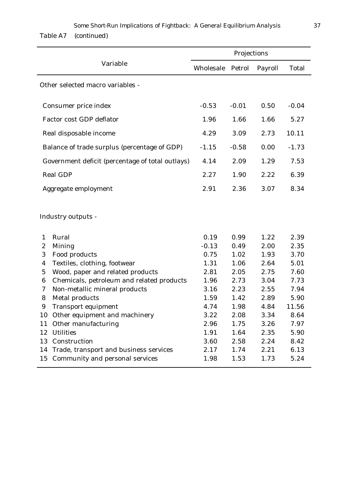|                                                                   |              | Projections  |              |               |  |  |
|-------------------------------------------------------------------|--------------|--------------|--------------|---------------|--|--|
| Variable                                                          | Wholesale    | Petrol       | Payroll      | <b>Total</b>  |  |  |
| Other selected macro variables -                                  |              |              |              |               |  |  |
| Consumer price index                                              | $-0.53$      | $-0.01$      | 0.50         | $-0.04$       |  |  |
| <b>Factor cost GDP deflator</b>                                   | 1.96         | 1.66         | 1.66         | 5.27          |  |  |
| Real disposable income                                            | 4.29         | 3.09         | 2.73         | 10.11         |  |  |
| Balance of trade surplus (percentage of GDP)                      | $-1.15$      | $-0.58$      | 0.00         | $-1.73$       |  |  |
| Government deficit (percentage of total outlays)                  | 4.14         | 2.09         | 1.29         | 7.53          |  |  |
| <b>Real GDP</b>                                                   | 2.27         | 1.90         | 2.22         | 6.39          |  |  |
| Aggregate employment                                              | 2.91         | 2.36         | 3.07         | 8.34          |  |  |
| Industry outputs -                                                |              |              |              |               |  |  |
| Rural<br>1                                                        | 0.19         | 0.99         | 1.22         | 2.39          |  |  |
| $\boldsymbol{2}$<br><b>Mining</b>                                 | $-0.13$      | 0.49         | 2.00         | 2.35          |  |  |
| Food products<br>3                                                | 0.75         | 1.02         | 1.93         | 3.70          |  |  |
| Textiles, clothing, footwear<br>$\boldsymbol{4}$                  | 1.31         | 1.06         | 2.64         | 5.01          |  |  |
| Wood, paper and related products<br>$\overline{5}$                | 2.81         | 2.05         | 2.75         | 7.60          |  |  |
| Chemicals, petroleum and related products<br>$\boldsymbol{6}$     | 1.96         | 2.73         | 3.04         | 7.73          |  |  |
| Non-metallic mineral products<br>7                                | 3.16         | 2.23         | 2.55         | 7.94          |  |  |
| 8<br><b>Metal products</b><br>9                                   | 1.59<br>4.74 | 1.42<br>1.98 | 2.89<br>4.84 | 5.90<br>11.56 |  |  |
| <b>Transport equipment</b><br>Other equipment and machinery<br>10 | 3.22         | 2.08         | 3.34         | 8.64          |  |  |
| Other manufacturing<br>11                                         | 2.96         | 1.75         | 3.26         | 7.97          |  |  |
| <b>Utilities</b><br>12                                            | 1.91         | 1.64         | 2.35         | 5.90          |  |  |
| Construction<br>13                                                | 3.60         | 2.58         | 2.24         | 8.42          |  |  |
| Trade, transport and business services<br>14                      | 2.17         | 1.74         | 2.21         | 6.13          |  |  |
| <b>Community and personal services</b><br>15                      | 1.98         | 1.53         | 1.73         | 5.24          |  |  |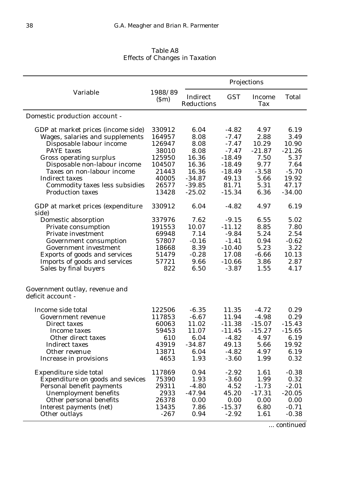|                                                                                                                                                                                                                       |                                                                      |                                                                          | Projections                                                                           |                                                                            |                                                                       |  |
|-----------------------------------------------------------------------------------------------------------------------------------------------------------------------------------------------------------------------|----------------------------------------------------------------------|--------------------------------------------------------------------------|---------------------------------------------------------------------------------------|----------------------------------------------------------------------------|-----------------------------------------------------------------------|--|
| Variable                                                                                                                                                                                                              | 1988/89<br>(Sm)                                                      | Indirect<br>Reductions                                                   | <b>GST</b>                                                                            | <b>Income</b><br>Tax                                                       | <b>Total</b>                                                          |  |
| Domestic production account -                                                                                                                                                                                         |                                                                      |                                                                          |                                                                                       |                                                                            |                                                                       |  |
| GDP at market prices (income side)<br>Wages, salaries and supplements<br>Disposable labour income<br><b>PAYE</b> taxes<br><b>Gross operating surplus</b><br>Disposable non-labour income                              | 330912<br>164957<br>126947<br>38010<br>125950<br>104507              | 6.04<br>8.08<br>8.08<br>8.08<br>16.36<br>16.36                           | $-4.82$<br>$-7.47$<br>$-7.47$<br>$-7.47$<br>$-18.49$<br>$-18.49$                      | 4.97<br>2.88<br>10.29<br>$-21.87$<br>7.50<br>9.77                          | 6.19<br>3.49<br>10.90<br>$-21.26$<br>5.37<br>7.64                     |  |
| Taxes on non-labour income<br><b>Indirect taxes</b><br>Commodity taxes less subsidies<br><b>Production taxes</b>                                                                                                      | 21443<br>40005<br>26577<br>13428                                     | 16.36<br>$-34.87$<br>$-39.85$<br>$-25.02$                                | $-18.49$<br>49.13<br>81.71<br>$-15.34$                                                | $-3.58$<br>5.66<br>5.31<br>6.36                                            | $-5.70$<br>19.92<br>47.17<br>$-34.00$                                 |  |
| GDP at market prices (expenditure<br>side)                                                                                                                                                                            | 330912                                                               | 6.04                                                                     | $-4.82$                                                                               | 4.97                                                                       | 6.19                                                                  |  |
| Domestic absorption<br>Private consumption<br><b>Private investment</b><br>Government consumption<br>Government investment<br>Exports of goods and services<br>Imports of goods and services<br>Sales by final buyers | 337976<br>191553<br>69948<br>57807<br>18668<br>51479<br>57721<br>822 | 7.62<br>10.07<br>7.14<br>$-0.16$<br>8.39<br>$-0.28$<br>9.66<br>6.50      | $-9.15$<br>$-11.12$<br>$-9.84$<br>$-1.41$<br>$-10.40$<br>17.08<br>$-10.66$<br>$-3.87$ | 6.55<br>8.85<br>5.24<br>0.94<br>5.23<br>$-6.66$<br>3.86<br>1.55            | 5.02<br>7.80<br>2.54<br>$-0.62$<br>3.22<br>10.13<br>2.87<br>4.17      |  |
| Government outlay, revenue and<br>deficit account -                                                                                                                                                                   |                                                                      |                                                                          |                                                                                       |                                                                            |                                                                       |  |
| Income side total<br>Government revenue<br>Direct taxes<br>Income taxes<br>Other direct taxes<br><b>Indirect taxes</b><br>Other revenue<br>Increase in provisions                                                     | 122506<br>117853<br>60063<br>59453<br>610<br>43919<br>13871<br>4653  | $-6.35$<br>$-6.67$<br>11.02<br>11.07<br>6.04<br>$-34.87$<br>6.04<br>1.93 | 11.35<br>11.94<br>$-11.38$<br>$-11.45$<br>$-4.82$<br>49.13<br>$-4.82$<br>$-3.60$      | $-4.72$<br>$-4.98$<br>$-15.07$<br>$-15.27$<br>4.97<br>5.66<br>4.97<br>1.99 | 0.29<br>0.29<br>$-15.43$<br>$-15.65$<br>6.19<br>19.92<br>6.19<br>0.32 |  |
| Expenditure side total<br>Expenditure on goods and sevices<br>Personal benefit payments<br>Unemployment benefits<br>Other personal benefits<br>Interest payments (net)<br>Other outlays                               | 117869<br>75390<br>29311<br>2933<br>26378<br>13435<br>$-267$         | 0.94<br>1.93<br>$-4.80$<br>$-47.94$<br>0.00<br>7.86<br>0.94              | $-2.92$<br>$-3.60$<br>4.52<br>45.20<br>0.00<br>$-15.37$<br>$-2.92$                    | 1.61<br>1.99<br>$-1.73$<br>$-17.31$<br>0.00<br>6.80<br>1.61                | $-0.38$<br>0.32<br>$-2.01$<br>$-20.05$<br>0.00<br>$-0.71$<br>$-0.38$  |  |

*Table A8 Effects of Changes in Taxation*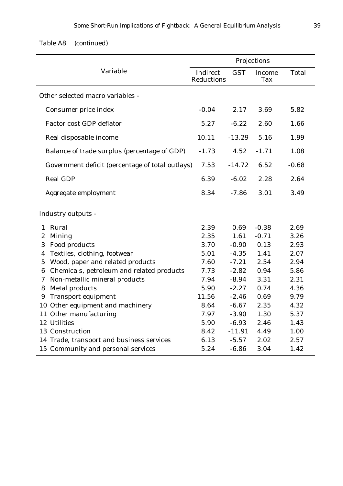| Table A8 | (continued) |
|----------|-------------|
|----------|-------------|

|                                                    |                        |            | Projections   |              |
|----------------------------------------------------|------------------------|------------|---------------|--------------|
| Variable                                           | Indirect<br>Reductions | <b>GST</b> | Income<br>Tax | <b>Total</b> |
| Other selected macro variables -                   |                        |            |               |              |
| Consumer price index                               | $-0.04$                | 2.17       | 3.69          | 5.82         |
| <b>Factor cost GDP deflator</b>                    | 5.27                   | $-6.22$    | 2.60          | 1.66         |
| Real disposable income                             | 10.11                  | $-13.29$   | 5.16          | 1.99         |
| Balance of trade surplus (percentage of GDP)       | $-1.73$                | 4.52       | $-1.71$       | 1.08         |
| Government deficit (percentage of total outlays)   | 7.53                   | $-14.72$   | 6.52          | $-0.68$      |
| <b>Real GDP</b>                                    | 6.39                   | $-6.02$    | 2.28          | 2.64         |
| Aggregate employment                               | 8.34                   | $-7.86$    | 3.01          | 3.49         |
| Industry outputs -                                 |                        |            |               |              |
| Rural<br>1                                         | 2.39                   | 0.69       | $-0.38$       | 2.69         |
| <b>Mining</b><br>$\boldsymbol{2}$                  | 2.35                   | 1.61       | $-0.71$       | 3.26         |
| Food products<br>3                                 | 3.70                   | $-0.90$    | 0.13          | 2.93         |
| Textiles, clothing, footwear<br>4                  | 5.01                   | $-4.35$    | 1.41          | 2.07         |
| Wood, paper and related products<br>$\overline{5}$ | 7.60                   | $-7.21$    | 2.54          | 2.94         |
| Chemicals, petroleum and related products<br>6     | 7.73                   | $-2.82$    | 0.94          | 5.86         |
| Non-metallic mineral products<br>7                 | 7.94                   | $-8.94$    | 3.31          | 2.31         |
| <b>Metal products</b><br>8                         | 5.90                   | $-2.27$    | 0.74          | 4.36         |
| <b>Transport equipment</b><br>9                    | 11.56                  | $-2.46$    | 0.69          | 9.79         |
| 10 Other equipment and machinery                   | 8.64                   | $-6.67$    | 2.35          | 4.32         |
| 11 Other manufacturing                             | 7.97                   | $-3.90$    | 1.30          | 5.37         |
| 12 Utilities                                       | 5.90                   | $-6.93$    | 2.46          | 1.43         |
| 13 Construction                                    | 8.42                   | $-11.91$   | 4.49          | 1.00         |
| 14 Trade, transport and business services          | 6.13                   | $-5.57$    | 2.02          | 2.57         |
| 15 Community and personal services                 | 5.24                   | $-6.86$    | 3.04          | 1.42         |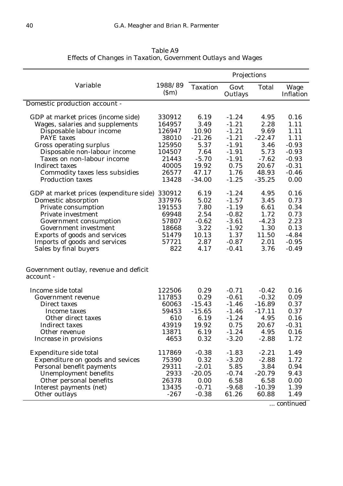|                                                     |                 | Projections     |                 |              |                             |
|-----------------------------------------------------|-----------------|-----------------|-----------------|--------------|-----------------------------|
| Variable                                            | 1988/89<br>(Sm) | <b>Taxation</b> | Govt<br>Outlays | <b>Total</b> | Wage<br><b>Inflation</b>    |
| Domestic production account -                       |                 |                 |                 |              |                             |
| GDP at market prices (income side)                  | 330912          | 6.19            | $-1.24$         | 4.95         | 0.16                        |
| Wages, salaries and supplements                     | 164957          | 3.49            | $-1.21$         | 2.28         | 1.11                        |
| Disposable labour income                            | 126947          | 10.90           | $-1.21$         | 9.69         | 1.11                        |
| <b>PAYE</b> taxes                                   | 38010           | $-21.26$        | $-1.21$         | $-22.47$     | 1.11                        |
| <b>Gross operating surplus</b>                      | 125950          | 5.37            | $-1.91$         | 3.46         | $-0.93$                     |
| Disposable non-labour income                        | 104507          | 7.64            | $-1.91$         | 5.73         | $-0.93$                     |
| Taxes on non-labour income                          | 21443           | $-5.70$         | $-1.91$         | $-7.62$      | $-0.93$                     |
| <b>Indirect taxes</b>                               | 40005           | 19.92           | 0.75            | 20.67        | $-0.31$                     |
| Commodity taxes less subsidies                      | 26577           | 47.17           | 1.76            | 48.93        | $-0.46$                     |
| <b>Production taxes</b>                             | 13428           | $-34.00$        | $-1.25$         | $-35.25$     | 0.00                        |
| GDP at market prices (expenditure side)             | 330912          | 6.19            | $-1.24$         | 4.95         | 0.16                        |
| Domestic absorption                                 | 337976          | 5.02            | $-1.57$         | 3.45         | 0.73                        |
| Private consumption                                 | 191553          | 7.80            | $-1.19$         | 6.61         | 0.34                        |
| Private investment                                  | 69948           | 2.54            | $-0.82$         | 1.72         | 0.73                        |
| Government consumption                              | 57807           | $-0.62$         | $-3.61$         | $-4.23$      | 2.23                        |
| <b>Government investment</b>                        | 18668           | 3.22            | $-1.92$         | 1.30         | 0.13                        |
| Exports of goods and services                       | 51479           | 10.13           | 1.37            | 11.50        | $-4.84$                     |
| Imports of goods and services                       | 57721           | 2.87            | $-0.87$         | 2.01         | $-0.95$                     |
| Sales by final buyers                               | 822             | 4.17            | $-0.41$         | 3.76         | $-0.49$                     |
| Government outlay, revenue and deficit<br>account - |                 |                 |                 |              |                             |
| Income side total                                   | 122506          | 0.29            | $-0.71$         | $-0.42$      | 0.16                        |
| <b>Government revenue</b>                           | 117853          | 0.29            | $-0.61$         | $-0.32$      | 0.09                        |
| Direct taxes                                        | 60063           | $-15.43$        | $-1.46$         | $-16.89$     | 0.37                        |
| Income taxes                                        | 59453           | $-15.65$        | $-1.46$         | $-17.11$     | 0.37                        |
| Other direct taxes                                  | 610             | 6.19            | $-1.24$         | 4.95         | 0.16                        |
| Indirect taxes                                      | 43919           | 19.92           | 0.75            | 20.67        | $-0.31$                     |
|                                                     | 13871           | 6.19            | $-1.24$         | 4.95         |                             |
| Other revenue                                       |                 | 0.32            | $-3.20$         |              | 0.16                        |
| Increase in provisions                              | 4653            |                 |                 | $-2.88$      | 1.72                        |
| Expenditure side total                              | 117869          | $-0.38$         | $-1.83$         | $-2.21$      | 1.49                        |
| Expenditure on goods and sevices                    | 75390           | 0.32            | $-3.20$         | $-2.88$      | 1.72                        |
| Personal benefit payments                           | 29311           | $-2.01$         | 5.85            | 3.84         | 0.94                        |
| <b>Unemployment benefits</b>                        | 2933            | $-20.05$        | $-0.74$         | $-20.79$     | 9.43                        |
| Other personal benefits                             | 26378           | 0.00            | 6.58            | 6.58         | 0.00                        |
| Interest payments (net)                             | 13435           | $-0.71$         | $-9.68$         | $-10.39$     | 1.39                        |
| Other outlays                                       | $-267$          | $-0.38$         | 61.26           | 60.88        | 1.49                        |
|                                                     |                 |                 |                 |              | $\overline{L}_{\text{max}}$ |

*Table A9 Effects of Changes in Taxation, Government Outlays and Wages*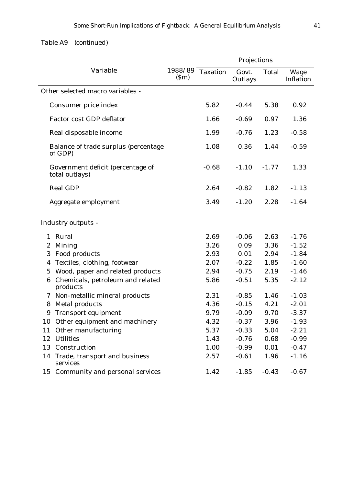|                  | Variable                                            | 1988/89<br>(Sm) | <b>Taxation</b> | Govt.<br>Outlays | Total   | Wage<br>Inflatio |
|------------------|-----------------------------------------------------|-----------------|-----------------|------------------|---------|------------------|
|                  | Other selected macro variables -                    |                 |                 |                  |         |                  |
|                  | Consumer price index                                |                 | 5.82            | $-0.44$          | 5.38    | 0.92             |
|                  | <b>Factor cost GDP deflator</b>                     |                 | 1.66            | $-0.69$          | 0.97    | 1.36             |
|                  | Real disposable income                              |                 | 1.99            | $-0.76$          | 1.23    | $-0.58$          |
|                  | Balance of trade surplus (percentage<br>of GDP)     |                 | 1.08            | 0.36             | 1.44    | $-0.59$          |
|                  | Government deficit (percentage of<br>total outlays) |                 | $-0.68$         | $-1.10$          | $-1.77$ | 1.33             |
|                  | <b>Real GDP</b>                                     |                 | 2.64            | $-0.82$          | 1.82    | $-1.13$          |
|                  | Aggregate employment                                |                 | 3.49            | $-1.20$          | 2.28    | $-1.64$          |
|                  | <b>Industry outputs -</b>                           |                 |                 |                  |         |                  |
| $\mathbf{1}$     | Rural                                               |                 | 2.69            | $-0.06$          | 2.63    | $-1.76$          |
| $\boldsymbol{2}$ | <b>Mining</b>                                       |                 | 3.26            | 0.09             | 3.36    | $-1.52$          |
| 3                | Food products                                       |                 | 2.93            | 0.01             | 2.94    | $-1.84$          |
| 4                | Textiles, clothing, footwear                        |                 | 2.07            | $-0.22$          | 1.85    | $-1.60$          |
| 5                | Wood, paper and related products                    |                 | 2.94            | $-0.75$          | 2.19    | $-1.46$          |
| 6                | Chemicals, petroleum and related<br>products        |                 | 5.86            | $-0.51$          | 5.35    | $-2.12$          |
|                  | 7 Non-metallic mineral products                     |                 | 2.31            | $-0.85$          | 1.46    | $-1.03$          |
| 8                | Metal products                                      |                 | 4.36            | $-0.15$          | 4.21    | $-2.01$          |
| 9                | <b>Transport equipment</b>                          |                 | 9.79            | $-0.09$          | 9.70    | $-3.37$          |
| 10               | Other equipment and machinery                       |                 | 4.32            | $-0.37$          | 3.96    | $-1.93$          |
| 11               | Other manufacturing                                 |                 | 5.37            | $-0.33$          | 5.04    | $-2.21$          |
| 12               | <b>Utilities</b>                                    |                 | 1.43            | $-0.76$          | 0.68    | $-0.99$          |

13 Construction 1.00 -0.99 0.01 -0.47

15 Community and personal services 1.42 -1.85 -0.43 -0.67

2.57 -0.61 1.96 -1.16

14 Trade, transport and business

services

Inflation

*Table A9 (continued)*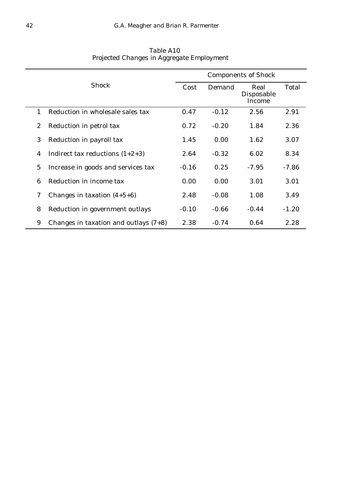|                |                                         | <b>Components of Shock</b> |         |                              |         |  |  |  |  |
|----------------|-----------------------------------------|----------------------------|---------|------------------------------|---------|--|--|--|--|
|                | <b>Shock</b>                            | Cost                       | Demand  | Real<br>Disposable<br>Income | Total   |  |  |  |  |
| $\mathbf{1}$   | Reduction in wholesale sales tax        | 0.47                       | $-0.12$ | 2.56                         | 2.91    |  |  |  |  |
| 2              | Reduction in petrol tax                 | 0.72                       | $-0.20$ | 1.84                         | 2.36    |  |  |  |  |
| 3              | Reduction in payroll tax                | 1.45                       | 0.00    | 1.62                         | 3.07    |  |  |  |  |
| 4              | Indirect tax reductions $(1+2+3)$       | 2.64                       | $-0.32$ | 6.02                         | 8.34    |  |  |  |  |
| $\overline{5}$ | Increase in goods and services tax      | $-0.16$                    | 0.25    | $-7.95$                      | $-7.86$ |  |  |  |  |
| 6              | Reduction in income tax                 | 0.00                       | 0.00    | 3.01                         | 3.01    |  |  |  |  |
| $\mathcal I$   | Changes in taxation $(4+5+6)$           | 2.48                       | $-0.08$ | 1.08                         | 3.49    |  |  |  |  |
| 8              | Reduction in government outlays         | $-0.10$                    | $-0.66$ | $-0.44$                      | $-1.20$ |  |  |  |  |
| 9              | Changes in taxation and outlays $(7+8)$ | 2.38                       | $-0.74$ | 0.64                         | 2.28    |  |  |  |  |

*Table A10 Projected Changes in Aggregate Employment*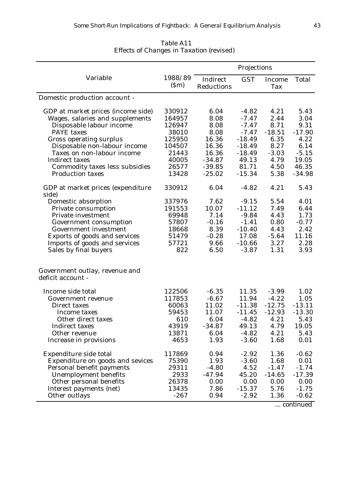| Variable<br>1988/89<br><b>GST</b><br>Indirect<br><b>Total</b><br>Income<br>(Sm)<br>Reductions<br>Tax<br>Domestic production account -<br>6.04<br>4.21<br>330912<br>$-4.82$<br>5.43<br>GDP at market prices (income side)<br>Wages, salaries and supplements<br>164957<br>8.08<br>$-7.47$<br>2.44<br>3.04<br>Disposable labour income<br>8.08<br>$-7.47$<br>8.71<br>9.31<br>126947<br>8.08<br>$-7.47$<br>$-18.51$<br>$-17.90$<br><b>PAYE</b> taxes<br>38010<br>16.36<br>$-18.49$<br>6.35<br>4.22<br><b>Gross operating surplus</b><br>125950<br>Disposable non-labour income<br>104507<br>16.36<br>$-18.49$<br>8.27<br>6.14<br>Taxes on non-labour income<br>16.36<br>$-18.49$<br>$-3.03$<br>$-5.15$<br>21443<br>$-34.87$<br>49.13<br>4.79<br>19.05<br><b>Indirect taxes</b><br>40005<br>Commodity taxes less subsidies<br>26577<br>$-39.85$<br>81.71<br>4.50<br>46.35<br>13428<br>$-25.02$<br>$-15.34$<br>5.38<br>$-34.98$<br><b>Production taxes</b><br>4.21<br>330912<br>6.04<br>GDP at market prices (expenditure<br>$-4.82$<br>5.43<br>side)<br>7.62<br>Domestic absorption<br>337976<br>$-9.15$<br>5.54<br>4.01<br>191553<br>10.07<br>$-11.12$<br>7.49<br>Private consumption<br>6.44<br>4.43<br>1.73<br>Private investment<br>69948<br>7.14<br>$-9.84$<br>57807<br>$-0.16$<br>0.80<br>$-0.77$<br>$-1.41$<br>Government consumption<br>8.39<br>$-10.40$<br>4.43<br>2.42<br><b>Government investment</b><br>18668<br>Exports of goods and services<br>$-0.28$<br>17.08<br>$-5.64$<br>11.16<br>51479<br>3.27<br>Imports of goods and services<br>57721<br>9.66<br>$-10.66$<br>2.28<br>Sales by final buyers<br>822<br>6.50<br>$-3.87$<br>1.31<br>3.93<br>Government outlay, revenue and<br>deficit account -<br>Income side total<br>$-6.35$<br>122506<br>11.35<br>$-3.99$<br>1.02<br>117853<br>$-6.67$<br>$-4.22$<br>1.05<br>11.94<br>Government revenue<br>$-12.75$<br>$-13.11$<br>60063<br>11.02<br>$-11.38$<br>Direct taxes<br>59453<br>$-12.93$<br>$-13.30$<br>11.07<br>$-11.45$<br>Income taxes<br>Other direct taxes<br>610<br>6.04<br>$-4.82$<br>4.21<br>5.43<br>43919<br>$-34.87$<br>49.13<br>4.79<br>19.05<br><b>Indirect taxes</b><br>13871<br>$-4.82$<br>4.21<br>5.43<br>Other revenue<br>6.04<br>4653<br>1.93<br>0.01<br>Increase in provisions<br>$-3.60$<br>1.68<br>Expenditure side total<br>117869<br>0.94<br>$-2.92$<br>1.36<br>$-0.62$<br>75390<br>1.93<br>$-3.60$<br>0.01<br>Expenditure on goods and sevices<br>1.68<br>29311<br>$-4.80$<br>4.52<br>$-1.47$<br>$-1.74$<br>Personal benefit payments<br>2933<br>$-47.94$<br>45.20<br>$-14.65$<br>$-17.39$<br>Unemployment benefits<br>Other personal benefits<br>26378<br>0.00<br>0.00<br>0.00<br>0.00<br>13435<br>7.86<br>$-15.37$<br>Interest payments (net)<br>5.76<br>$-1.75$<br>Other outlays<br>$-267$<br>0.94<br>$-2.92$<br>1.36<br>$-0.62$ |  | Projections |  |  |  |
|---------------------------------------------------------------------------------------------------------------------------------------------------------------------------------------------------------------------------------------------------------------------------------------------------------------------------------------------------------------------------------------------------------------------------------------------------------------------------------------------------------------------------------------------------------------------------------------------------------------------------------------------------------------------------------------------------------------------------------------------------------------------------------------------------------------------------------------------------------------------------------------------------------------------------------------------------------------------------------------------------------------------------------------------------------------------------------------------------------------------------------------------------------------------------------------------------------------------------------------------------------------------------------------------------------------------------------------------------------------------------------------------------------------------------------------------------------------------------------------------------------------------------------------------------------------------------------------------------------------------------------------------------------------------------------------------------------------------------------------------------------------------------------------------------------------------------------------------------------------------------------------------------------------------------------------------------------------------------------------------------------------------------------------------------------------------------------------------------------------------------------------------------------------------------------------------------------------------------------------------------------------------------------------------------------------------------------------------------------------------------------------------------------------------------------------------------------------------------------------------------------------------------------------------------------------------------------------------------------------------------------------------------------------------------------------------------------------------------------------------------------------------------------------------------------------------------|--|-------------|--|--|--|
|                                                                                                                                                                                                                                                                                                                                                                                                                                                                                                                                                                                                                                                                                                                                                                                                                                                                                                                                                                                                                                                                                                                                                                                                                                                                                                                                                                                                                                                                                                                                                                                                                                                                                                                                                                                                                                                                                                                                                                                                                                                                                                                                                                                                                                                                                                                                                                                                                                                                                                                                                                                                                                                                                                                                                                                                                           |  |             |  |  |  |
|                                                                                                                                                                                                                                                                                                                                                                                                                                                                                                                                                                                                                                                                                                                                                                                                                                                                                                                                                                                                                                                                                                                                                                                                                                                                                                                                                                                                                                                                                                                                                                                                                                                                                                                                                                                                                                                                                                                                                                                                                                                                                                                                                                                                                                                                                                                                                                                                                                                                                                                                                                                                                                                                                                                                                                                                                           |  |             |  |  |  |
|                                                                                                                                                                                                                                                                                                                                                                                                                                                                                                                                                                                                                                                                                                                                                                                                                                                                                                                                                                                                                                                                                                                                                                                                                                                                                                                                                                                                                                                                                                                                                                                                                                                                                                                                                                                                                                                                                                                                                                                                                                                                                                                                                                                                                                                                                                                                                                                                                                                                                                                                                                                                                                                                                                                                                                                                                           |  |             |  |  |  |
|                                                                                                                                                                                                                                                                                                                                                                                                                                                                                                                                                                                                                                                                                                                                                                                                                                                                                                                                                                                                                                                                                                                                                                                                                                                                                                                                                                                                                                                                                                                                                                                                                                                                                                                                                                                                                                                                                                                                                                                                                                                                                                                                                                                                                                                                                                                                                                                                                                                                                                                                                                                                                                                                                                                                                                                                                           |  |             |  |  |  |
|                                                                                                                                                                                                                                                                                                                                                                                                                                                                                                                                                                                                                                                                                                                                                                                                                                                                                                                                                                                                                                                                                                                                                                                                                                                                                                                                                                                                                                                                                                                                                                                                                                                                                                                                                                                                                                                                                                                                                                                                                                                                                                                                                                                                                                                                                                                                                                                                                                                                                                                                                                                                                                                                                                                                                                                                                           |  |             |  |  |  |
|                                                                                                                                                                                                                                                                                                                                                                                                                                                                                                                                                                                                                                                                                                                                                                                                                                                                                                                                                                                                                                                                                                                                                                                                                                                                                                                                                                                                                                                                                                                                                                                                                                                                                                                                                                                                                                                                                                                                                                                                                                                                                                                                                                                                                                                                                                                                                                                                                                                                                                                                                                                                                                                                                                                                                                                                                           |  |             |  |  |  |
|                                                                                                                                                                                                                                                                                                                                                                                                                                                                                                                                                                                                                                                                                                                                                                                                                                                                                                                                                                                                                                                                                                                                                                                                                                                                                                                                                                                                                                                                                                                                                                                                                                                                                                                                                                                                                                                                                                                                                                                                                                                                                                                                                                                                                                                                                                                                                                                                                                                                                                                                                                                                                                                                                                                                                                                                                           |  |             |  |  |  |
|                                                                                                                                                                                                                                                                                                                                                                                                                                                                                                                                                                                                                                                                                                                                                                                                                                                                                                                                                                                                                                                                                                                                                                                                                                                                                                                                                                                                                                                                                                                                                                                                                                                                                                                                                                                                                                                                                                                                                                                                                                                                                                                                                                                                                                                                                                                                                                                                                                                                                                                                                                                                                                                                                                                                                                                                                           |  |             |  |  |  |
|                                                                                                                                                                                                                                                                                                                                                                                                                                                                                                                                                                                                                                                                                                                                                                                                                                                                                                                                                                                                                                                                                                                                                                                                                                                                                                                                                                                                                                                                                                                                                                                                                                                                                                                                                                                                                                                                                                                                                                                                                                                                                                                                                                                                                                                                                                                                                                                                                                                                                                                                                                                                                                                                                                                                                                                                                           |  |             |  |  |  |
|                                                                                                                                                                                                                                                                                                                                                                                                                                                                                                                                                                                                                                                                                                                                                                                                                                                                                                                                                                                                                                                                                                                                                                                                                                                                                                                                                                                                                                                                                                                                                                                                                                                                                                                                                                                                                                                                                                                                                                                                                                                                                                                                                                                                                                                                                                                                                                                                                                                                                                                                                                                                                                                                                                                                                                                                                           |  |             |  |  |  |
|                                                                                                                                                                                                                                                                                                                                                                                                                                                                                                                                                                                                                                                                                                                                                                                                                                                                                                                                                                                                                                                                                                                                                                                                                                                                                                                                                                                                                                                                                                                                                                                                                                                                                                                                                                                                                                                                                                                                                                                                                                                                                                                                                                                                                                                                                                                                                                                                                                                                                                                                                                                                                                                                                                                                                                                                                           |  |             |  |  |  |
|                                                                                                                                                                                                                                                                                                                                                                                                                                                                                                                                                                                                                                                                                                                                                                                                                                                                                                                                                                                                                                                                                                                                                                                                                                                                                                                                                                                                                                                                                                                                                                                                                                                                                                                                                                                                                                                                                                                                                                                                                                                                                                                                                                                                                                                                                                                                                                                                                                                                                                                                                                                                                                                                                                                                                                                                                           |  |             |  |  |  |
|                                                                                                                                                                                                                                                                                                                                                                                                                                                                                                                                                                                                                                                                                                                                                                                                                                                                                                                                                                                                                                                                                                                                                                                                                                                                                                                                                                                                                                                                                                                                                                                                                                                                                                                                                                                                                                                                                                                                                                                                                                                                                                                                                                                                                                                                                                                                                                                                                                                                                                                                                                                                                                                                                                                                                                                                                           |  |             |  |  |  |
|                                                                                                                                                                                                                                                                                                                                                                                                                                                                                                                                                                                                                                                                                                                                                                                                                                                                                                                                                                                                                                                                                                                                                                                                                                                                                                                                                                                                                                                                                                                                                                                                                                                                                                                                                                                                                                                                                                                                                                                                                                                                                                                                                                                                                                                                                                                                                                                                                                                                                                                                                                                                                                                                                                                                                                                                                           |  |             |  |  |  |
|                                                                                                                                                                                                                                                                                                                                                                                                                                                                                                                                                                                                                                                                                                                                                                                                                                                                                                                                                                                                                                                                                                                                                                                                                                                                                                                                                                                                                                                                                                                                                                                                                                                                                                                                                                                                                                                                                                                                                                                                                                                                                                                                                                                                                                                                                                                                                                                                                                                                                                                                                                                                                                                                                                                                                                                                                           |  |             |  |  |  |
|                                                                                                                                                                                                                                                                                                                                                                                                                                                                                                                                                                                                                                                                                                                                                                                                                                                                                                                                                                                                                                                                                                                                                                                                                                                                                                                                                                                                                                                                                                                                                                                                                                                                                                                                                                                                                                                                                                                                                                                                                                                                                                                                                                                                                                                                                                                                                                                                                                                                                                                                                                                                                                                                                                                                                                                                                           |  |             |  |  |  |
|                                                                                                                                                                                                                                                                                                                                                                                                                                                                                                                                                                                                                                                                                                                                                                                                                                                                                                                                                                                                                                                                                                                                                                                                                                                                                                                                                                                                                                                                                                                                                                                                                                                                                                                                                                                                                                                                                                                                                                                                                                                                                                                                                                                                                                                                                                                                                                                                                                                                                                                                                                                                                                                                                                                                                                                                                           |  |             |  |  |  |
|                                                                                                                                                                                                                                                                                                                                                                                                                                                                                                                                                                                                                                                                                                                                                                                                                                                                                                                                                                                                                                                                                                                                                                                                                                                                                                                                                                                                                                                                                                                                                                                                                                                                                                                                                                                                                                                                                                                                                                                                                                                                                                                                                                                                                                                                                                                                                                                                                                                                                                                                                                                                                                                                                                                                                                                                                           |  |             |  |  |  |
|                                                                                                                                                                                                                                                                                                                                                                                                                                                                                                                                                                                                                                                                                                                                                                                                                                                                                                                                                                                                                                                                                                                                                                                                                                                                                                                                                                                                                                                                                                                                                                                                                                                                                                                                                                                                                                                                                                                                                                                                                                                                                                                                                                                                                                                                                                                                                                                                                                                                                                                                                                                                                                                                                                                                                                                                                           |  |             |  |  |  |
|                                                                                                                                                                                                                                                                                                                                                                                                                                                                                                                                                                                                                                                                                                                                                                                                                                                                                                                                                                                                                                                                                                                                                                                                                                                                                                                                                                                                                                                                                                                                                                                                                                                                                                                                                                                                                                                                                                                                                                                                                                                                                                                                                                                                                                                                                                                                                                                                                                                                                                                                                                                                                                                                                                                                                                                                                           |  |             |  |  |  |
|                                                                                                                                                                                                                                                                                                                                                                                                                                                                                                                                                                                                                                                                                                                                                                                                                                                                                                                                                                                                                                                                                                                                                                                                                                                                                                                                                                                                                                                                                                                                                                                                                                                                                                                                                                                                                                                                                                                                                                                                                                                                                                                                                                                                                                                                                                                                                                                                                                                                                                                                                                                                                                                                                                                                                                                                                           |  |             |  |  |  |
|                                                                                                                                                                                                                                                                                                                                                                                                                                                                                                                                                                                                                                                                                                                                                                                                                                                                                                                                                                                                                                                                                                                                                                                                                                                                                                                                                                                                                                                                                                                                                                                                                                                                                                                                                                                                                                                                                                                                                                                                                                                                                                                                                                                                                                                                                                                                                                                                                                                                                                                                                                                                                                                                                                                                                                                                                           |  |             |  |  |  |
|                                                                                                                                                                                                                                                                                                                                                                                                                                                                                                                                                                                                                                                                                                                                                                                                                                                                                                                                                                                                                                                                                                                                                                                                                                                                                                                                                                                                                                                                                                                                                                                                                                                                                                                                                                                                                                                                                                                                                                                                                                                                                                                                                                                                                                                                                                                                                                                                                                                                                                                                                                                                                                                                                                                                                                                                                           |  |             |  |  |  |
|                                                                                                                                                                                                                                                                                                                                                                                                                                                                                                                                                                                                                                                                                                                                                                                                                                                                                                                                                                                                                                                                                                                                                                                                                                                                                                                                                                                                                                                                                                                                                                                                                                                                                                                                                                                                                                                                                                                                                                                                                                                                                                                                                                                                                                                                                                                                                                                                                                                                                                                                                                                                                                                                                                                                                                                                                           |  |             |  |  |  |
|                                                                                                                                                                                                                                                                                                                                                                                                                                                                                                                                                                                                                                                                                                                                                                                                                                                                                                                                                                                                                                                                                                                                                                                                                                                                                                                                                                                                                                                                                                                                                                                                                                                                                                                                                                                                                                                                                                                                                                                                                                                                                                                                                                                                                                                                                                                                                                                                                                                                                                                                                                                                                                                                                                                                                                                                                           |  |             |  |  |  |
|                                                                                                                                                                                                                                                                                                                                                                                                                                                                                                                                                                                                                                                                                                                                                                                                                                                                                                                                                                                                                                                                                                                                                                                                                                                                                                                                                                                                                                                                                                                                                                                                                                                                                                                                                                                                                                                                                                                                                                                                                                                                                                                                                                                                                                                                                                                                                                                                                                                                                                                                                                                                                                                                                                                                                                                                                           |  |             |  |  |  |
|                                                                                                                                                                                                                                                                                                                                                                                                                                                                                                                                                                                                                                                                                                                                                                                                                                                                                                                                                                                                                                                                                                                                                                                                                                                                                                                                                                                                                                                                                                                                                                                                                                                                                                                                                                                                                                                                                                                                                                                                                                                                                                                                                                                                                                                                                                                                                                                                                                                                                                                                                                                                                                                                                                                                                                                                                           |  |             |  |  |  |
|                                                                                                                                                                                                                                                                                                                                                                                                                                                                                                                                                                                                                                                                                                                                                                                                                                                                                                                                                                                                                                                                                                                                                                                                                                                                                                                                                                                                                                                                                                                                                                                                                                                                                                                                                                                                                                                                                                                                                                                                                                                                                                                                                                                                                                                                                                                                                                                                                                                                                                                                                                                                                                                                                                                                                                                                                           |  |             |  |  |  |
|                                                                                                                                                                                                                                                                                                                                                                                                                                                                                                                                                                                                                                                                                                                                                                                                                                                                                                                                                                                                                                                                                                                                                                                                                                                                                                                                                                                                                                                                                                                                                                                                                                                                                                                                                                                                                                                                                                                                                                                                                                                                                                                                                                                                                                                                                                                                                                                                                                                                                                                                                                                                                                                                                                                                                                                                                           |  |             |  |  |  |
|                                                                                                                                                                                                                                                                                                                                                                                                                                                                                                                                                                                                                                                                                                                                                                                                                                                                                                                                                                                                                                                                                                                                                                                                                                                                                                                                                                                                                                                                                                                                                                                                                                                                                                                                                                                                                                                                                                                                                                                                                                                                                                                                                                                                                                                                                                                                                                                                                                                                                                                                                                                                                                                                                                                                                                                                                           |  |             |  |  |  |
|                                                                                                                                                                                                                                                                                                                                                                                                                                                                                                                                                                                                                                                                                                                                                                                                                                                                                                                                                                                                                                                                                                                                                                                                                                                                                                                                                                                                                                                                                                                                                                                                                                                                                                                                                                                                                                                                                                                                                                                                                                                                                                                                                                                                                                                                                                                                                                                                                                                                                                                                                                                                                                                                                                                                                                                                                           |  |             |  |  |  |
|                                                                                                                                                                                                                                                                                                                                                                                                                                                                                                                                                                                                                                                                                                                                                                                                                                                                                                                                                                                                                                                                                                                                                                                                                                                                                                                                                                                                                                                                                                                                                                                                                                                                                                                                                                                                                                                                                                                                                                                                                                                                                                                                                                                                                                                                                                                                                                                                                                                                                                                                                                                                                                                                                                                                                                                                                           |  |             |  |  |  |
|                                                                                                                                                                                                                                                                                                                                                                                                                                                                                                                                                                                                                                                                                                                                                                                                                                                                                                                                                                                                                                                                                                                                                                                                                                                                                                                                                                                                                                                                                                                                                                                                                                                                                                                                                                                                                                                                                                                                                                                                                                                                                                                                                                                                                                                                                                                                                                                                                                                                                                                                                                                                                                                                                                                                                                                                                           |  |             |  |  |  |
|                                                                                                                                                                                                                                                                                                                                                                                                                                                                                                                                                                                                                                                                                                                                                                                                                                                                                                                                                                                                                                                                                                                                                                                                                                                                                                                                                                                                                                                                                                                                                                                                                                                                                                                                                                                                                                                                                                                                                                                                                                                                                                                                                                                                                                                                                                                                                                                                                                                                                                                                                                                                                                                                                                                                                                                                                           |  |             |  |  |  |
|                                                                                                                                                                                                                                                                                                                                                                                                                                                                                                                                                                                                                                                                                                                                                                                                                                                                                                                                                                                                                                                                                                                                                                                                                                                                                                                                                                                                                                                                                                                                                                                                                                                                                                                                                                                                                                                                                                                                                                                                                                                                                                                                                                                                                                                                                                                                                                                                                                                                                                                                                                                                                                                                                                                                                                                                                           |  |             |  |  |  |
|                                                                                                                                                                                                                                                                                                                                                                                                                                                                                                                                                                                                                                                                                                                                                                                                                                                                                                                                                                                                                                                                                                                                                                                                                                                                                                                                                                                                                                                                                                                                                                                                                                                                                                                                                                                                                                                                                                                                                                                                                                                                                                                                                                                                                                                                                                                                                                                                                                                                                                                                                                                                                                                                                                                                                                                                                           |  |             |  |  |  |
|                                                                                                                                                                                                                                                                                                                                                                                                                                                                                                                                                                                                                                                                                                                                                                                                                                                                                                                                                                                                                                                                                                                                                                                                                                                                                                                                                                                                                                                                                                                                                                                                                                                                                                                                                                                                                                                                                                                                                                                                                                                                                                                                                                                                                                                                                                                                                                                                                                                                                                                                                                                                                                                                                                                                                                                                                           |  |             |  |  |  |

## *Table A11 Effects of Changes in Taxation (revised)*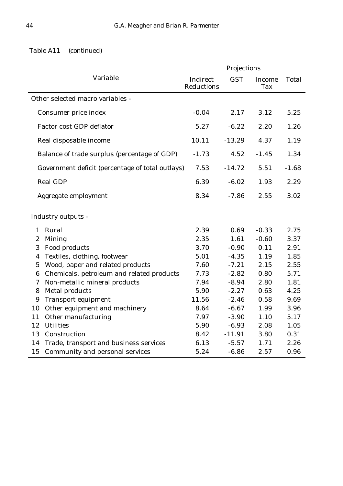|                                                  | Projections            |            |                      |              |
|--------------------------------------------------|------------------------|------------|----------------------|--------------|
| Variable                                         | Indirect<br>Reductions | <b>GST</b> | Income<br><b>Tax</b> | <b>Total</b> |
| Other selected macro variables -                 |                        |            |                      |              |
| Consumer price index                             | $-0.04$                | 2.17       | 3.12                 | 5.25         |
| <b>Factor cost GDP deflator</b>                  | 5.27                   | $-6.22$    | 2.20                 | 1.26         |
| Real disposable income                           | 10.11                  | $-13.29$   | 4.37                 | 1.19         |
| Balance of trade surplus (percentage of GDP)     | $-1.73$                | 4.52       | $-1.45$              | 1.34         |
| Government deficit (percentage of total outlays) | 7.53                   | $-14.72$   | 5.51                 | $-1.68$      |
| <b>Real GDP</b>                                  | 6.39                   | $-6.02$    | 1.93                 | 2.29         |
| Aggregate employment                             | 8.34                   | $-7.86$    | 2.55                 | 3.02         |
| <b>Industry outputs -</b>                        |                        |            |                      |              |
| Rural<br>$\mathbf{1}$                            | 2.39                   | 0.69       | $-0.33$              | 2.75         |
| <b>Mining</b><br>$\boldsymbol{2}$                | 2.35                   | 1.61       | $-0.60$              | 3.37         |
| Food products<br>3                               | 3.70                   | $-0.90$    | 0.11                 | 2.91         |
| Textiles, clothing, footwear<br>4                | 5.01                   | $-4.35$    | 1.19                 | 1.85         |
| Wood, paper and related products<br>$\mathbf 5$  | 7.60                   | $-7.21$    | 2.15                 | 2.55         |
| Chemicals, petroleum and related products<br>6   | 7.73                   | $-2.82$    | 0.80                 | 5.71         |
| Non-metallic mineral products<br>7               | 7.94                   | $-8.94$    | 2.80                 | 1.81         |
| <b>Metal products</b><br>8                       | 5.90                   | $-2.27$    | 0.63                 | 4.25         |
| <b>Transport equipment</b><br>9                  | 11.56                  | $-2.46$    | 0.58                 | 9.69         |
| Other equipment and machinery<br>10              | 8.64                   | $-6.67$    | 1.99                 | 3.96         |
| Other manufacturing<br>11                        | 7.97                   | $-3.90$    | 1.10                 | 5.17         |
| <b>Utilities</b><br>12                           | 5.90                   | $-6.93$    | 2.08                 | 1.05         |
| Construction<br>13                               | 8.42                   | $-11.91$   | 3.80                 | 0.31         |
| Trade, transport and business services<br>14     | 6.13                   | $-5.57$    | 1.71                 | 2.26         |
| Community and personal services<br>15            | 5.24                   | $-6.86$    | 2.57                 | 0.96         |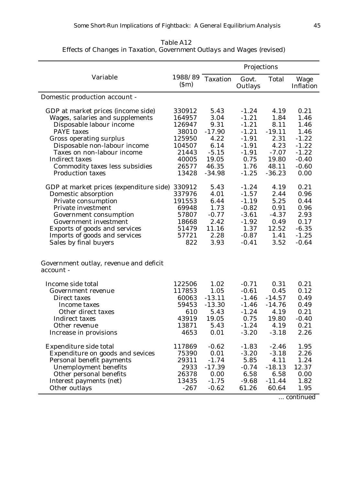|                                                     |                 |                 | Projections      |              |                   |
|-----------------------------------------------------|-----------------|-----------------|------------------|--------------|-------------------|
| Variable                                            | 1988/89<br>(Sm) | <b>Taxation</b> | Govt.<br>Outlays | <b>Total</b> | Wage<br>Inflation |
| Domestic production account -                       |                 |                 |                  |              |                   |
| GDP at market prices (income side)                  | 330912          | 5.43            | $-1.24$          | 4.19         | 0.21              |
| Wages, salaries and supplements                     | 164957          | 3.04            | $-1.21$          | 1.84         | 1.46              |
| Disposable labour income                            | 126947          | 9.31            | $-1.21$          | 8.11         | 1.46              |
| <b>PAYE</b> taxes                                   | 38010           | $-17.90$        | $-1.21$          | $-19.11$     | 1.46              |
| <b>Gross operating surplus</b>                      | 125950          | 4.22            | $-1.91$          | 2.31         | $-1.22$           |
| Disposable non-labour income                        | 104507          | 6.14            | $-1.91$          | 4.23         | $-1.22$           |
| Taxes on non-labour income                          | 21443           | $-5.15$         | $-1.91$          | $-7.07$      | $-1.22$           |
| <b>Indirect taxes</b>                               | 40005           | 19.05           | 0.75             | 19.80        | $-0.40$           |
| Commodity taxes less subsidies                      | 26577           | 46.35           | 1.76             | 48.11        | $-0.60$           |
| <b>Production taxes</b>                             | 13428           | $-34.98$        | $-1.25$          | $-36.23$     | 0.00              |
| GDP at market prices (expenditure side)             | 330912          | 5.43            | $-1.24$          | 4.19         | 0.21              |
| Domestic absorption                                 | 337976          | 4.01            | $-1.57$          | 2.44         | 0.96              |
| Private consumption                                 | 191553          | 6.44            | $-1.19$          | 5.25         | 0.44              |
| Private investment                                  | 69948           | 1.73            | $-0.82$          | 0.91         | 0.96              |
| Government consumption                              | 57807           | $-0.77$         | $-3.61$          | $-4.37$      | 2.93              |
| Government investment                               | 18668           | 2.42            | $-1.92$          | 0.49         | 0.17              |
| Exports of goods and services                       | 51479           | 11.16           | 1.37             | 12.52        | $-6.35$           |
| Imports of goods and services                       | 57721           | 2.28            | $-0.87$          | 1.41         | $-1.25$           |
| Sales by final buyers                               | 822             | 3.93            | $-0.41$          | 3.52         | $-0.64$           |
| Government outlay, revenue and deficit<br>account - |                 |                 |                  |              |                   |
| Income side total                                   | 122506          | 1.02            | $-0.71$          | 0.31         | 0.21              |
| Government revenue                                  | 117853          | 1.05            | $-0.61$          | 0.45         | 0.12              |
| Direct taxes                                        | 60063           | $-13.11$        | $-1.46$          | $-14.57$     | 0.49              |
| Income taxes                                        | 59453           | $-13.30$        | $-1.46$          | $-14.76$     | 0.49              |
| Other direct taxes                                  | 610             | 5.43            | $-1.24$          | 4.19         | 0.21              |
| <b>Indirect taxes</b>                               | 43919           | 19.05           | 0.75             | 19.80        | $-0.40$           |
| Other revenue                                       | 13871           | 5.43            | $-1.24$          | 4.19         | 0.21              |
| Increase in provisions                              | 4653            | 0.01            | $-3.20$          | $-3.18$      | 2.26              |
| Expenditure side total                              | 117869          | $-0.62$         | $-1.83$          | $-2.46$      | 1.95              |
| Expenditure on goods and sevices                    | 75390           | 0.01            | $-3.20$          | $-3.18$      | 2.26              |
| Personal benefit payments                           | 29311           | $-1.74$         | 5.85             | 4.11         | 1.24              |
| <b>Unemployment benefits</b>                        | 2933            | $-17.39$        | $-0.74$          | $-18.13$     | 12.37             |
| Other personal benefits                             | 26378           | 0.00            | 6.58             | 6.58         | 0.00              |
| Interest payments (net)                             | 13435           | $-1.75$         | $-9.68$          | $-11.44$     | 1.82              |
| Other outlays                                       | $-267$          | $-0.62$         | 61.26            | 60.64        | 1.95              |

*Table A12 Effects of Changes in Taxation, Government Outlays and Wages (revised)*